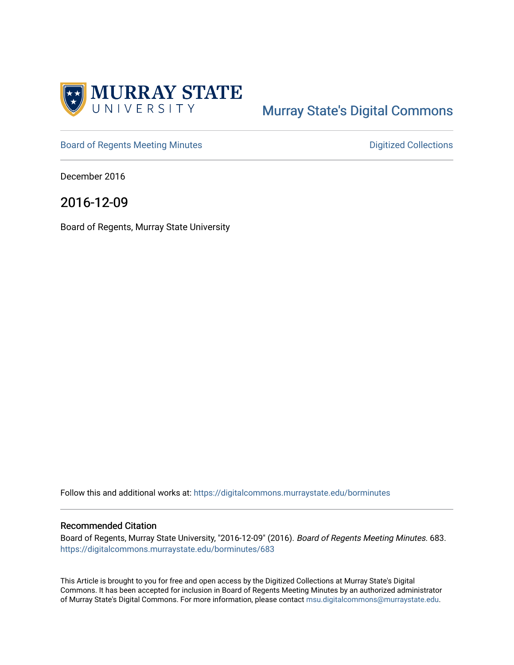

# [Murray State's Digital Commons](https://digitalcommons.murraystate.edu/)

[Board of Regents Meeting Minutes](https://digitalcommons.murraystate.edu/borminutes) **Digitized Collections** Digitized Collections

December 2016

# 2016-12-09

Board of Regents, Murray State University

Follow this and additional works at: [https://digitalcommons.murraystate.edu/borminutes](https://digitalcommons.murraystate.edu/borminutes?utm_source=digitalcommons.murraystate.edu%2Fborminutes%2F683&utm_medium=PDF&utm_campaign=PDFCoverPages)

#### Recommended Citation

Board of Regents, Murray State University, "2016-12-09" (2016). Board of Regents Meeting Minutes. 683. [https://digitalcommons.murraystate.edu/borminutes/683](https://digitalcommons.murraystate.edu/borminutes/683?utm_source=digitalcommons.murraystate.edu%2Fborminutes%2F683&utm_medium=PDF&utm_campaign=PDFCoverPages)

This Article is brought to you for free and open access by the Digitized Collections at Murray State's Digital Commons. It has been accepted for inclusion in Board of Regents Meeting Minutes by an authorized administrator of Murray State's Digital Commons. For more information, please contact [msu.digitalcommons@murraystate.edu.](mailto:msu.digitalcommons@murraystate.edu)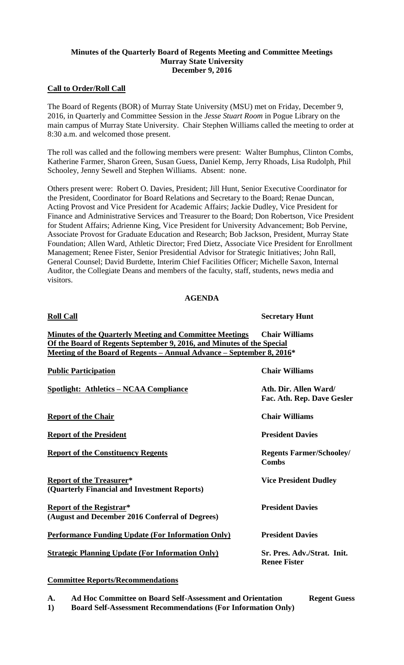# **Minutes of the Quarterly Board of Regents Meeting and Committee Meetings Murray State University December 9, 2016**

# **Call to Order/Roll Call**

The Board of Regents (BOR) of Murray State University (MSU) met on Friday, December 9, 2016, in Quarterly and Committee Session in the *Jesse Stuart Room* in Pogue Library on the main campus of Murray State University. Chair Stephen Williams called the meeting to order at 8:30 a.m. and welcomed those present.

The roll was called and the following members were present: Walter Bumphus, Clinton Combs, Katherine Farmer, Sharon Green, Susan Guess, Daniel Kemp, Jerry Rhoads, Lisa Rudolph, Phil Schooley, Jenny Sewell and Stephen Williams. Absent: none.

Others present were: Robert O. Davies, President; Jill Hunt, Senior Executive Coordinator for the President, Coordinator for Board Relations and Secretary to the Board; Renae Duncan, Acting Provost and Vice President for Academic Affairs; Jackie Dudley, Vice President for Finance and Administrative Services and Treasurer to the Board; Don Robertson, Vice President for Student Affairs; Adrienne King, Vice President for University Advancement; Bob Pervine, Associate Provost for Graduate Education and Research; Bob Jackson, President, Murray State Foundation; Allen Ward, Athletic Director; Fred Dietz, Associate Vice President for Enrollment Management; Renee Fister, Senior Presidential Advisor for Strategic Initiatives; John Rall, General Counsel; David Burdette, Interim Chief Facilities Officer; Michelle Saxon, Internal Auditor, the Collegiate Deans and members of the faculty, staff, students, news media and visitors.

# **AGENDA**

| <b>Roll Call</b>                                                                                                                                                                                                             | <b>Secretary Hunt</b>                               |
|------------------------------------------------------------------------------------------------------------------------------------------------------------------------------------------------------------------------------|-----------------------------------------------------|
| <b>Minutes of the Quarterly Meeting and Committee Meetings</b><br>Of the Board of Regents September 9, 2016, and Minutes of the Special<br>Meeting of the Board of Regents – Annual Advance – September 8, 2016 <sup>*</sup> | <b>Chair Williams</b>                               |
| <b>Public Participation</b>                                                                                                                                                                                                  | <b>Chair Williams</b>                               |
| <b>Spotlight: Athletics - NCAA Compliance</b>                                                                                                                                                                                | Ath. Dir. Allen Ward/<br>Fac. Ath. Rep. Dave Gesler |
| <b>Report of the Chair</b>                                                                                                                                                                                                   | <b>Chair Williams</b>                               |
| <b>Report of the President</b>                                                                                                                                                                                               | <b>President Davies</b>                             |
| <b>Report of the Constituency Regents</b>                                                                                                                                                                                    | <b>Regents Farmer/Schooley/</b><br><b>Combs</b>     |
| <b>Report of the Treasurer*</b><br>(Quarterly Financial and Investment Reports)                                                                                                                                              | <b>Vice President Dudley</b>                        |
| <b>Report of the Registrar*</b><br>(August and December 2016 Conferral of Degrees)                                                                                                                                           | <b>President Davies</b>                             |
| <b>Performance Funding Update (For Information Only)</b>                                                                                                                                                                     | <b>President Davies</b>                             |
| <b>Strategic Planning Update (For Information Only)</b>                                                                                                                                                                      | Sr. Pres. Adv./Strat. Init.<br><b>Renee Fister</b>  |
|                                                                                                                                                                                                                              |                                                     |

#### **Committee Reports/Recommendations**

**A. Ad Hoc Committee on Board Self-Assessment and Orientation Regent Guess**

**1) Board Self-Assessment Recommendations (For Information Only)**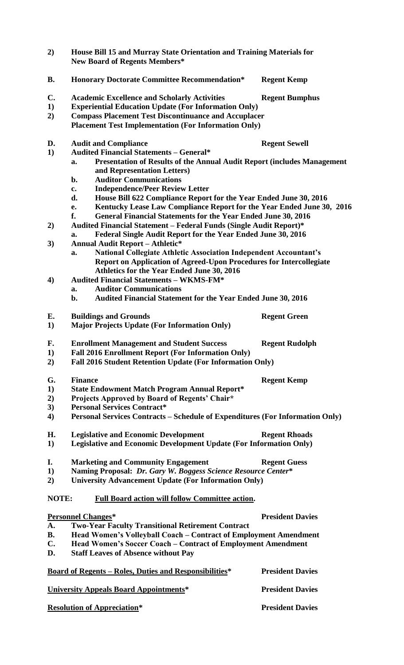| 2)               | House Bill 15 and Murray State Orientation and Training Materials for<br><b>New Board of Regents Members*</b>                                                                                                           |                         |  |  |
|------------------|-------------------------------------------------------------------------------------------------------------------------------------------------------------------------------------------------------------------------|-------------------------|--|--|
| <b>B.</b>        | <b>Honorary Doctorate Committee Recommendation*</b>                                                                                                                                                                     | <b>Regent Kemp</b>      |  |  |
| $\mathbf{C}$ .   | <b>Academic Excellence and Scholarly Activities</b>                                                                                                                                                                     | <b>Regent Bumphus</b>   |  |  |
| 1)               | <b>Experiential Education Update (For Information Only)</b>                                                                                                                                                             |                         |  |  |
| 2)               | <b>Compass Placement Test Discontinuance and Accuplacer</b>                                                                                                                                                             |                         |  |  |
|                  | <b>Placement Test Implementation (For Information Only)</b>                                                                                                                                                             |                         |  |  |
| D.               | <b>Audit and Compliance</b>                                                                                                                                                                                             | <b>Regent Sewell</b>    |  |  |
| 1)               | <b>Audited Financial Statements - General*</b>                                                                                                                                                                          |                         |  |  |
|                  | <b>Presentation of Results of the Annual Audit Report (includes Management</b><br>a.<br>and Representation Letters)<br><b>Auditor Communications</b><br>b.                                                              |                         |  |  |
|                  | <b>Independence/Peer Review Letter</b><br>$c_{\bullet}$                                                                                                                                                                 |                         |  |  |
|                  | d.                                                                                                                                                                                                                      |                         |  |  |
|                  | House Bill 622 Compliance Report for the Year Ended June 30, 2016<br>Kentucky Lease Law Compliance Report for the Year Ended June 30, 2016<br>e.<br>General Financial Statements for the Year Ended June 30, 2016<br>f. |                         |  |  |
| 2)               | <b>Audited Financial Statement - Federal Funds (Single Audit Report)*</b>                                                                                                                                               |                         |  |  |
|                  | Federal Single Audit Report for the Year Ended June 30, 2016<br>a.                                                                                                                                                      |                         |  |  |
| 3)               | <b>Annual Audit Report - Athletic*</b>                                                                                                                                                                                  |                         |  |  |
|                  | <b>National Collegiate Athletic Association Independent Accountant's</b><br>a.<br>Report on Application of Agreed-Upon Procedures for Intercollegiate<br>Athletics for the Year Ended June 30, 2016                     |                         |  |  |
| $\boldsymbol{4}$ | <b>Audited Financial Statements - WKMS-FM*</b>                                                                                                                                                                          |                         |  |  |
|                  | <b>Auditor Communications</b><br>a.                                                                                                                                                                                     |                         |  |  |
|                  | b.<br><b>Audited Financial Statement for the Year Ended June 30, 2016</b>                                                                                                                                               |                         |  |  |
| E.               | <b>Buildings and Grounds</b>                                                                                                                                                                                            | <b>Regent Green</b>     |  |  |
| 1)               | <b>Major Projects Update (For Information Only)</b>                                                                                                                                                                     |                         |  |  |
| F.               | <b>Enrollment Management and Student Success</b><br><b>Regent Rudolph</b>                                                                                                                                               |                         |  |  |
| 1)               | <b>Fall 2016 Enrollment Report (For Information Only)</b>                                                                                                                                                               |                         |  |  |
| 2)               | <b>Fall 2016 Student Retention Update (For Information Only)</b>                                                                                                                                                        |                         |  |  |
| G.               | <b>Finance</b>                                                                                                                                                                                                          | <b>Regent Kemp</b>      |  |  |
| 1)               | <b>State Endowment Match Program Annual Report*</b>                                                                                                                                                                     |                         |  |  |
| 2)               | Projects Approved by Board of Regents' Chair*                                                                                                                                                                           |                         |  |  |
| 3)               | <b>Personal Services Contract*</b>                                                                                                                                                                                      |                         |  |  |
| $\boldsymbol{4}$ | Personal Services Contracts – Schedule of Expenditures (For Information Only)                                                                                                                                           |                         |  |  |
| Н.               | <b>Legislative and Economic Development</b>                                                                                                                                                                             | <b>Regent Rhoads</b>    |  |  |
| 1)               | <b>Legislative and Economic Development Update (For Information Only)</b>                                                                                                                                               |                         |  |  |
| I.               | <b>Marketing and Community Engagement</b>                                                                                                                                                                               | <b>Regent Guess</b>     |  |  |
| 1)               | Naming Proposal: Dr. Gary W. Boggess Science Resource Center*                                                                                                                                                           |                         |  |  |
| 2)               | <b>University Advancement Update (For Information Only)</b>                                                                                                                                                             |                         |  |  |
| NOTE:            | <b>Full Board action will follow Committee action.</b>                                                                                                                                                                  |                         |  |  |
|                  | <b>Personnel Changes*</b>                                                                                                                                                                                               | <b>President Davies</b> |  |  |
| A.               | <b>Two-Year Faculty Transitional Retirement Contract</b>                                                                                                                                                                |                         |  |  |
| <b>B.</b>        | Head Women's Volleyball Coach - Contract of Employment Amendment                                                                                                                                                        |                         |  |  |
| C.               | Head Women's Soccer Coach - Contract of Employment Amendment                                                                                                                                                            |                         |  |  |
| D.               | <b>Staff Leaves of Absence without Pay</b>                                                                                                                                                                              |                         |  |  |
|                  | <u><b>Board of Regents – Roles, Duties and Responsibilities*</b></u>                                                                                                                                                    | <b>President Davies</b> |  |  |
|                  | <b>University Appeals Board Appointments*</b>                                                                                                                                                                           | <b>President Davies</b> |  |  |
|                  | <b>Resolution of Appreciation*</b>                                                                                                                                                                                      | <b>President Davies</b> |  |  |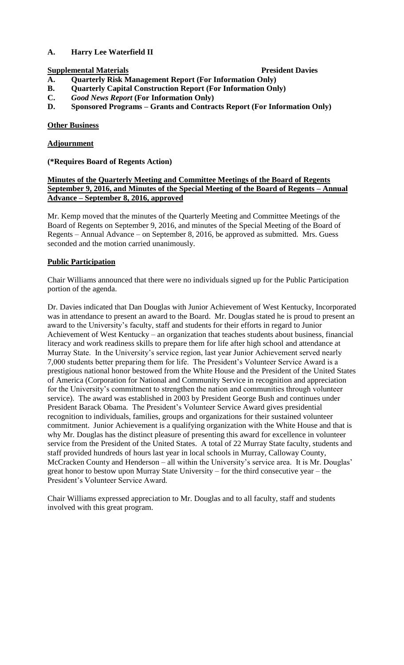# **A. Harry Lee Waterfield II**

# **Supplemental Materials President Davies**

- **A. Quarterly Risk Management Report (For Information Only)**
- **B. Quarterly Capital Construction Report (For Information Only)**
- **C.** *Good News Report* **(For Information Only)**
- **D. Sponsored Programs – Grants and Contracts Report (For Information Only)**

# **Other Business**

# **Adjournment**

# **(\*Requires Board of Regents Action)**

# **Minutes of the Quarterly Meeting and Committee Meetings of the Board of Regents September 9, 2016, and Minutes of the Special Meeting of the Board of Regents – Annual Advance – September 8, 2016, approved**

Mr. Kemp moved that the minutes of the Quarterly Meeting and Committee Meetings of the Board of Regents on September 9, 2016, and minutes of the Special Meeting of the Board of Regents – Annual Advance – on September 8, 2016, be approved as submitted. Mrs. Guess seconded and the motion carried unanimously.

#### **Public Participation**

Chair Williams announced that there were no individuals signed up for the Public Participation portion of the agenda.

Dr. Davies indicated that Dan Douglas with Junior Achievement of West Kentucky, Incorporated was in attendance to present an award to the Board. Mr. Douglas stated he is proud to present an award to the University's faculty, staff and students for their efforts in regard to Junior Achievement of West Kentucky – an organization that teaches students about business, financial literacy and work readiness skills to prepare them for life after high school and attendance at Murray State. In the University's service region, last year Junior Achievement served nearly 7,000 students better preparing them for life. The President's Volunteer Service Award is a prestigious national honor bestowed from the White House and the President of the United States of America (Corporation for National and Community Service in recognition and appreciation for the University's commitment to strengthen the nation and communities through volunteer service). The award was established in 2003 by President George Bush and continues under President Barack Obama. The President's Volunteer Service Award gives presidential recognition to individuals, families, groups and organizations for their sustained volunteer commitment. Junior Achievement is a qualifying organization with the White House and that is why Mr. Douglas has the distinct pleasure of presenting this award for excellence in volunteer service from the President of the United States. A total of 22 Murray State faculty, students and staff provided hundreds of hours last year in local schools in Murray, Calloway County, McCracken County and Henderson – all within the University's service area. It is Mr. Douglas' great honor to bestow upon Murray State University – for the third consecutive year – the President's Volunteer Service Award.

Chair Williams expressed appreciation to Mr. Douglas and to all faculty, staff and students involved with this great program.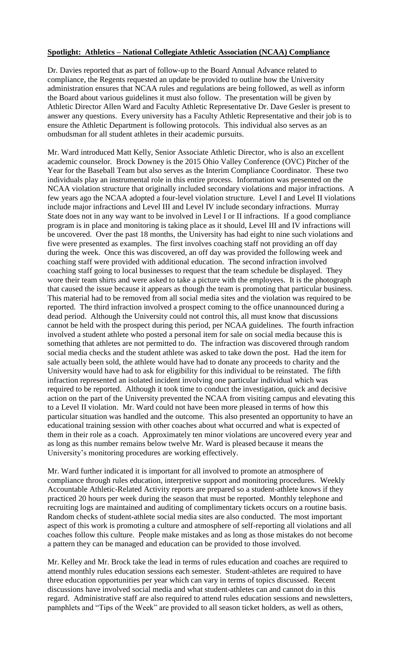#### **Spotlight: Athletics – National Collegiate Athletic Association (NCAA) Compliance**

Dr. Davies reported that as part of follow-up to the Board Annual Advance related to compliance, the Regents requested an update be provided to outline how the University administration ensures that NCAA rules and regulations are being followed, as well as inform the Board about various guidelines it must also follow. The presentation will be given by Athletic Director Allen Ward and Faculty Athletic Representative Dr. Dave Gesler is present to answer any questions. Every university has a Faculty Athletic Representative and their job is to ensure the Athletic Department is following protocols. This individual also serves as an ombudsman for all student athletes in their academic pursuits.

Mr. Ward introduced Matt Kelly, Senior Associate Athletic Director, who is also an excellent academic counselor. Brock Downey is the 2015 Ohio Valley Conference (OVC) Pitcher of the Year for the Baseball Team but also serves as the Interim Compliance Coordinator. These two individuals play an instrumental role in this entire process. Information was presented on the NCAA violation structure that originally included secondary violations and major infractions. A few years ago the NCAA adopted a four-level violation structure. Level I and Level II violations include major infractions and Level III and Level IV include secondary infractions. Murray State does not in any way want to be involved in Level I or II infractions. If a good compliance program is in place and monitoring is taking place as it should, Level III and IV infractions will be uncovered. Over the past 18 months, the University has had eight to nine such violations and five were presented as examples. The first involves coaching staff not providing an off day during the week. Once this was discovered, an off day was provided the following week and coaching staff were provided with additional education. The second infraction involved coaching staff going to local businesses to request that the team schedule be displayed. They wore their team shirts and were asked to take a picture with the employees. It is the photograph that caused the issue because it appears as though the team is promoting that particular business. This material had to be removed from all social media sites and the violation was required to be reported. The third infraction involved a prospect coming to the office unannounced during a dead period. Although the University could not control this, all must know that discussions cannot be held with the prospect during this period, per NCAA guidelines. The fourth infraction involved a student athlete who posted a personal item for sale on social media because this is something that athletes are not permitted to do. The infraction was discovered through random social media checks and the student athlete was asked to take down the post. Had the item for sale actually been sold, the athlete would have had to donate any proceeds to charity and the University would have had to ask for eligibility for this individual to be reinstated. The fifth infraction represented an isolated incident involving one particular individual which was required to be reported. Although it took time to conduct the investigation, quick and decisive action on the part of the University prevented the NCAA from visiting campus and elevating this to a Level II violation. Mr. Ward could not have been more pleased in terms of how this particular situation was handled and the outcome. This also presented an opportunity to have an educational training session with other coaches about what occurred and what is expected of them in their role as a coach. Approximately ten minor violations are uncovered every year and as long as this number remains below twelve Mr. Ward is pleased because it means the University's monitoring procedures are working effectively.

Mr. Ward further indicated it is important for all involved to promote an atmosphere of compliance through rules education, interpretive support and monitoring procedures. Weekly Accountable Athletic-Related Activity reports are prepared so a student-athlete knows if they practiced 20 hours per week during the season that must be reported. Monthly telephone and recruiting logs are maintained and auditing of complimentary tickets occurs on a routine basis. Random checks of student-athlete social media sites are also conducted. The most important aspect of this work is promoting a culture and atmosphere of self-reporting all violations and all coaches follow this culture. People make mistakes and as long as those mistakes do not become a pattern they can be managed and education can be provided to those involved.

Mr. Kelley and Mr. Brock take the lead in terms of rules education and coaches are required to attend monthly rules education sessions each semester. Student-athletes are required to have three education opportunities per year which can vary in terms of topics discussed. Recent discussions have involved social media and what student-athletes can and cannot do in this regard. Administrative staff are also required to attend rules education sessions and newsletters, pamphlets and "Tips of the Week" are provided to all season ticket holders, as well as others,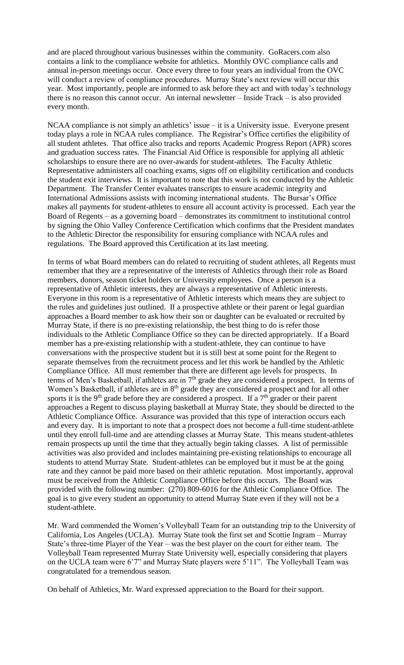and are placed throughout various businesses within the community. GoRacers.com also contains a link to the compliance website for athletics. Monthly OVC compliance calls and annual in-person meetings occur. Once every three to four years an individual from the OVC will conduct a review of compliance procedures. Murray State's next review will occur this year. Most importantly, people are informed to ask before they act and with today's technology there is no reason this cannot occur. An internal newsletter – Inside Track – is also provided every month.

NCAA compliance is not simply an athletics' issue – it is a University issue. Everyone present today plays a role in NCAA rules compliance. The Registrar's Office certifies the eligibility of all student athletes. That office also tracks and reports Academic Progress Report (APR) scores and graduation success rates. The Financial Aid Office is responsible for applying all athletic scholarships to ensure there are no over-awards for student-athletes. The Faculty Athletic Representative administers all coaching exams, signs off on eligibility certification and conducts the student exit interviews. It is important to note that this work is not conducted by the Athletic Department. The Transfer Center evaluates transcripts to ensure academic integrity and International Admissions assists with incoming international students. The Bursar's Office makes all payments for student-athletes to ensure all account activity is processed. Each year the Board of Regents – as a governing board – demonstrates its commitment to institutional control by signing the Ohio Valley Conference Certification which confirms that the President mandates to the Athletic Director the responsibility for ensuring compliance with NCAA rules and regulations. The Board approved this Certification at its last meeting.

In terms of what Board members can do related to recruiting of student athletes, all Regents must remember that they are a representative of the interests of Athletics through their role as Board members, donors, season ticket holders or University employees. Once a person is a representative of Athletic interests, they are always a representative of Athletic interests. Everyone in this room is a representative of Athletic interests which means they are subject to the rules and guidelines just outlined. If a prospective athlete or their parent or legal guardian approaches a Board member to ask how their son or daughter can be evaluated or recruited by Murray State, if there is no pre-existing relationship, the best thing to do is refer those individuals to the Athletic Compliance Office so they can be directed appropriately. If a Board member has a pre-existing relationship with a student-athlete, they can continue to have conversations with the prospective student but it is still best at some point for the Regent to separate themselves from the recruitment process and let this work be handled by the Athletic Compliance Office. All must remember that there are different age levels for prospects. In terms of Men's Basketball, if athletes are in 7<sup>th</sup> grade they are considered a prospect. In terms of Women's Basketball, if athletes are in  $8<sup>th</sup>$  grade they are considered a prospect and for all other sports it is the 9<sup>th</sup> grade before they are considered a prospect. If a  $7<sup>th</sup>$  grader or their parent approaches a Regent to discuss playing basketball at Murray State, they should be directed to the Athletic Compliance Office. Assurance was provided that this type of interaction occurs each and every day. It is important to note that a prospect does not become a full-time student-athlete until they enroll full-time and are attending classes at Murray State. This means student-athletes remain prospects up until the time that they actually begin taking classes. A list of permissible activities was also provided and includes maintaining pre-existing relationships to encourage all students to attend Murray State. Student-athletes can be employed but it must be at the going rate and they cannot be paid more based on their athletic reputation. Most importantly, approval must be received from the Athletic Compliance Office before this occurs. The Board was provided with the following number: (270) 809-6016 for the Athletic Compliance Office. The goal is to give every student an opportunity to attend Murray State even if they will not be a student-athlete.

Mr. Ward commended the Women's Volleyball Team for an outstanding trip to the University of California, Los Angeles (UCLA). Murray State took the first set and Scottie Ingram – Murray State's three-time Player of the Year – was the best player on the court for either team. The Volleyball Team represented Murray State University well, especially considering that players on the UCLA team were 6'7" and Murray State players were 5'11". The Volleyball Team was congratulated for a tremendous season.

On behalf of Athletics, Mr. Ward expressed appreciation to the Board for their support.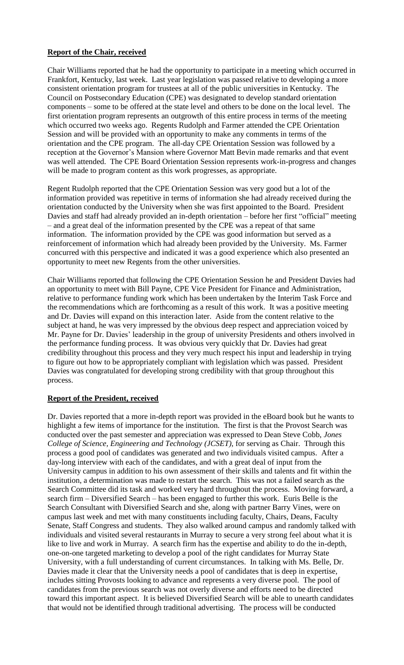# **Report of the Chair, received**

Chair Williams reported that he had the opportunity to participate in a meeting which occurred in Frankfort, Kentucky, last week. Last year legislation was passed relative to developing a more consistent orientation program for trustees at all of the public universities in Kentucky. The Council on Postsecondary Education (CPE) was designated to develop standard orientation components – some to be offered at the state level and others to be done on the local level. The first orientation program represents an outgrowth of this entire process in terms of the meeting which occurred two weeks ago. Regents Rudolph and Farmer attended the CPE Orientation Session and will be provided with an opportunity to make any comments in terms of the orientation and the CPE program. The all-day CPE Orientation Session was followed by a reception at the Governor's Mansion where Governor Matt Bevin made remarks and that event was well attended. The CPE Board Orientation Session represents work-in-progress and changes will be made to program content as this work progresses, as appropriate.

Regent Rudolph reported that the CPE Orientation Session was very good but a lot of the information provided was repetitive in terms of information she had already received during the orientation conducted by the University when she was first appointed to the Board. President Davies and staff had already provided an in-depth orientation – before her first "official" meeting – and a great deal of the information presented by the CPE was a repeat of that same information. The information provided by the CPE was good information but served as a reinforcement of information which had already been provided by the University. Ms. Farmer concurred with this perspective and indicated it was a good experience which also presented an opportunity to meet new Regents from the other universities.

Chair Williams reported that following the CPE Orientation Session he and President Davies had an opportunity to meet with Bill Payne, CPE Vice President for Finance and Administration, relative to performance funding work which has been undertaken by the Interim Task Force and the recommendations which are forthcoming as a result of this work. It was a positive meeting and Dr. Davies will expand on this interaction later. Aside from the content relative to the subject at hand, he was very impressed by the obvious deep respect and appreciation voiced by Mr. Payne for Dr. Davies' leadership in the group of university Presidents and others involved in the performance funding process. It was obvious very quickly that Dr. Davies had great credibility throughout this process and they very much respect his input and leadership in trying to figure out how to be appropriately compliant with legislation which was passed. President Davies was congratulated for developing strong credibility with that group throughout this process.

#### **Report of the President, received**

Dr. Davies reported that a more in-depth report was provided in the eBoard book but he wants to highlight a few items of importance for the institution. The first is that the Provost Search was conducted over the past semester and appreciation was expressed to Dean Steve Cobb, *Jones College of Science, Engineering and Technology (JCSET)*, for serving as Chair. Through this process a good pool of candidates was generated and two individuals visited campus. After a day-long interview with each of the candidates, and with a great deal of input from the University campus in addition to his own assessment of their skills and talents and fit within the institution, a determination was made to restart the search. This was not a failed search as the Search Committee did its task and worked very hard throughout the process. Moving forward, a search firm – Diversified Search – has been engaged to further this work. Euris Belle is the Search Consultant with Diversified Search and she, along with partner Barry Vines, were on campus last week and met with many constituents including faculty, Chairs, Deans, Faculty Senate, Staff Congress and students. They also walked around campus and randomly talked with individuals and visited several restaurants in Murray to secure a very strong feel about what it is like to live and work in Murray. A search firm has the expertise and ability to do the in-depth, one-on-one targeted marketing to develop a pool of the right candidates for Murray State University, with a full understanding of current circumstances. In talking with Ms. Belle, Dr. Davies made it clear that the University needs a pool of candidates that is deep in expertise, includes sitting Provosts looking to advance and represents a very diverse pool. The pool of candidates from the previous search was not overly diverse and efforts need to be directed toward this important aspect. It is believed Diversified Search will be able to unearth candidates that would not be identified through traditional advertising. The process will be conducted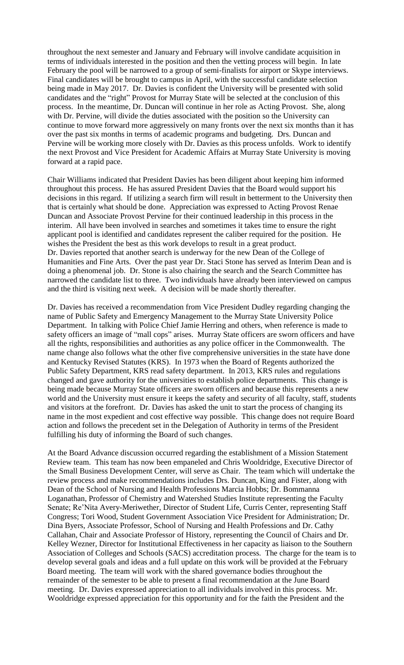throughout the next semester and January and February will involve candidate acquisition in terms of individuals interested in the position and then the vetting process will begin. In late February the pool will be narrowed to a group of semi-finalists for airport or Skype interviews. Final candidates will be brought to campus in April, with the successful candidate selection being made in May 2017. Dr. Davies is confident the University will be presented with solid candidates and the "right" Provost for Murray State will be selected at the conclusion of this process. In the meantime, Dr. Duncan will continue in her role as Acting Provost. She, along with Dr. Pervine, will divide the duties associated with the position so the University can continue to move forward more aggressively on many fronts over the next six months than it has over the past six months in terms of academic programs and budgeting. Drs. Duncan and Pervine will be working more closely with Dr. Davies as this process unfolds. Work to identify the next Provost and Vice President for Academic Affairs at Murray State University is moving forward at a rapid pace.

Chair Williams indicated that President Davies has been diligent about keeping him informed throughout this process. He has assured President Davies that the Board would support his decisions in this regard. If utilizing a search firm will result in betterment to the University then that is certainly what should be done. Appreciation was expressed to Acting Provost Renae Duncan and Associate Provost Pervine for their continued leadership in this process in the interim. All have been involved in searches and sometimes it takes time to ensure the right applicant pool is identified and candidates represent the caliber required for the position. He wishes the President the best as this work develops to result in a great product. Dr. Davies reported that another search is underway for the new Dean of the College of Humanities and Fine Arts. Over the past year Dr. Staci Stone has served as Interim Dean and is doing a phenomenal job. Dr. Stone is also chairing the search and the Search Committee has narrowed the candidate list to three. Two individuals have already been interviewed on campus and the third is visiting next week. A decision will be made shortly thereafter.

Dr. Davies has received a recommendation from Vice President Dudley regarding changing the name of Public Safety and Emergency Management to the Murray State University Police Department. In talking with Police Chief Jamie Herring and others, when reference is made to safety officers an image of "mall cops" arises. Murray State officers are sworn officers and have all the rights, responsibilities and authorities as any police officer in the Commonwealth. The name change also follows what the other five comprehensive universities in the state have done and Kentucky Revised Statutes (KRS). In 1973 when the Board of Regents authorized the Public Safety Department, KRS read safety department. In 2013, KRS rules and regulations changed and gave authority for the universities to establish police departments. This change is being made because Murray State officers are sworn officers and because this represents a new world and the University must ensure it keeps the safety and security of all faculty, staff, students and visitors at the forefront. Dr. Davies has asked the unit to start the process of changing its name in the most expedient and cost effective way possible. This change does not require Board action and follows the precedent set in the Delegation of Authority in terms of the President fulfilling his duty of informing the Board of such changes.

At the Board Advance discussion occurred regarding the establishment of a Mission Statement Review team. This team has now been empaneled and Chris Wooldridge, Executive Director of the Small Business Development Center, will serve as Chair. The team which will undertake the review process and make recommendations includes Drs. Duncan, King and Fister, along with Dean of the School of Nursing and Health Professions Marcia Hobbs; Dr. Bommanna Loganathan, Professor of Chemistry and Watershed Studies Institute representing the Faculty Senate; Re'Nita Avery-Meriwether, Director of Student Life, Curris Center, representing Staff Congress; Tori Wood, Student Government Association Vice President for Administration; Dr. Dina Byers, Associate Professor, School of Nursing and Health Professions and Dr. Cathy Callahan, Chair and Associate Professor of History, representing the Council of Chairs and Dr. Kelley Wezner, Director for Institutional Effectiveness in her capacity as liaison to the Southern Association of Colleges and Schools (SACS) accreditation process. The charge for the team is to develop several goals and ideas and a full update on this work will be provided at the February Board meeting. The team will work with the shared governance bodies throughout the remainder of the semester to be able to present a final recommendation at the June Board meeting. Dr. Davies expressed appreciation to all individuals involved in this process. Mr. Wooldridge expressed appreciation for this opportunity and for the faith the President and the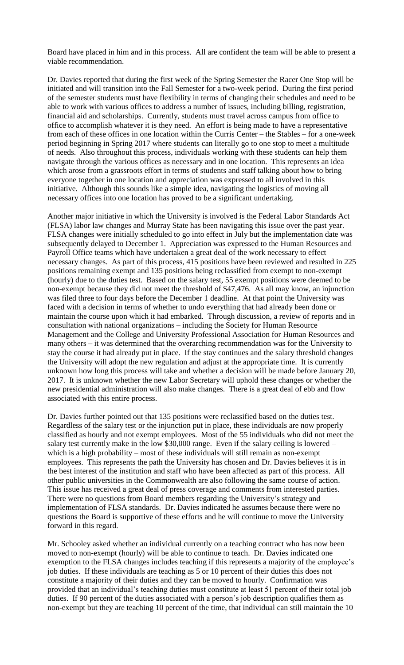Board have placed in him and in this process. All are confident the team will be able to present a viable recommendation.

Dr. Davies reported that during the first week of the Spring Semester the Racer One Stop will be initiated and will transition into the Fall Semester for a two-week period. During the first period of the semester students must have flexibility in terms of changing their schedules and need to be able to work with various offices to address a number of issues, including billing, registration, financial aid and scholarships. Currently, students must travel across campus from office to office to accomplish whatever it is they need. An effort is being made to have a representative from each of these offices in one location within the Curris Center – the Stables – for a one-week period beginning in Spring 2017 where students can literally go to one stop to meet a multitude of needs. Also throughout this process, individuals working with these students can help them navigate through the various offices as necessary and in one location. This represents an idea which arose from a grassroots effort in terms of students and staff talking about how to bring everyone together in one location and appreciation was expressed to all involved in this initiative. Although this sounds like a simple idea, navigating the logistics of moving all necessary offices into one location has proved to be a significant undertaking.

Another major initiative in which the University is involved is the Federal Labor Standards Act (FLSA) labor law changes and Murray State has been navigating this issue over the past year. FLSA changes were initially scheduled to go into effect in July but the implementation date was subsequently delayed to December 1. Appreciation was expressed to the Human Resources and Payroll Office teams which have undertaken a great deal of the work necessary to effect necessary changes. As part of this process, 415 positions have been reviewed and resulted in 225 positions remaining exempt and 135 positions being reclassified from exempt to non-exempt (hourly) due to the duties test. Based on the salary test, 55 exempt positions were deemed to be non-exempt because they did not meet the threshold of \$47,476. As all may know, an injunction was filed three to four days before the December 1 deadline. At that point the University was faced with a decision in terms of whether to undo everything that had already been done or maintain the course upon which it had embarked. Through discussion, a review of reports and in consultation with national organizations – including the Society for Human Resource Management and the College and University Professional Association for Human Resources and many others – it was determined that the overarching recommendation was for the University to stay the course it had already put in place. If the stay continues and the salary threshold changes the University will adopt the new regulation and adjust at the appropriate time. It is currently unknown how long this process will take and whether a decision will be made before January 20, 2017. It is unknown whether the new Labor Secretary will uphold these changes or whether the new presidential administration will also make changes. There is a great deal of ebb and flow associated with this entire process.

Dr. Davies further pointed out that 135 positions were reclassified based on the duties test. Regardless of the salary test or the injunction put in place, these individuals are now properly classified as hourly and not exempt employees. Most of the 55 individuals who did not meet the salary test currently make in the low \$30,000 range. Even if the salary ceiling is lowered – which is a high probability – most of these individuals will still remain as non-exempt employees. This represents the path the University has chosen and Dr. Davies believes it is in the best interest of the institution and staff who have been affected as part of this process. All other public universities in the Commonwealth are also following the same course of action. This issue has received a great deal of press coverage and comments from interested parties. There were no questions from Board members regarding the University's strategy and implementation of FLSA standards. Dr. Davies indicated he assumes because there were no questions the Board is supportive of these efforts and he will continue to move the University forward in this regard.

Mr. Schooley asked whether an individual currently on a teaching contract who has now been moved to non-exempt (hourly) will be able to continue to teach. Dr. Davies indicated one exemption to the FLSA changes includes teaching if this represents a majority of the employee's job duties. If these individuals are teaching as 5 or 10 percent of their duties this does not constitute a majority of their duties and they can be moved to hourly. Confirmation was provided that an individual's teaching duties must constitute at least 51 percent of their total job duties. If 90 percent of the duties associated with a person's job description qualifies them as non-exempt but they are teaching 10 percent of the time, that individual can still maintain the 10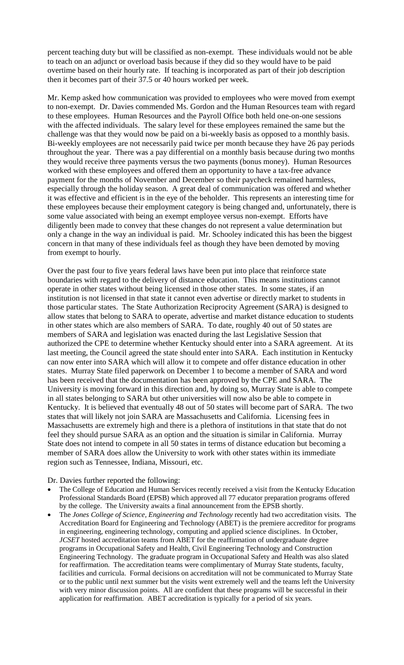percent teaching duty but will be classified as non-exempt. These individuals would not be able to teach on an adjunct or overload basis because if they did so they would have to be paid overtime based on their hourly rate. If teaching is incorporated as part of their job description then it becomes part of their 37.5 or 40 hours worked per week.

Mr. Kemp asked how communication was provided to employees who were moved from exempt to non-exempt. Dr. Davies commended Ms. Gordon and the Human Resources team with regard to these employees. Human Resources and the Payroll Office both held one-on-one sessions with the affected individuals. The salary level for these employees remained the same but the challenge was that they would now be paid on a bi-weekly basis as opposed to a monthly basis. Bi-weekly employees are not necessarily paid twice per month because they have 26 pay periods throughout the year. There was a pay differential on a monthly basis because during two months they would receive three payments versus the two payments (bonus money). Human Resources worked with these employees and offered them an opportunity to have a tax-free advance payment for the months of November and December so their paycheck remained harmless, especially through the holiday season. A great deal of communication was offered and whether it was effective and efficient is in the eye of the beholder. This represents an interesting time for these employees because their employment category is being changed and, unfortunately, there is some value associated with being an exempt employee versus non-exempt. Efforts have diligently been made to convey that these changes do not represent a value determination but only a change in the way an individual is paid. Mr. Schooley indicated this has been the biggest concern in that many of these individuals feel as though they have been demoted by moving from exempt to hourly.

Over the past four to five years federal laws have been put into place that reinforce state boundaries with regard to the delivery of distance education. This means institutions cannot operate in other states without being licensed in those other states. In some states, if an institution is not licensed in that state it cannot even advertise or directly market to students in those particular states. The State Authorization Reciprocity Agreement (SARA) is designed to allow states that belong to SARA to operate, advertise and market distance education to students in other states which are also members of SARA. To date, roughly 40 out of 50 states are members of SARA and legislation was enacted during the last Legislative Session that authorized the CPE to determine whether Kentucky should enter into a SARA agreement. At its last meeting, the Council agreed the state should enter into SARA. Each institution in Kentucky can now enter into SARA which will allow it to compete and offer distance education in other states. Murray State filed paperwork on December 1 to become a member of SARA and word has been received that the documentation has been approved by the CPE and SARA. The University is moving forward in this direction and, by doing so, Murray State is able to compete in all states belonging to SARA but other universities will now also be able to compete in Kentucky. It is believed that eventually 48 out of 50 states will become part of SARA. The two states that will likely not join SARA are Massachusetts and California. Licensing fees in Massachusetts are extremely high and there is a plethora of institutions in that state that do not feel they should pursue SARA as an option and the situation is similar in California. Murray State does not intend to compete in all 50 states in terms of distance education but becoming a member of SARA does allow the University to work with other states within its immediate region such as Tennessee, Indiana, Missouri, etc.

Dr. Davies further reported the following:

- The College of Education and Human Services recently received a visit from the Kentucky Education Professional Standards Board (EPSB) which approved all 77 educator preparation programs offered by the college. The University awaits a final announcement from the EPSB shortly.
- The *Jones College of Science, Engineering and Technology* recently had two accreditation visits. The Accreditation Board for Engineering and Technology (ABET) is the premiere accreditor for programs in engineering, engineering technology, computing and applied science disciplines. In October, *JCSET* hosted accreditation teams from ABET for the reaffirmation of undergraduate degree programs in Occupational Safety and Health, Civil Engineering Technology and Construction Engineering Technology. The graduate program in Occupational Safety and Health was also slated for reaffirmation. The accreditation teams were complimentary of Murray State students, faculty, facilities and curricula. Formal decisions on accreditation will not be communicated to Murray State or to the public until next summer but the visits went extremely well and the teams left the University with very minor discussion points. All are confident that these programs will be successful in their application for reaffirmation. ABET accreditation is typically for a period of six years.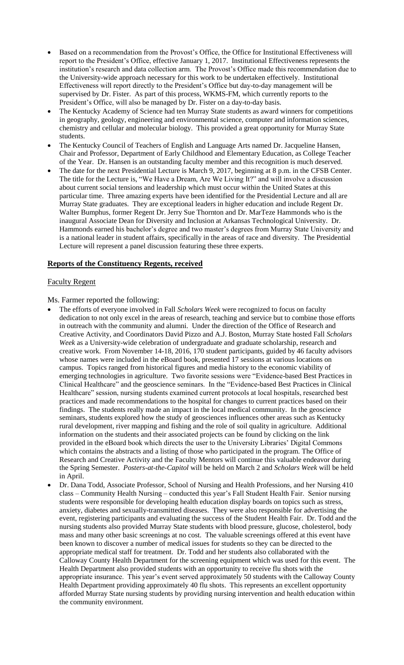- Based on a recommendation from the Provost's Office, the Office for Institutional Effectiveness will report to the President's Office, effective January 1, 2017. Institutional Effectiveness represents the institution's research and data collection arm. The Provost's Office made this recommendation due to the University-wide approach necessary for this work to be undertaken effectively. Institutional Effectiveness will report directly to the President's Office but day-to-day management will be supervised by Dr. Fister. As part of this process, WKMS-FM, which currently reports to the President's Office, will also be managed by Dr. Fister on a day-to-day basis.
- The Kentucky Academy of Science had ten Murray State students as award winners for competitions in geography, geology, engineering and environmental science, computer and information sciences, chemistry and cellular and molecular biology. This provided a great opportunity for Murray State students.
- The Kentucky Council of Teachers of English and Language Arts named Dr. Jacqueline Hansen, Chair and Professor, Department of Early Childhood and Elementary Education, as College Teacher of the Year. Dr. Hansen is an outstanding faculty member and this recognition is much deserved.
- The date for the next Presidential Lecture is March 9, 2017, beginning at 8 p.m. in the CFSB Center. The title for the Lecture is, "We Have a Dream, Are We Living It?" and will involve a discussion about current social tensions and leadership which must occur within the United States at this particular time. Three amazing experts have been identified for the Presidential Lecture and all are Murray State graduates. They are exceptional leaders in higher education and include Regent Dr. Walter Bumphus, former Regent Dr. Jerry Sue Thornton and Dr. MarTeze Hammonds who is the inaugural Associate Dean for Diversity and Inclusion at Arkansas Technological University. Dr. Hammonds earned his bachelor's degree and two master's degrees from Murray State University and is a national leader in student affairs, specifically in the areas of race and diversity. The Presidential Lecture will represent a panel discussion featuring these three experts.

#### **Reports of the Constituency Regents, received**

#### Faculty Regent

Ms. Farmer reported the following:

- The efforts of everyone involved in Fall *Scholars Week* were recognized to focus on faculty dedication to not only excel in the areas of research, teaching and service but to combine those efforts in outreach with the community and alumni. Under the direction of the Office of Research and Creative Activity, and Coordinators David Pizzo and A.J. Boston, Murray State hosted Fall *Scholars Week* as a University-wide celebration of undergraduate and graduate scholarship, research and creative work. From November 14-18, 2016, 170 student participants, guided by 46 faculty advisors whose names were included in the eBoard book, presented 17 sessions at various locations on campus. Topics ranged from historical figures and media history to the economic viability of emerging technologies in agriculture. Two favorite sessions were "Evidence-based Best Practices in Clinical Healthcare" and the geoscience seminars. In the "Evidence-based Best Practices in Clinical Healthcare" session, nursing students examined current protocols at local hospitals, researched best practices and made recommendations to the hospital for changes to current practices based on their findings. The students really made an impact in the local medical community. In the geoscience seminars, students explored how the study of geosciences influences other areas such as Kentucky rural development, river mapping and fishing and the role of soil quality in agriculture. Additional information on the students and their associated projects can be found by clicking on the link provided in the eBoard book which directs the user to the University Libraries' Digital Commons which contains the abstracts and a listing of those who participated in the program. The Office of Research and Creative Activity and the Faculty Mentors will continue this valuable endeavor during the Spring Semester. *Posters-at-the-Capitol* will be held on March 2 and *Scholars Week* will be held in April.
- Dr. Dana Todd, Associate Professor, School of Nursing and Health Professions, and her Nursing 410 class – Community Health Nursing – conducted this year's Fall Student Health Fair. Senior nursing students were responsible for developing health education display boards on topics such as stress, anxiety, diabetes and sexually-transmitted diseases. They were also responsible for advertising the event, registering participants and evaluating the success of the Student Health Fair. Dr. Todd and the nursing students also provided Murray State students with blood pressure, glucose, cholesterol, body mass and many other basic screenings at no cost. The valuable screenings offered at this event have been known to discover a number of medical issues for students so they can be directed to the appropriate medical staff for treatment. Dr. Todd and her students also collaborated with the Calloway County Health Department for the screening equipment which was used for this event. The Health Department also provided students with an opportunity to receive flu shots with the appropriate insurance. This year's event served approximately 50 students with the Calloway County Health Department providing approximately 40 flu shots. This represents an excellent opportunity afforded Murray State nursing students by providing nursing intervention and health education within the community environment.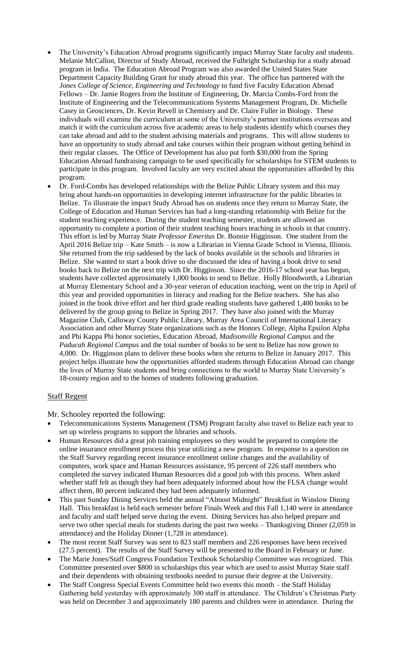- The University's Education Abroad programs significantly impact Murray State faculty and students. Melanie McCallon, Director of Study Abroad, received the Fulbright Scholarship for a study abroad program in India. The Education Abroad Program was also awarded the United States State Department Capacity Building Grant for study abroad this year. The office has partnered with the *Jones College of Science, Engineering and Technology* to fund five Faculty Education Abroad Fellows – Dr. Jamie Rogers from the Institute of Engineering, Dr. Marcia Combs-Ford from the Institute of Engineering and the Telecommunications Systems Management Program, Dr. Michelle Casey in Geosciences, Dr. Kevin Revell in Chemistry and Dr. Claire Fuller in Biology. These individuals will examine the curriculum at some of the University's partner institutions overseas and match it with the curriculum across five academic areas to help students identify which courses they can take abroad and add to the student advising materials and programs. This will allow students to have an opportunity to study abroad and take courses within their program without getting behind in their regular classes. The Office of Development has also put forth \$30,000 from the Spring Education Abroad fundraising campaign to be used specifically for scholarships for STEM students to participate in this program. Involved faculty are very excited about the opportunities afforded by this program.
- Dr. Ford-Combs has developed relationships with the Belize Public Library system and this may bring about hands-on opportunities in developing internet infrastructure for the public libraries in Belize. To illustrate the impact Study Abroad has on students once they return to Murray State, the College of Education and Human Services has had a long-standing relationship with Belize for the student teaching experience. During the student teaching semester, students are allowed an opportunity to complete a portion of their student teaching hours teaching in schools in that country. This effort is led by Murray State *Professor Emeritus* Dr. Bonnie Higginson. One student from the April 2016 Belize trip – Kate Smith – is now a Librarian in Vienna Grade School in Vienna, Illinois. She returned from the trip saddened by the lack of books available in the schools and libraries in Belize. She wanted to start a book drive so she discussed the idea of having a book drive to send books back to Belize on the next trip with Dr. Higginson. Since the 2016-17 school year has begun, students have collected approximately 1,000 books to send to Belize. Holly Bloodworth, a Librarian at Murray Elementary School and a 30-year veteran of education teaching, went on the trip in April of this year and provided opportunities in literacy and reading for the Belize teachers. She has also joined in the book drive effort and her third grade reading students have gathered 1,400 books to be delivered by the group going to Belize in Spring 2017. They have also joined with the Murray Magazine Club, Calloway County Public Library, Murray Area Council of International Literacy Association and other Murray State organizations such as the Honors College, Alpha Epsilon Alpha and Phi Kappa Phi honor societies, Education Abroad, *Madisonville Regional Campus* and the *Paducah Regional Campus* and the total number of books to be sent to Belize has now grown to 4,000. Dr. Higginson plans to deliver these books when she returns to Belize in January 2017. This project helps illustrate how the opportunities afforded students through Education Abroad can change the lives of Murray State students and bring connections to the world to Murray State University's 18-county region and to the homes of students following graduation.

# Staff Regent

Mr. Schooley reported the following:

- Telecommunications Systems Management (TSM) Program faculty also travel to Belize each year to set up wireless programs to support the libraries and schools.
- Human Resources did a great job training employees so they would be prepared to complete the online insurance enrollment process this year utilizing a new program. In response to a question on the Staff Survey regarding recent insurance enrollment online changes and the availability of computers, work space and Human Resources assistance, 95 percent of 226 staff members who completed the survey indicated Human Resources did a good job with this process. When asked whether staff felt as though they had been adequately informed about how the FLSA change would affect them, 80 percent indicated they had been adequately informed.
- This past Sunday Dining Services held the annual "Almost Midnight" Breakfast in Winslow Dining Hall. This breakfast is held each semester before Finals Week and this Fall 1,140 were in attendance and faculty and staff helped serve during the event. Dining Services has also helped prepare and serve two other special meals for students during the past two weeks – Thanksgiving Dinner (2,059 in attendance) and the Holiday Dinner (1,728 in attendance).
- The most recent Staff Survey was sent to 823 staff members and 226 responses have been received (27.5 percent). The results of the Staff Survey will be presented to the Board in February or June.
- The Marie Jones/Staff Congress Foundation Textbook Scholarship Committee was recognized. This Committee presented over \$800 in scholarships this year which are used to assist Murray State staff and their dependents with obtaining textbooks needed to pursue their degree at the University.
- The Staff Congress Special Events Committee held two events this month the Staff Holiday Gathering held yesterday with approximately 300 staff in attendance. The Children's Christmas Party was held on December 3 and approximately 180 parents and children were in attendance. During the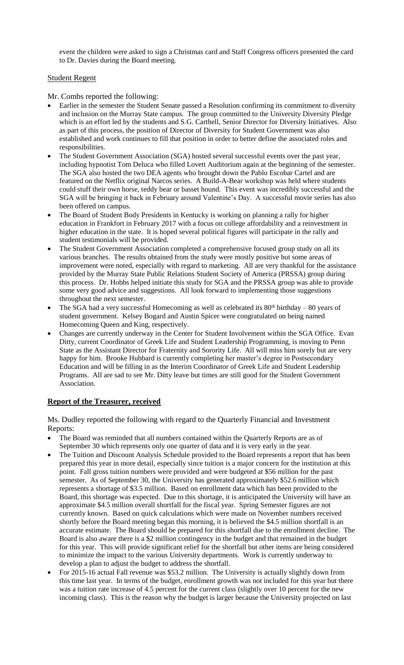event the children were asked to sign a Christmas card and Staff Congress officers presented the card to Dr. Davies during the Board meeting.

#### Student Regent

Mr. Combs reported the following:

- Earlier in the semester the Student Senate passed a Resolution confirming its commitment to diversity and inclusion on the Murray State campus. The group committed to the University Diversity Pledge which is an effort led by the students and S.G. Carthell, Senior Director for Diversity Initiatives. Also as part of this process, the position of Director of Diversity for Student Government was also established and work continues to fill that position in order to better define the associated roles and responsibilities.
- The Student Government Association (SGA) hosted several successful events over the past year, including hypnotist Tom Deluca who filled Lovett Auditorium again at the beginning of the semester. The SGA also hosted the two DEA agents who brought down the Pablo Escobar Cartel and are featured on the Netflix original Narcos series. A Build-A-Bear workshop was held where students could stuff their own horse, teddy bear or basset hound. This event was incredibly successful and the SGA will be bringing it back in February around Valentine's Day. A successful movie series has also been offered on campus.
- The Board of Student Body Presidents in Kentucky is working on planning a rally for higher education in Frankfort in February 2017 with a focus on college affordability and a reinvestment in higher education in the state. It is hoped several political figures will participate in the rally and student testimonials will be provided.
- The Student Government Association completed a comprehensive focused group study on all its various branches. The results obtained from the study were mostly positive but some areas of improvement were noted, especially with regard to marketing. All are very thankful for the assistance provided by the Murray State Public Relations Student Society of America (PRSSA) group during this process. Dr. Hobbs helped initiate this study for SGA and the PRSSA group was able to provide some very good advice and suggestions. All look forward to implementing those suggestions throughout the next semester.
- The SGA had a very successful Homecoming as well as celebrated its  $80<sup>th</sup>$  birthday 80 years of student government. Kelsey Bogard and Austin Spicer were congratulated on being named Homecoming Queen and King, respectively.
- Changes are currently underway in the Center for Student Involvement within the SGA Office. Evan Ditty, current Coordinator of Greek Life and Student Leadership Programming, is moving to Penn State as the Assistant Director for Fraternity and Sorority Life. All will miss him sorely but are very happy for him. Brooke Hubbard is currently completing her master's degree in Postsecondary Education and will be filling in as the Interim Coordinator of Greek Life and Student Leadership Programs. All are sad to see Mr. Ditty leave but times are still good for the Student Government Association.

#### **Report of the Treasurer, received**

Ms. Dudley reported the following with regard to the Quarterly Financial and Investment Reports:

- The Board was reminded that all numbers contained within the Quarterly Reports are as of September 30 which represents only one quarter of data and it is very early in the year.
- The Tuition and Discount Analysis Schedule provided to the Board represents a report that has been prepared this year in more detail, especially since tuition is a major concern for the institution at this point. Fall gross tuition numbers were provided and were budgeted at \$56 million for the past semester. As of September 30, the University has generated approximately \$52.6 million which represents a shortage of \$3.5 million. Based on enrollment data which has been provided to the Board, this shortage was expected. Due to this shortage, it is anticipated the University will have an approximate \$4.5 million overall shortfall for the fiscal year. Spring Semester figures are not currently known. Based on quick calculations which were made on November numbers received shortly before the Board meeting began this morning, it is believed the \$4.5 million shortfall is an accurate estimate. The Board should be prepared for this shortfall due to the enrollment decline. The Board is also aware there is a \$2 million contingency in the budget and that remained in the budget for this year. This will provide significant relief for the shortfall but other items are being considered to minimize the impact to the various University departments. Work is currently underway to develop a plan to adjust the budget to address the shortfall.
- For 2015-16 actual Fall revenue was \$53.2 million. The University is actually slightly down from this time last year. In terms of the budget, enrollment growth was not included for this year but there was a tuition rate increase of 4.5 percent for the current class (slightly over 10 percent for the new incoming class). This is the reason why the budget is larger because the University projected on last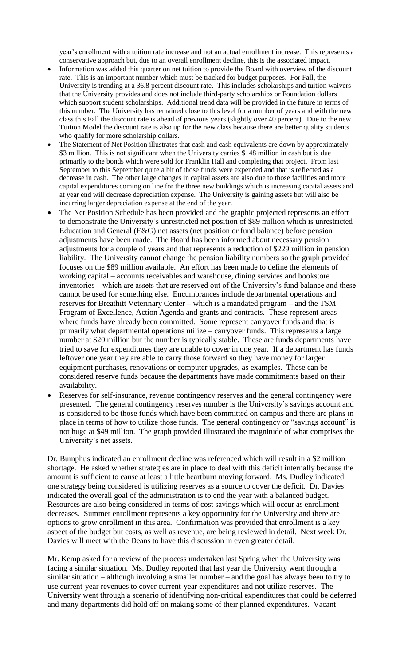year's enrollment with a tuition rate increase and not an actual enrollment increase. This represents a conservative approach but, due to an overall enrollment decline, this is the associated impact.

- Information was added this quarter on net tuition to provide the Board with overview of the discount rate. This is an important number which must be tracked for budget purposes. For Fall, the University is trending at a 36.8 percent discount rate. This includes scholarships and tuition waivers that the University provides and does not include third-party scholarships or Foundation dollars which support student scholarships. Additional trend data will be provided in the future in terms of this number. The University has remained close to this level for a number of years and with the new class this Fall the discount rate is ahead of previous years (slightly over 40 percent). Due to the new Tuition Model the discount rate is also up for the new class because there are better quality students who qualify for more scholarship dollars.
- The Statement of Net Position illustrates that cash and cash equivalents are down by approximately \$3 million. This is not significant when the University carries \$148 million in cash but is due primarily to the bonds which were sold for Franklin Hall and completing that project. From last September to this September quite a bit of those funds were expended and that is reflected as a decrease in cash. The other large changes in capital assets are also due to those facilities and more capital expenditures coming on line for the three new buildings which is increasing capital assets and at year end will decrease depreciation expense. The University is gaining assets but will also be incurring larger depreciation expense at the end of the year.
- The Net Position Schedule has been provided and the graphic projected represents an effort to demonstrate the University's unrestricted net position of \$89 million which is unrestricted Education and General (E&G) net assets (net position or fund balance) before pension adjustments have been made. The Board has been informed about necessary pension adjustments for a couple of years and that represents a reduction of \$229 million in pension liability. The University cannot change the pension liability numbers so the graph provided focuses on the \$89 million available. An effort has been made to define the elements of working capital – accounts receivables and warehouse, dining services and bookstore inventories – which are assets that are reserved out of the University's fund balance and these cannot be used for something else. Encumbrances include departmental operations and reserves for Breathitt Veterinary Center – which is a mandated program – and the TSM Program of Excellence, Action Agenda and grants and contracts. These represent areas where funds have already been committed. Some represent carryover funds and that is primarily what departmental operations utilize – carryover funds. This represents a large number at \$20 million but the number is typically stable. These are funds departments have tried to save for expenditures they are unable to cover in one year. If a department has funds leftover one year they are able to carry those forward so they have money for larger equipment purchases, renovations or computer upgrades, as examples. These can be considered reserve funds because the departments have made commitments based on their availability.
- Reserves for self-insurance, revenue contingency reserves and the general contingency were presented. The general contingency reserves number is the University's savings account and is considered to be those funds which have been committed on campus and there are plans in place in terms of how to utilize those funds. The general contingency or "savings account" is not huge at \$49 million. The graph provided illustrated the magnitude of what comprises the University's net assets.

Dr. Bumphus indicated an enrollment decline was referenced which will result in a \$2 million shortage. He asked whether strategies are in place to deal with this deficit internally because the amount is sufficient to cause at least a little heartburn moving forward. Ms. Dudley indicated one strategy being considered is utilizing reserves as a source to cover the deficit. Dr. Davies indicated the overall goal of the administration is to end the year with a balanced budget. Resources are also being considered in terms of cost savings which will occur as enrollment decreases. Summer enrollment represents a key opportunity for the University and there are options to grow enrollment in this area. Confirmation was provided that enrollment is a key aspect of the budget but costs, as well as revenue, are being reviewed in detail. Next week Dr. Davies will meet with the Deans to have this discussion in even greater detail.

Mr. Kemp asked for a review of the process undertaken last Spring when the University was facing a similar situation. Ms. Dudley reported that last year the University went through a similar situation – although involving a smaller number – and the goal has always been to try to use current-year revenues to cover current-year expenditures and not utilize reserves. The University went through a scenario of identifying non-critical expenditures that could be deferred and many departments did hold off on making some of their planned expenditures. Vacant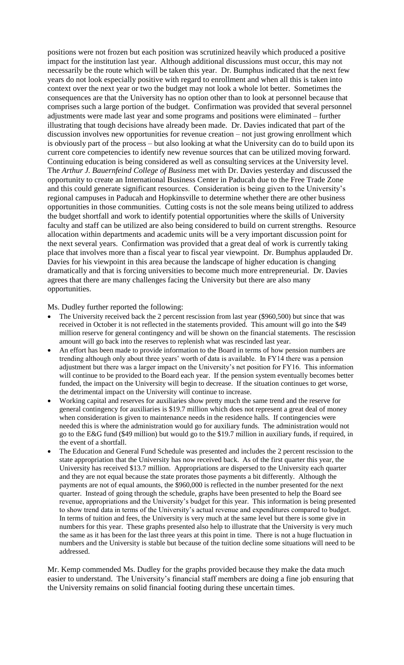positions were not frozen but each position was scrutinized heavily which produced a positive impact for the institution last year. Although additional discussions must occur, this may not necessarily be the route which will be taken this year. Dr. Bumphus indicated that the next few years do not look especially positive with regard to enrollment and when all this is taken into context over the next year or two the budget may not look a whole lot better. Sometimes the consequences are that the University has no option other than to look at personnel because that comprises such a large portion of the budget. Confirmation was provided that several personnel adjustments were made last year and some programs and positions were eliminated – further illustrating that tough decisions have already been made. Dr. Davies indicated that part of the discussion involves new opportunities for revenue creation – not just growing enrollment which is obviously part of the process – but also looking at what the University can do to build upon its current core competencies to identify new revenue sources that can be utilized moving forward. Continuing education is being considered as well as consulting services at the University level. The *Arthur J. Bauernfeind College of Business* met with Dr. Davies yesterday and discussed the opportunity to create an International Business Center in Paducah due to the Free Trade Zone and this could generate significant resources. Consideration is being given to the University's regional campuses in Paducah and Hopkinsville to determine whether there are other business opportunities in those communities. Cutting costs is not the sole means being utilized to address the budget shortfall and work to identify potential opportunities where the skills of University faculty and staff can be utilized are also being considered to build on current strengths. Resource allocation within departments and academic units will be a very important discussion point for the next several years. Confirmation was provided that a great deal of work is currently taking place that involves more than a fiscal year to fiscal year viewpoint. Dr. Bumphus applauded Dr. Davies for his viewpoint in this area because the landscape of higher education is changing dramatically and that is forcing universities to become much more entrepreneurial. Dr. Davies agrees that there are many challenges facing the University but there are also many opportunities.

Ms. Dudley further reported the following:

- The University received back the 2 percent rescission from last year (\$960,500) but since that was received in October it is not reflected in the statements provided. This amount will go into the \$49 million reserve for general contingency and will be shown on the financial statements. The rescission amount will go back into the reserves to replenish what was rescinded last year.
- An effort has been made to provide information to the Board in terms of how pension numbers are trending although only about three years' worth of data is available. In FY14 there was a pension adjustment but there was a larger impact on the University's net position for FY16. This information will continue to be provided to the Board each year. If the pension system eventually becomes better funded, the impact on the University will begin to decrease. If the situation continues to get worse, the detrimental impact on the University will continue to increase.
- Working capital and reserves for auxiliaries show pretty much the same trend and the reserve for general contingency for auxiliaries is \$19.7 million which does not represent a great deal of money when consideration is given to maintenance needs in the residence halls. If contingencies were needed this is where the administration would go for auxiliary funds. The administration would not go to the E&G fund (\$49 million) but would go to the \$19.7 million in auxiliary funds, if required, in the event of a shortfall.
- The Education and General Fund Schedule was presented and includes the 2 percent rescission to the state appropriation that the University has now received back. As of the first quarter this year, the University has received \$13.7 million. Appropriations are dispersed to the University each quarter and they are not equal because the state prorates those payments a bit differently. Although the payments are not of equal amounts, the \$960,000 is reflected in the number presented for the next quarter. Instead of going through the schedule, graphs have been presented to help the Board see revenue, appropriations and the University's budget for this year. This information is being presented to show trend data in terms of the University's actual revenue and expenditures compared to budget. In terms of tuition and fees, the University is very much at the same level but there is some give in numbers for this year. These graphs presented also help to illustrate that the University is very much the same as it has been for the last three years at this point in time. There is not a huge fluctuation in numbers and the University is stable but because of the tuition decline some situations will need to be addressed.

Mr. Kemp commended Ms. Dudley for the graphs provided because they make the data much easier to understand. The University's financial staff members are doing a fine job ensuring that the University remains on solid financial footing during these uncertain times.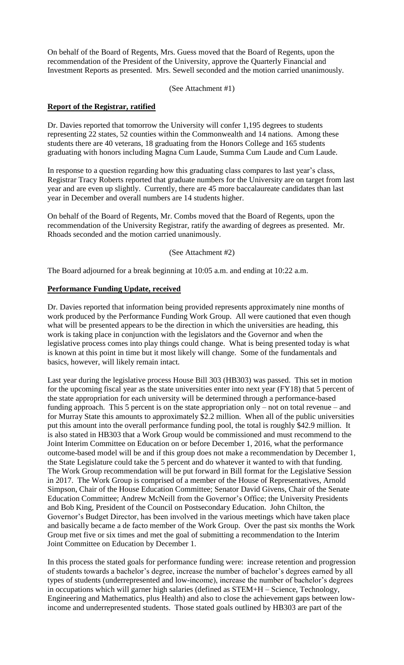On behalf of the Board of Regents, Mrs. Guess moved that the Board of Regents, upon the recommendation of the President of the University, approve the Quarterly Financial and Investment Reports as presented. Mrs. Sewell seconded and the motion carried unanimously.

(See Attachment #1)

#### **Report of the Registrar, ratified**

Dr. Davies reported that tomorrow the University will confer 1,195 degrees to students representing 22 states, 52 counties within the Commonwealth and 14 nations. Among these students there are 40 veterans, 18 graduating from the Honors College and 165 students graduating with honors including Magna Cum Laude, Summa Cum Laude and Cum Laude.

In response to a question regarding how this graduating class compares to last year's class, Registrar Tracy Roberts reported that graduate numbers for the University are on target from last year and are even up slightly. Currently, there are 45 more baccalaureate candidates than last year in December and overall numbers are 14 students higher.

On behalf of the Board of Regents, Mr. Combs moved that the Board of Regents, upon the recommendation of the University Registrar, ratify the awarding of degrees as presented. Mr. Rhoads seconded and the motion carried unanimously.

#### (See Attachment #2)

The Board adjourned for a break beginning at 10:05 a.m. and ending at 10:22 a.m.

#### **Performance Funding Update, received**

Dr. Davies reported that information being provided represents approximately nine months of work produced by the Performance Funding Work Group. All were cautioned that even though what will be presented appears to be the direction in which the universities are heading, this work is taking place in conjunction with the legislators and the Governor and when the legislative process comes into play things could change. What is being presented today is what is known at this point in time but it most likely will change. Some of the fundamentals and basics, however, will likely remain intact.

Last year during the legislative process House Bill 303 (HB303) was passed. This set in motion for the upcoming fiscal year as the state universities enter into next year (FY18) that 5 percent of the state appropriation for each university will be determined through a performance-based funding approach. This 5 percent is on the state appropriation only – not on total revenue – and for Murray State this amounts to approximately \$2.2 million. When all of the public universities put this amount into the overall performance funding pool, the total is roughly \$42.9 million. It is also stated in HB303 that a Work Group would be commissioned and must recommend to the Joint Interim Committee on Education on or before December 1, 2016, what the performance outcome-based model will be and if this group does not make a recommendation by December 1, the State Legislature could take the 5 percent and do whatever it wanted to with that funding. The Work Group recommendation will be put forward in Bill format for the Legislative Session in 2017. The Work Group is comprised of a member of the House of Representatives, Arnold Simpson, Chair of the House Education Committee; Senator David Givens, Chair of the Senate Education Committee; Andrew McNeill from the Governor's Office; the University Presidents and Bob King, President of the Council on Postsecondary Education. John Chilton, the Governor's Budget Director, has been involved in the various meetings which have taken place and basically became a de facto member of the Work Group. Over the past six months the Work Group met five or six times and met the goal of submitting a recommendation to the Interim Joint Committee on Education by December 1.

In this process the stated goals for performance funding were: increase retention and progression of students towards a bachelor's degree, increase the number of bachelor's degrees earned by all types of students (underrepresented and low-income), increase the number of bachelor's degrees in occupations which will garner high salaries (defined as STEM+H – Science, Technology, Engineering and Mathematics, plus Health) and also to close the achievement gaps between lowincome and underrepresented students. Those stated goals outlined by HB303 are part of the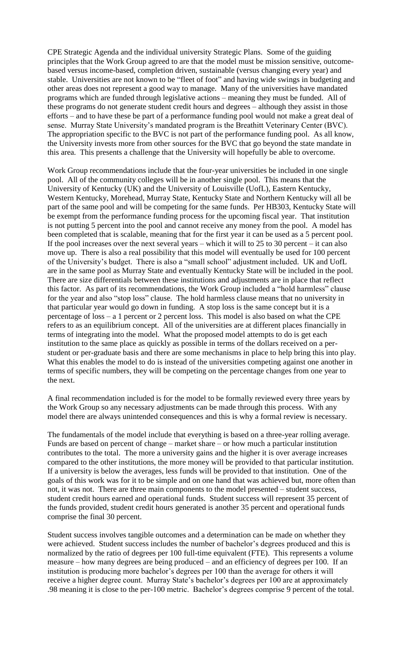CPE Strategic Agenda and the individual university Strategic Plans. Some of the guiding principles that the Work Group agreed to are that the model must be mission sensitive, outcomebased versus income-based, completion driven, sustainable (versus changing every year) and stable. Universities are not known to be "fleet of foot" and having wide swings in budgeting and other areas does not represent a good way to manage. Many of the universities have mandated programs which are funded through legislative actions – meaning they must be funded. All of these programs do not generate student credit hours and degrees – although they assist in those efforts – and to have these be part of a performance funding pool would not make a great deal of sense. Murray State University's mandated program is the Breathitt Veterinary Center (BVC). The appropriation specific to the BVC is not part of the performance funding pool. As all know, the University invests more from other sources for the BVC that go beyond the state mandate in this area. This presents a challenge that the University will hopefully be able to overcome.

Work Group recommendations include that the four-year universities be included in one single pool. All of the community colleges will be in another single pool. This means that the University of Kentucky (UK) and the University of Louisville (UofL), Eastern Kentucky, Western Kentucky, Morehead, Murray State, Kentucky State and Northern Kentucky will all be part of the same pool and will be competing for the same funds. Per HB303, Kentucky State will be exempt from the performance funding process for the upcoming fiscal year. That institution is not putting 5 percent into the pool and cannot receive any money from the pool. A model has been completed that is scalable, meaning that for the first year it can be used as a 5 percent pool. If the pool increases over the next several years – which it will to 25 to 30 percent – it can also move up. There is also a real possibility that this model will eventually be used for 100 percent of the University's budget. There is also a "small school" adjustment included. UK and UofL are in the same pool as Murray State and eventually Kentucky State will be included in the pool. There are size differentials between these institutions and adjustments are in place that reflect this factor. As part of its recommendations, the Work Group included a "hold harmless" clause for the year and also "stop loss" clause. The hold harmless clause means that no university in that particular year would go down in funding. A stop loss is the same concept but it is a percentage of loss – a 1 percent or 2 percent loss. This model is also based on what the CPE refers to as an equilibrium concept. All of the universities are at different places financially in terms of integrating into the model. What the proposed model attempts to do is get each institution to the same place as quickly as possible in terms of the dollars received on a perstudent or per-graduate basis and there are some mechanisms in place to help bring this into play. What this enables the model to do is instead of the universities competing against one another in terms of specific numbers, they will be competing on the percentage changes from one year to the next.

A final recommendation included is for the model to be formally reviewed every three years by the Work Group so any necessary adjustments can be made through this process. With any model there are always unintended consequences and this is why a formal review is necessary.

The fundamentals of the model include that everything is based on a three-year rolling average. Funds are based on percent of change – market share – or how much a particular institution contributes to the total. The more a university gains and the higher it is over average increases compared to the other institutions, the more money will be provided to that particular institution. If a university is below the averages, less funds will be provided to that institution. One of the goals of this work was for it to be simple and on one hand that was achieved but, more often than not, it was not. There are three main components to the model presented – student success, student credit hours earned and operational funds. Student success will represent 35 percent of the funds provided, student credit hours generated is another 35 percent and operational funds comprise the final 30 percent.

Student success involves tangible outcomes and a determination can be made on whether they were achieved. Student success includes the number of bachelor's degrees produced and this is normalized by the ratio of degrees per 100 full-time equivalent (FTE). This represents a volume measure – how many degrees are being produced – and an efficiency of degrees per 100. If an institution is producing more bachelor's degrees per 100 than the average for others it will receive a higher degree count. Murray State's bachelor's degrees per 100 are at approximately .98 meaning it is close to the per-100 metric. Bachelor's degrees comprise 9 percent of the total.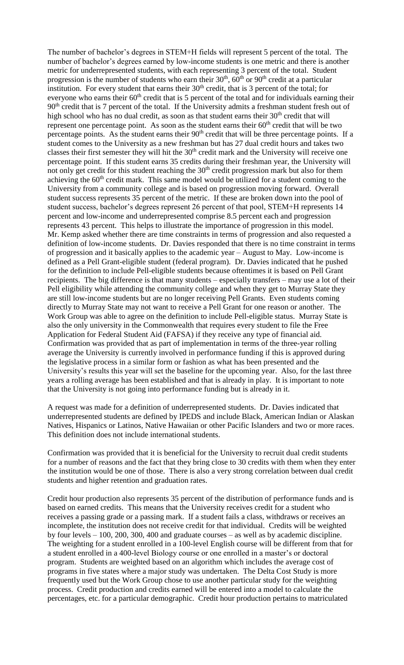The number of bachelor's degrees in STEM+H fields will represent 5 percent of the total. The number of bachelor's degrees earned by low-income students is one metric and there is another metric for underrepresented students, with each representing 3 percent of the total. Student progression is the number of students who earn their  $30<sup>th</sup>$ ,  $60<sup>th</sup>$  or  $90<sup>th</sup>$  credit at a particular institution. For every student that earns their  $30<sup>th</sup>$  credit, that is 3 percent of the total; for everyone who earns their 60<sup>th</sup> credit that is 5 percent of the total and for individuals earning their 90<sup>th</sup> credit that is 7 percent of the total. If the University admits a freshman student fresh out of high school who has no dual credit, as soon as that student earns their  $30<sup>th</sup>$  credit that will represent one percentage point. As soon as the student earns their  $60<sup>th</sup>$  credit that will be two percentage points. As the student earns their 90<sup>th</sup> credit that will be three percentage points. If a student comes to the University as a new freshman but has 27 dual credit hours and takes two classes their first semester they will hit the  $30<sup>th</sup>$  credit mark and the University will receive one percentage point. If this student earns 35 credits during their freshman year, the University will not only get credit for this student reaching the  $30<sup>th</sup>$  credit progression mark but also for them achieving the  $60<sup>th</sup>$  credit mark. This same model would be utilized for a student coming to the University from a community college and is based on progression moving forward. Overall student success represents 35 percent of the metric. If these are broken down into the pool of student success, bachelor's degrees represent 26 percent of that pool, STEM+H represents 14 percent and low-income and underrepresented comprise 8.5 percent each and progression represents 43 percent. This helps to illustrate the importance of progression in this model. Mr. Kemp asked whether there are time constraints in terms of progression and also requested a definition of low-income students. Dr. Davies responded that there is no time constraint in terms of progression and it basically applies to the academic year – August to May. Low-income is defined as a Pell Grant-eligible student (federal program). Dr. Davies indicated that he pushed for the definition to include Pell-eligible students because oftentimes it is based on Pell Grant recipients. The big difference is that many students – especially transfers – may use a lot of their Pell eligibility while attending the community college and when they get to Murray State they are still low-income students but are no longer receiving Pell Grants. Even students coming directly to Murray State may not want to receive a Pell Grant for one reason or another. The Work Group was able to agree on the definition to include Pell-eligible status. Murray State is also the only university in the Commonwealth that requires every student to file the Free Application for Federal Student Aid (FAFSA) if they receive any type of financial aid. Confirmation was provided that as part of implementation in terms of the three-year rolling average the University is currently involved in performance funding if this is approved during the legislative process in a similar form or fashion as what has been presented and the University's results this year will set the baseline for the upcoming year. Also, for the last three years a rolling average has been established and that is already in play. It is important to note that the University is not going into performance funding but is already in it.

A request was made for a definition of underrepresented students. Dr. Davies indicated that underrepresented students are defined by IPEDS and include Black, American Indian or Alaskan Natives, Hispanics or Latinos, Native Hawaiian or other Pacific Islanders and two or more races. This definition does not include international students.

Confirmation was provided that it is beneficial for the University to recruit dual credit students for a number of reasons and the fact that they bring close to 30 credits with them when they enter the institution would be one of those. There is also a very strong correlation between dual credit students and higher retention and graduation rates.

Credit hour production also represents 35 percent of the distribution of performance funds and is based on earned credits. This means that the University receives credit for a student who receives a passing grade or a passing mark. If a student fails a class, withdraws or receives an incomplete, the institution does not receive credit for that individual. Credits will be weighted by four levels – 100, 200, 300, 400 and graduate courses – as well as by academic discipline. The weighting for a student enrolled in a 100-level English course will be different from that for a student enrolled in a 400-level Biology course or one enrolled in a master's or doctoral program. Students are weighted based on an algorithm which includes the average cost of programs in five states where a major study was undertaken. The Delta Cost Study is more frequently used but the Work Group chose to use another particular study for the weighting process. Credit production and credits earned will be entered into a model to calculate the percentages, etc. for a particular demographic. Credit hour production pertains to matriculated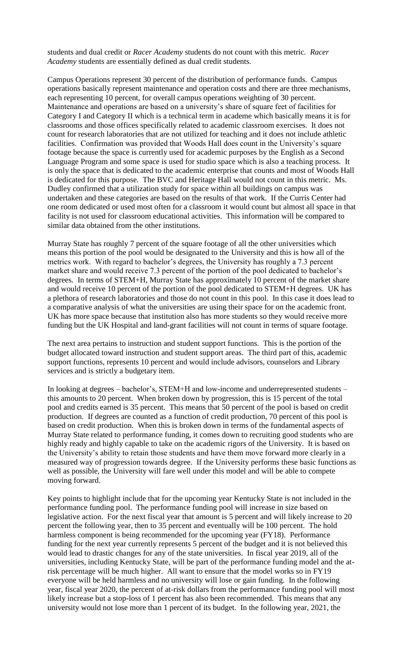students and dual credit or *Racer Academy* students do not count with this metric*. Racer Academy* students are essentially defined as dual credit students.

Campus Operations represent 30 percent of the distribution of performance funds. Campus operations basically represent maintenance and operation costs and there are three mechanisms, each representing 10 percent, for overall campus operations weighting of 30 percent. Maintenance and operations are based on a university's share of square feet of facilities for Category I and Category II which is a technical term in academe which basically means it is for classrooms and those offices specifically related to academic classroom exercises. It does not count for research laboratories that are not utilized for teaching and it does not include athletic facilities. Confirmation was provided that Woods Hall does count in the University's square footage because the space is currently used for academic purposes by the English as a Second Language Program and some space is used for studio space which is also a teaching process. It is only the space that is dedicated to the academic enterprise that counts and most of Woods Hall is dedicated for this purpose. The BVC and Heritage Hall would not count in this metric. Ms. Dudley confirmed that a utilization study for space within all buildings on campus was undertaken and these categories are based on the results of that work. If the Curris Center had one room dedicated or used most often for a classroom it would count but almost all space in that facility is not used for classroom educational activities. This information will be compared to similar data obtained from the other institutions.

Murray State has roughly 7 percent of the square footage of all the other universities which means this portion of the pool would be designated to the University and this is how all of the metrics work. With regard to bachelor's degrees, the University has roughly a 7.3 percent market share and would receive 7.3 percent of the portion of the pool dedicated to bachelor's degrees. In terms of STEM+H, Murray State has approximately 10 percent of the market share and would receive 10 percent of the portion of the pool dedicated to STEM+H degrees. UK has a plethora of research laboratories and those do not count in this pool. In this case it does lead to a comparative analysis of what the universities are using their space for on the academic front. UK has more space because that institution also has more students so they would receive more funding but the UK Hospital and land-grant facilities will not count in terms of square footage.

The next area pertains to instruction and student support functions. This is the portion of the budget allocated toward instruction and student support areas. The third part of this, academic support functions, represents 10 percent and would include advisors, counselors and Library services and is strictly a budgetary item.

In looking at degrees – bachelor's, STEM+H and low-income and underrepresented students – this amounts to 20 percent. When broken down by progression, this is 15 percent of the total pool and credits earned is 35 percent. This means that 50 percent of the pool is based on credit production. If degrees are counted as a function of credit production, 70 percent of this pool is based on credit production. When this is broken down in terms of the fundamental aspects of Murray State related to performance funding, it comes down to recruiting good students who are highly ready and highly capable to take on the academic rigors of the University. It is based on the University's ability to retain those students and have them move forward more clearly in a measured way of progression towards degree. If the University performs these basic functions as well as possible, the University will fare well under this model and will be able to compete moving forward.

Key points to highlight include that for the upcoming year Kentucky State is not included in the performance funding pool. The performance funding pool will increase in size based on legislative action. For the next fiscal year that amount is 5 percent and will likely increase to 20 percent the following year, then to 35 percent and eventually will be 100 percent. The hold harmless component is being recommended for the upcoming year (FY18). Performance funding for the next year currently represents 5 percent of the budget and it is not believed this would lead to drastic changes for any of the state universities. In fiscal year 2019, all of the universities, including Kentucky State, will be part of the performance funding model and the atrisk percentage will be much higher. All want to ensure that the model works so in FY19 everyone will be held harmless and no university will lose or gain funding. In the following year, fiscal year 2020, the percent of at-risk dollars from the performance funding pool will most likely increase but a stop-loss of 1 percent has also been recommended. This means that any university would not lose more than 1 percent of its budget. In the following year, 2021, the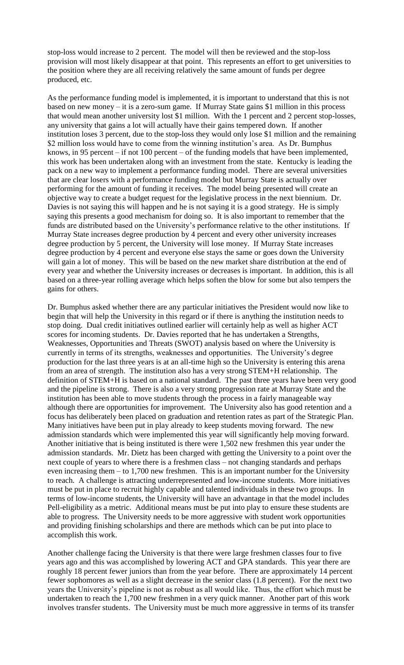stop-loss would increase to 2 percent. The model will then be reviewed and the stop-loss provision will most likely disappear at that point. This represents an effort to get universities to the position where they are all receiving relatively the same amount of funds per degree produced, etc.

As the performance funding model is implemented, it is important to understand that this is not based on new money – it is a zero-sum game. If Murray State gains \$1 million in this process that would mean another university lost \$1 million. With the 1 percent and 2 percent stop-losses, any university that gains a lot will actually have their gains tempered down. If another institution loses 3 percent, due to the stop-loss they would only lose \$1 million and the remaining \$2 million loss would have to come from the winning institution's area. As Dr. Bumphus knows, in 95 percent – if not 100 percent – of the funding models that have been implemented, this work has been undertaken along with an investment from the state. Kentucky is leading the pack on a new way to implement a performance funding model. There are several universities that are clear losers with a performance funding model but Murray State is actually over performing for the amount of funding it receives. The model being presented will create an objective way to create a budget request for the legislative process in the next biennium. Dr. Davies is not saying this will happen and he is not saying it is a good strategy. He is simply saying this presents a good mechanism for doing so. It is also important to remember that the funds are distributed based on the University's performance relative to the other institutions. If Murray State increases degree production by 4 percent and every other university increases degree production by 5 percent, the University will lose money. If Murray State increases degree production by 4 percent and everyone else stays the same or goes down the University will gain a lot of money. This will be based on the new market share distribution at the end of every year and whether the University increases or decreases is important. In addition, this is all based on a three-year rolling average which helps soften the blow for some but also tempers the gains for others.

Dr. Bumphus asked whether there are any particular initiatives the President would now like to begin that will help the University in this regard or if there is anything the institution needs to stop doing. Dual credit initiatives outlined earlier will certainly help as well as higher ACT scores for incoming students. Dr. Davies reported that he has undertaken a Strengths, Weaknesses, Opportunities and Threats (SWOT) analysis based on where the University is currently in terms of its strengths, weaknesses and opportunities. The University's degree production for the last three years is at an all-time high so the University is entering this arena from an area of strength. The institution also has a very strong STEM+H relationship. The definition of STEM+H is based on a national standard. The past three years have been very good and the pipeline is strong. There is also a very strong progression rate at Murray State and the institution has been able to move students through the process in a fairly manageable way although there are opportunities for improvement. The University also has good retention and a focus has deliberately been placed on graduation and retention rates as part of the Strategic Plan. Many initiatives have been put in play already to keep students moving forward. The new admission standards which were implemented this year will significantly help moving forward. Another initiative that is being instituted is there were 1,502 new freshmen this year under the admission standards. Mr. Dietz has been charged with getting the University to a point over the next couple of years to where there is a freshmen class – not changing standards and perhaps even increasing them – to 1,700 new freshmen. This is an important number for the University to reach. A challenge is attracting underrepresented and low-income students. More initiatives must be put in place to recruit highly capable and talented individuals in these two groups. In terms of low-income students, the University will have an advantage in that the model includes Pell-eligibility as a metric. Additional means must be put into play to ensure these students are able to progress. The University needs to be more aggressive with student work opportunities and providing finishing scholarships and there are methods which can be put into place to accomplish this work.

Another challenge facing the University is that there were large freshmen classes four to five years ago and this was accomplished by lowering ACT and GPA standards. This year there are roughly 18 percent fewer juniors than from the year before. There are approximately 14 percent fewer sophomores as well as a slight decrease in the senior class (1.8 percent). For the next two years the University's pipeline is not as robust as all would like. Thus, the effort which must be undertaken to reach the 1,700 new freshmen in a very quick manner. Another part of this work involves transfer students. The University must be much more aggressive in terms of its transfer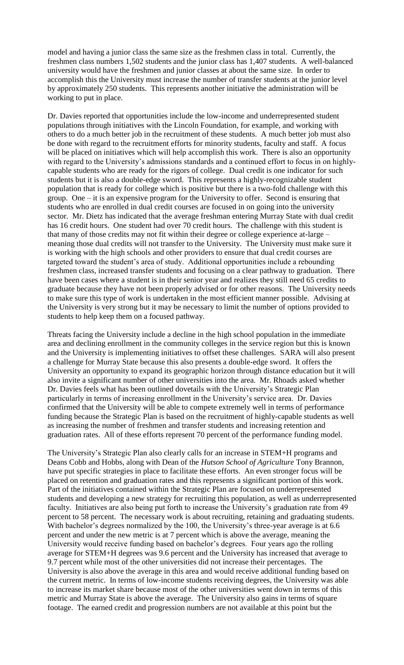model and having a junior class the same size as the freshmen class in total. Currently, the freshmen class numbers 1,502 students and the junior class has 1,407 students. A well-balanced university would have the freshmen and junior classes at about the same size. In order to accomplish this the University must increase the number of transfer students at the junior level by approximately 250 students. This represents another initiative the administration will be working to put in place.

Dr. Davies reported that opportunities include the low-income and underrepresented student populations through initiatives with the Lincoln Foundation, for example, and working with others to do a much better job in the recruitment of these students. A much better job must also be done with regard to the recruitment efforts for minority students, faculty and staff. A focus will be placed on initiatives which will help accomplish this work. There is also an opportunity with regard to the University's admissions standards and a continued effort to focus in on highlycapable students who are ready for the rigors of college. Dual credit is one indicator for such students but it is also a double-edge sword. This represents a highly-recognizable student population that is ready for college which is positive but there is a two-fold challenge with this group. One – it is an expensive program for the University to offer. Second is ensuring that students who are enrolled in dual credit courses are focused in on going into the university sector. Mr. Dietz has indicated that the average freshman entering Murray State with dual credit has 16 credit hours. One student had over 70 credit hours. The challenge with this student is that many of those credits may not fit within their degree or college experience at-large – meaning those dual credits will not transfer to the University. The University must make sure it is working with the high schools and other providers to ensure that dual credit courses are targeted toward the student's area of study. Additional opportunities include a rebounding freshmen class, increased transfer students and focusing on a clear pathway to graduation. There have been cases where a student is in their senior year and realizes they still need 65 credits to graduate because they have not been properly advised or for other reasons. The University needs to make sure this type of work is undertaken in the most efficient manner possible. Advising at the University is very strong but it may be necessary to limit the number of options provided to students to help keep them on a focused pathway.

Threats facing the University include a decline in the high school population in the immediate area and declining enrollment in the community colleges in the service region but this is known and the University is implementing initiatives to offset these challenges. SARA will also present a challenge for Murray State because this also presents a double-edge sword. It offers the University an opportunity to expand its geographic horizon through distance education but it will also invite a significant number of other universities into the area. Mr. Rhoads asked whether Dr. Davies feels what has been outlined dovetails with the University's Strategic Plan particularly in terms of increasing enrollment in the University's service area. Dr. Davies confirmed that the University will be able to compete extremely well in terms of performance funding because the Strategic Plan is based on the recruitment of highly-capable students as well as increasing the number of freshmen and transfer students and increasing retention and graduation rates. All of these efforts represent 70 percent of the performance funding model.

The University's Strategic Plan also clearly calls for an increase in STEM+H programs and Deans Cobb and Hobbs, along with Dean of the *Hutson School of Agriculture* Tony Brannon, have put specific strategies in place to facilitate these efforts. An even stronger focus will be placed on retention and graduation rates and this represents a significant portion of this work. Part of the initiatives contained within the Strategic Plan are focused on underrepresented students and developing a new strategy for recruiting this population, as well as underrepresented faculty. Initiatives are also being put forth to increase the University's graduation rate from 49 percent to 58 percent. The necessary work is about recruiting, retaining and graduating students. With bachelor's degrees normalized by the 100, the University's three-year average is at 6.6 percent and under the new metric is at 7 percent which is above the average, meaning the University would receive funding based on bachelor's degrees. Four years ago the rolling average for STEM+H degrees was 9.6 percent and the University has increased that average to 9.7 percent while most of the other universities did not increase their percentages. The University is also above the average in this area and would receive additional funding based on the current metric. In terms of low-income students receiving degrees, the University was able to increase its market share because most of the other universities went down in terms of this metric and Murray State is above the average. The University also gains in terms of square footage. The earned credit and progression numbers are not available at this point but the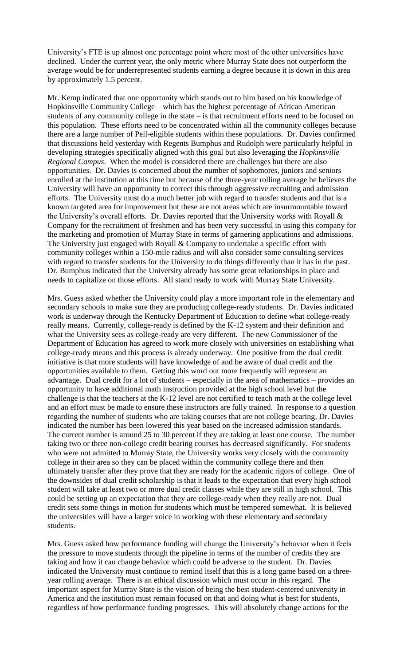University's FTE is up almost one percentage point where most of the other universities have declined. Under the current year, the only metric where Murray State does not outperform the average would be for underrepresented students earning a degree because it is down in this area by approximately 1.5 percent.

Mr. Kemp indicated that one opportunity which stands out to him based on his knowledge of Hopkinsville Community College – which has the highest percentage of African American students of any community college in the state – is that recruitment efforts need to be focused on this population. These efforts need to be concentrated within all the community colleges because there are a large number of Pell-eligible students within these populations. Dr. Davies confirmed that discussions held yesterday with Regents Bumphus and Rudolph were particularly helpful in developing strategies specifically aligned with this goal but also leveraging the *Hopkinsville Regional Campus*. When the model is considered there are challenges but there are also opportunities. Dr. Davies is concerned about the number of sophomores, juniors and seniors enrolled at the institution at this time but because of the three-year rolling average he believes the University will have an opportunity to correct this through aggressive recruiting and admission efforts. The University must do a much better job with regard to transfer students and that is a known targeted area for improvement but these are not areas which are insurmountable toward the University's overall efforts. Dr. Davies reported that the University works with Royall & Company for the recruitment of freshmen and has been very successful in using this company for the marketing and promotion of Murray State in terms of garnering applications and admissions. The University just engaged with Royall & Company to undertake a specific effort with community colleges within a 150-mile radius and will also consider some consulting services with regard to transfer students for the University to do things differently than it has in the past. Dr. Bumphus indicated that the University already has some great relationships in place and needs to capitalize on those efforts. All stand ready to work with Murray State University.

Mrs. Guess asked whether the University could play a more important role in the elementary and secondary schools to make sure they are producing college-ready students. Dr. Davies indicated work is underway through the Kentucky Department of Education to define what college-ready really means. Currently, college-ready is defined by the K-12 system and their definition and what the University sees as college-ready are very different. The new Commissioner of the Department of Education has agreed to work more closely with universities on establishing what college-ready means and this process is already underway. One positive from the dual credit initiative is that more students will have knowledge of and be aware of dual credit and the opportunities available to them. Getting this word out more frequently will represent an advantage. Dual credit for a lot of students – especially in the area of mathematics – provides an opportunity to have additional math instruction provided at the high school level but the challenge is that the teachers at the K-12 level are not certified to teach math at the college level and an effort must be made to ensure these instructors are fully trained. In response to a question regarding the number of students who are taking courses that are not college bearing, Dr. Davies indicated the number has been lowered this year based on the increased admission standards. The current number is around 25 to 30 percent if they are taking at least one course. The number taking two or three non-college credit bearing courses has decreased significantly. For students who were not admitted to Murray State, the University works very closely with the community college in their area so they can be placed within the community college there and then ultimately transfer after they prove that they are ready for the academic rigors of college. One of the downsides of dual credit scholarship is that it leads to the expectation that every high school student will take at least two or more dual credit classes while they are still in high school. This could be setting up an expectation that they are college-ready when they really are not. Dual credit sets some things in motion for students which must be tempered somewhat. It is believed the universities will have a larger voice in working with these elementary and secondary students.

Mrs. Guess asked how performance funding will change the University's behavior when it feels the pressure to move students through the pipeline in terms of the number of credits they are taking and how it can change behavior which could be adverse to the student. Dr. Davies indicated the University must continue to remind itself that this is a long game based on a threeyear rolling average. There is an ethical discussion which must occur in this regard. The important aspect for Murray State is the vision of being the best student-centered university in America and the institution must remain focused on that and doing what is best for students, regardless of how performance funding progresses. This will absolutely change actions for the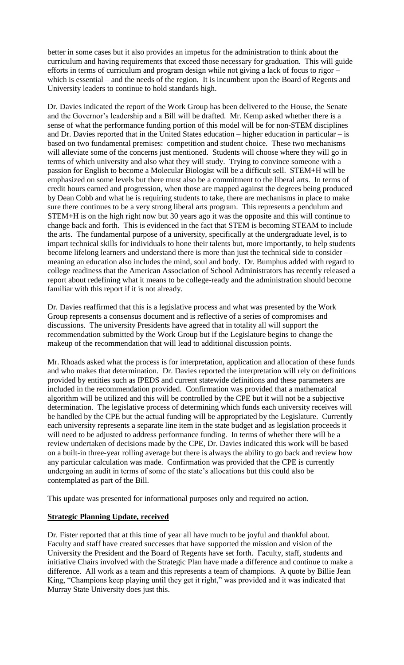better in some cases but it also provides an impetus for the administration to think about the curriculum and having requirements that exceed those necessary for graduation. This will guide efforts in terms of curriculum and program design while not giving a lack of focus to rigor – which is essential – and the needs of the region. It is incumbent upon the Board of Regents and University leaders to continue to hold standards high.

Dr. Davies indicated the report of the Work Group has been delivered to the House, the Senate and the Governor's leadership and a Bill will be drafted. Mr. Kemp asked whether there is a sense of what the performance funding portion of this model will be for non-STEM disciplines and Dr. Davies reported that in the United States education – higher education in particular – is based on two fundamental premises: competition and student choice. These two mechanisms will alleviate some of the concerns just mentioned. Students will choose where they will go in terms of which university and also what they will study. Trying to convince someone with a passion for English to become a Molecular Biologist will be a difficult sell. STEM+H will be emphasized on some levels but there must also be a commitment to the liberal arts. In terms of credit hours earned and progression, when those are mapped against the degrees being produced by Dean Cobb and what he is requiring students to take, there are mechanisms in place to make sure there continues to be a very strong liberal arts program. This represents a pendulum and STEM+H is on the high right now but 30 years ago it was the opposite and this will continue to change back and forth. This is evidenced in the fact that STEM is becoming STEAM to include the arts. The fundamental purpose of a university, specifically at the undergraduate level, is to impart technical skills for individuals to hone their talents but, more importantly, to help students become lifelong learners and understand there is more than just the technical side to consider – meaning an education also includes the mind, soul and body. Dr. Bumphus added with regard to college readiness that the American Association of School Administrators has recently released a report about redefining what it means to be college-ready and the administration should become familiar with this report if it is not already.

Dr. Davies reaffirmed that this is a legislative process and what was presented by the Work Group represents a consensus document and is reflective of a series of compromises and discussions. The university Presidents have agreed that in totality all will support the recommendation submitted by the Work Group but if the Legislature begins to change the makeup of the recommendation that will lead to additional discussion points.

Mr. Rhoads asked what the process is for interpretation, application and allocation of these funds and who makes that determination. Dr. Davies reported the interpretation will rely on definitions provided by entities such as IPEDS and current statewide definitions and these parameters are included in the recommendation provided. Confirmation was provided that a mathematical algorithm will be utilized and this will be controlled by the CPE but it will not be a subjective determination. The legislative process of determining which funds each university receives will be handled by the CPE but the actual funding will be appropriated by the Legislature. Currently each university represents a separate line item in the state budget and as legislation proceeds it will need to be adjusted to address performance funding. In terms of whether there will be a review undertaken of decisions made by the CPE, Dr. Davies indicated this work will be based on a built-in three-year rolling average but there is always the ability to go back and review how any particular calculation was made. Confirmation was provided that the CPE is currently undergoing an audit in terms of some of the state's allocations but this could also be contemplated as part of the Bill.

This update was presented for informational purposes only and required no action.

#### **Strategic Planning Update, received**

Dr. Fister reported that at this time of year all have much to be joyful and thankful about. Faculty and staff have created successes that have supported the mission and vision of the University the President and the Board of Regents have set forth. Faculty, staff, students and initiative Chairs involved with the Strategic Plan have made a difference and continue to make a difference. All work as a team and this represents a team of champions. A quote by Billie Jean King, "Champions keep playing until they get it right," was provided and it was indicated that Murray State University does just this.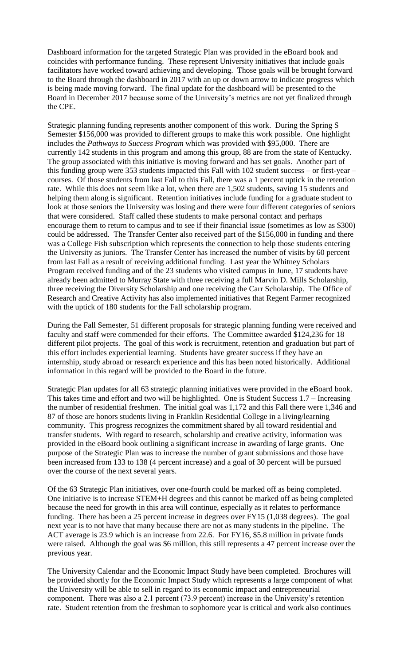Dashboard information for the targeted Strategic Plan was provided in the eBoard book and coincides with performance funding. These represent University initiatives that include goals facilitators have worked toward achieving and developing. Those goals will be brought forward to the Board through the dashboard in 2017 with an up or down arrow to indicate progress which is being made moving forward. The final update for the dashboard will be presented to the Board in December 2017 because some of the University's metrics are not yet finalized through the CPE.

Strategic planning funding represents another component of this work. During the Spring S Semester \$156,000 was provided to different groups to make this work possible. One highlight includes the *Pathways to Success Program* which was provided with \$95,000. There are currently 142 students in this program and among this group, 88 are from the state of Kentucky. The group associated with this initiative is moving forward and has set goals. Another part of this funding group were 353 students impacted this Fall with 102 student success – or first-year – courses. Of those students from last Fall to this Fall, there was a 1 percent uptick in the retention rate. While this does not seem like a lot, when there are 1,502 students, saving 15 students and helping them along is significant. Retention initiatives include funding for a graduate student to look at those seniors the University was losing and there were four different categories of seniors that were considered. Staff called these students to make personal contact and perhaps encourage them to return to campus and to see if their financial issue (sometimes as low as \$300) could be addressed. The Transfer Center also received part of the \$156,000 in funding and there was a College Fish subscription which represents the connection to help those students entering the University as juniors. The Transfer Center has increased the number of visits by 60 percent from last Fall as a result of receiving additional funding. Last year the Whitney Scholars Program received funding and of the 23 students who visited campus in June, 17 students have already been admitted to Murray State with three receiving a full Marvin D. Mills Scholarship, three receiving the Diversity Scholarship and one receiving the Carr Scholarship. The Office of Research and Creative Activity has also implemented initiatives that Regent Farmer recognized with the uptick of 180 students for the Fall scholarship program.

During the Fall Semester, 51 different proposals for strategic planning funding were received and faculty and staff were commended for their efforts. The Committee awarded \$124,236 for 18 different pilot projects. The goal of this work is recruitment, retention and graduation but part of this effort includes experiential learning. Students have greater success if they have an internship, study abroad or research experience and this has been noted historically. Additional information in this regard will be provided to the Board in the future.

Strategic Plan updates for all 63 strategic planning initiatives were provided in the eBoard book. This takes time and effort and two will be highlighted. One is Student Success 1.7 – Increasing the number of residential freshmen. The initial goal was 1,172 and this Fall there were 1,346 and 87 of those are honors students living in Franklin Residential College in a living/learning community. This progress recognizes the commitment shared by all toward residential and transfer students. With regard to research, scholarship and creative activity, information was provided in the eBoard book outlining a significant increase in awarding of large grants. One purpose of the Strategic Plan was to increase the number of grant submissions and those have been increased from 133 to 138 (4 percent increase) and a goal of 30 percent will be pursued over the course of the next several years.

Of the 63 Strategic Plan initiatives, over one-fourth could be marked off as being completed. One initiative is to increase STEM+H degrees and this cannot be marked off as being completed because the need for growth in this area will continue, especially as it relates to performance funding. There has been a 25 percent increase in degrees over FY15 (1,038 degrees). The goal next year is to not have that many because there are not as many students in the pipeline. The ACT average is 23.9 which is an increase from 22.6. For FY16, \$5.8 million in private funds were raised. Although the goal was \$6 million, this still represents a 47 percent increase over the previous year.

The University Calendar and the Economic Impact Study have been completed. Brochures will be provided shortly for the Economic Impact Study which represents a large component of what the University will be able to sell in regard to its economic impact and entrepreneurial component. There was also a 2.1 percent (73.9 percent) increase in the University's retention rate. Student retention from the freshman to sophomore year is critical and work also continues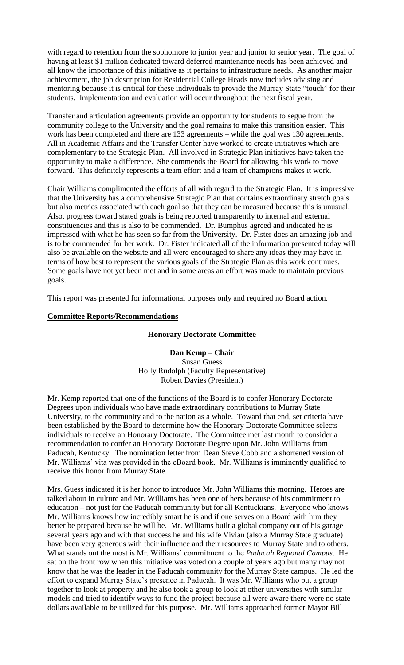with regard to retention from the sophomore to junior year and junior to senior year. The goal of having at least \$1 million dedicated toward deferred maintenance needs has been achieved and all know the importance of this initiative as it pertains to infrastructure needs. As another major achievement, the job description for Residential College Heads now includes advising and mentoring because it is critical for these individuals to provide the Murray State "touch" for their students. Implementation and evaluation will occur throughout the next fiscal year.

Transfer and articulation agreements provide an opportunity for students to segue from the community college to the University and the goal remains to make this transition easier. This work has been completed and there are 133 agreements – while the goal was 130 agreements. All in Academic Affairs and the Transfer Center have worked to create initiatives which are complementary to the Strategic Plan. All involved in Strategic Plan initiatives have taken the opportunity to make a difference. She commends the Board for allowing this work to move forward. This definitely represents a team effort and a team of champions makes it work.

Chair Williams complimented the efforts of all with regard to the Strategic Plan. It is impressive that the University has a comprehensive Strategic Plan that contains extraordinary stretch goals but also metrics associated with each goal so that they can be measured because this is unusual. Also, progress toward stated goals is being reported transparently to internal and external constituencies and this is also to be commended. Dr. Bumphus agreed and indicated he is impressed with what he has seen so far from the University. Dr. Fister does an amazing job and is to be commended for her work. Dr. Fister indicated all of the information presented today will also be available on the website and all were encouraged to share any ideas they may have in terms of how best to represent the various goals of the Strategic Plan as this work continues. Some goals have not yet been met and in some areas an effort was made to maintain previous goals.

This report was presented for informational purposes only and required no Board action.

#### **Committee Reports/Recommendations**

#### **Honorary Doctorate Committee**

**Dan Kemp – Chair** Susan Guess Holly Rudolph (Faculty Representative) Robert Davies (President)

Mr. Kemp reported that one of the functions of the Board is to confer Honorary Doctorate Degrees upon individuals who have made extraordinary contributions to Murray State University, to the community and to the nation as a whole. Toward that end, set criteria have been established by the Board to determine how the Honorary Doctorate Committee selects individuals to receive an Honorary Doctorate. The Committee met last month to consider a recommendation to confer an Honorary Doctorate Degree upon Mr. John Williams from Paducah, Kentucky. The nomination letter from Dean Steve Cobb and a shortened version of Mr. Williams' vita was provided in the eBoard book. Mr. Williams is imminently qualified to receive this honor from Murray State.

Mrs. Guess indicated it is her honor to introduce Mr. John Williams this morning. Heroes are talked about in culture and Mr. Williams has been one of hers because of his commitment to education – not just for the Paducah community but for all Kentuckians. Everyone who knows Mr. Williams knows how incredibly smart he is and if one serves on a Board with him they better be prepared because he will be. Mr. Williams built a global company out of his garage several years ago and with that success he and his wife Vivian (also a Murray State graduate) have been very generous with their influence and their resources to Murray State and to others. What stands out the most is Mr. Williams' commitment to the *Paducah Regional Campus*. He sat on the front row when this initiative was voted on a couple of years ago but many may not know that he was the leader in the Paducah community for the Murray State campus. He led the effort to expand Murray State's presence in Paducah. It was Mr. Williams who put a group together to look at property and he also took a group to look at other universities with similar models and tried to identify ways to fund the project because all were aware there were no state dollars available to be utilized for this purpose. Mr. Williams approached former Mayor Bill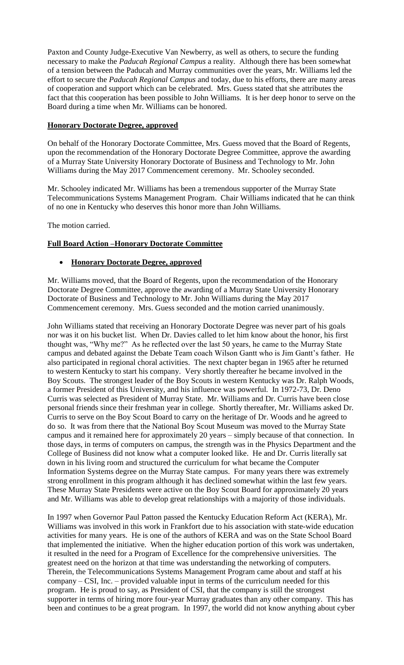Paxton and County Judge-Executive Van Newberry, as well as others, to secure the funding necessary to make the *Paducah Regional Campus* a reality. Although there has been somewhat of a tension between the Paducah and Murray communities over the years, Mr. Williams led the effort to secure the *Paducah Regional Campus* and today, due to his efforts, there are many areas of cooperation and support which can be celebrated. Mrs. Guess stated that she attributes the fact that this cooperation has been possible to John Williams. It is her deep honor to serve on the Board during a time when Mr. Williams can be honored.

# **Honorary Doctorate Degree, approved**

On behalf of the Honorary Doctorate Committee, Mrs. Guess moved that the Board of Regents, upon the recommendation of the Honorary Doctorate Degree Committee, approve the awarding of a Murray State University Honorary Doctorate of Business and Technology to Mr. John Williams during the May 2017 Commencement ceremony. Mr. Schooley seconded.

Mr. Schooley indicated Mr. Williams has been a tremendous supporter of the Murray State Telecommunications Systems Management Program. Chair Williams indicated that he can think of no one in Kentucky who deserves this honor more than John Williams.

The motion carried.

# **Full Board Action –Honorary Doctorate Committee**

# • **Honorary Doctorate Degree, approved**

Mr. Williams moved, that the Board of Regents, upon the recommendation of the Honorary Doctorate Degree Committee, approve the awarding of a Murray State University Honorary Doctorate of Business and Technology to Mr. John Williams during the May 2017 Commencement ceremony. Mrs. Guess seconded and the motion carried unanimously.

John Williams stated that receiving an Honorary Doctorate Degree was never part of his goals nor was it on his bucket list. When Dr. Davies called to let him know about the honor, his first thought was, "Why me?" As he reflected over the last 50 years, he came to the Murray State campus and debated against the Debate Team coach Wilson Gantt who is Jim Gantt's father. He also participated in regional choral activities. The next chapter began in 1965 after he returned to western Kentucky to start his company. Very shortly thereafter he became involved in the Boy Scouts. The strongest leader of the Boy Scouts in western Kentucky was Dr. Ralph Woods, a former President of this University, and his influence was powerful. In 1972-73, Dr. Deno Curris was selected as President of Murray State. Mr. Williams and Dr. Curris have been close personal friends since their freshman year in college. Shortly thereafter, Mr. Williams asked Dr. Curris to serve on the Boy Scout Board to carry on the heritage of Dr. Woods and he agreed to do so. It was from there that the National Boy Scout Museum was moved to the Murray State campus and it remained here for approximately 20 years – simply because of that connection. In those days, in terms of computers on campus, the strength was in the Physics Department and the College of Business did not know what a computer looked like. He and Dr. Curris literally sat down in his living room and structured the curriculum for what became the Computer Information Systems degree on the Murray State campus. For many years there was extremely strong enrollment in this program although it has declined somewhat within the last few years. These Murray State Presidents were active on the Boy Scout Board for approximately 20 years and Mr. Williams was able to develop great relationships with a majority of those individuals.

In 1997 when Governor Paul Patton passed the Kentucky Education Reform Act (KERA), Mr. Williams was involved in this work in Frankfort due to his association with state-wide education activities for many years. He is one of the authors of KERA and was on the State School Board that implemented the initiative. When the higher education portion of this work was undertaken, it resulted in the need for a Program of Excellence for the comprehensive universities. The greatest need on the horizon at that time was understanding the networking of computers. Therein, the Telecommunications Systems Management Program came about and staff at his company – CSI, Inc. – provided valuable input in terms of the curriculum needed for this program. He is proud to say, as President of CSI, that the company is still the strongest supporter in terms of hiring more four-year Murray graduates than any other company. This has been and continues to be a great program. In 1997, the world did not know anything about cyber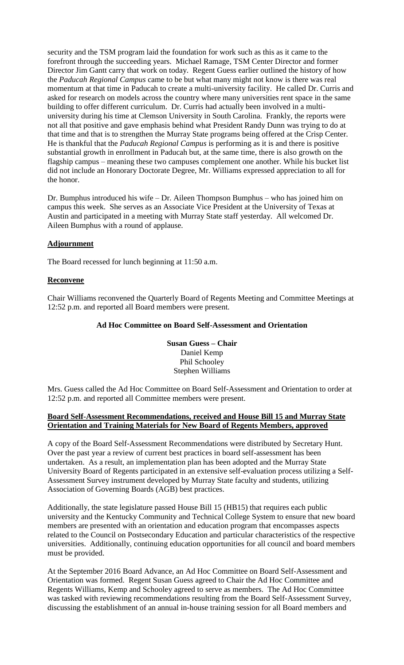security and the TSM program laid the foundation for work such as this as it came to the forefront through the succeeding years. Michael Ramage, TSM Center Director and former Director Jim Gantt carry that work on today. Regent Guess earlier outlined the history of how the *Paducah Regional Campus* came to be but what many might not know is there was real momentum at that time in Paducah to create a multi-university facility. He called Dr. Curris and asked for research on models across the country where many universities rent space in the same building to offer different curriculum. Dr. Curris had actually been involved in a multiuniversity during his time at Clemson University in South Carolina. Frankly, the reports were not all that positive and gave emphasis behind what President Randy Dunn was trying to do at that time and that is to strengthen the Murray State programs being offered at the Crisp Center. He is thankful that the *Paducah Regional Campus* is performing as it is and there is positive substantial growth in enrollment in Paducah but, at the same time, there is also growth on the flagship campus – meaning these two campuses complement one another. While his bucket list did not include an Honorary Doctorate Degree, Mr. Williams expressed appreciation to all for the honor.

Dr. Bumphus introduced his wife – Dr. Aileen Thompson Bumphus – who has joined him on campus this week. She serves as an Associate Vice President at the University of Texas at Austin and participated in a meeting with Murray State staff yesterday. All welcomed Dr. Aileen Bumphus with a round of applause.

# **Adjournment**

The Board recessed for lunch beginning at 11:50 a.m.

#### **Reconvene**

Chair Williams reconvened the Quarterly Board of Regents Meeting and Committee Meetings at 12:52 p.m. and reported all Board members were present.

#### **Ad Hoc Committee on Board Self-Assessment and Orientation**

**Susan Guess – Chair** Daniel Kemp Phil Schooley Stephen Williams

Mrs. Guess called the Ad Hoc Committee on Board Self-Assessment and Orientation to order at 12:52 p.m. and reported all Committee members were present.

# **Board Self-Assessment Recommendations, received and House Bill 15 and Murray State Orientation and Training Materials for New Board of Regents Members, approved**

A copy of the Board Self-Assessment Recommendations were distributed by Secretary Hunt. Over the past year a review of current best practices in board self-assessment has been undertaken. As a result, an implementation plan has been adopted and the Murray State University Board of Regents participated in an extensive self-evaluation process utilizing a Self-Assessment Survey instrument developed by Murray State faculty and students, utilizing Association of Governing Boards (AGB) best practices.

Additionally, the state legislature passed House Bill 15 (HB15) that requires each public university and the Kentucky Community and Technical College System to ensure that new board members are presented with an orientation and education program that encompasses aspects related to the Council on Postsecondary Education and particular characteristics of the respective universities. Additionally, continuing education opportunities for all council and board members must be provided.

At the September 2016 Board Advance, an Ad Hoc Committee on Board Self-Assessment and Orientation was formed. Regent Susan Guess agreed to Chair the Ad Hoc Committee and Regents Williams, Kemp and Schooley agreed to serve as members. The Ad Hoc Committee was tasked with reviewing recommendations resulting from the Board Self-Assessment Survey, discussing the establishment of an annual in-house training session for all Board members and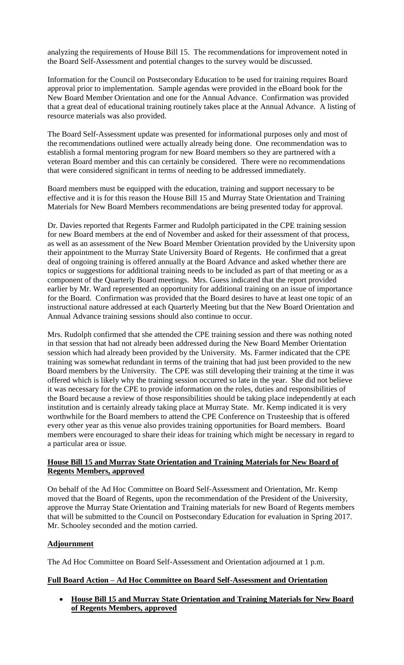analyzing the requirements of House Bill 15. The recommendations for improvement noted in the Board Self-Assessment and potential changes to the survey would be discussed.

Information for the Council on Postsecondary Education to be used for training requires Board approval prior to implementation. Sample agendas were provided in the eBoard book for the New Board Member Orientation and one for the Annual Advance. Confirmation was provided that a great deal of educational training routinely takes place at the Annual Advance. A listing of resource materials was also provided.

The Board Self-Assessment update was presented for informational purposes only and most of the recommendations outlined were actually already being done. One recommendation was to establish a formal mentoring program for new Board members so they are partnered with a veteran Board member and this can certainly be considered. There were no recommendations that were considered significant in terms of needing to be addressed immediately.

Board members must be equipped with the education, training and support necessary to be effective and it is for this reason the House Bill 15 and Murray State Orientation and Training Materials for New Board Members recommendations are being presented today for approval.

Dr. Davies reported that Regents Farmer and Rudolph participated in the CPE training session for new Board members at the end of November and asked for their assessment of that process, as well as an assessment of the New Board Member Orientation provided by the University upon their appointment to the Murray State University Board of Regents. He confirmed that a great deal of ongoing training is offered annually at the Board Advance and asked whether there are topics or suggestions for additional training needs to be included as part of that meeting or as a component of the Quarterly Board meetings. Mrs. Guess indicated that the report provided earlier by Mr. Ward represented an opportunity for additional training on an issue of importance for the Board. Confirmation was provided that the Board desires to have at least one topic of an instructional nature addressed at each Quarterly Meeting but that the New Board Orientation and Annual Advance training sessions should also continue to occur.

Mrs. Rudolph confirmed that she attended the CPE training session and there was nothing noted in that session that had not already been addressed during the New Board Member Orientation session which had already been provided by the University. Ms. Farmer indicated that the CPE training was somewhat redundant in terms of the training that had just been provided to the new Board members by the University. The CPE was still developing their training at the time it was offered which is likely why the training session occurred so late in the year. She did not believe it was necessary for the CPE to provide information on the roles, duties and responsibilities of the Board because a review of those responsibilities should be taking place independently at each institution and is certainly already taking place at Murray State. Mr. Kemp indicated it is very worthwhile for the Board members to attend the CPE Conference on Trusteeship that is offered every other year as this venue also provides training opportunities for Board members. Board members were encouraged to share their ideas for training which might be necessary in regard to a particular area or issue.

#### **House Bill 15 and Murray State Orientation and Training Materials for New Board of Regents Members, approved**

On behalf of the Ad Hoc Committee on Board Self-Assessment and Orientation, Mr. Kemp moved that the Board of Regents, upon the recommendation of the President of the University, approve the Murray State Orientation and Training materials for new Board of Regents members that will be submitted to the Council on Postsecondary Education for evaluation in Spring 2017. Mr. Schooley seconded and the motion carried.

#### **Adjournment**

The Ad Hoc Committee on Board Self-Assessment and Orientation adjourned at 1 p.m.

#### **Full Board Action – Ad Hoc Committee on Board Self-Assessment and Orientation**

• **House Bill 15 and Murray State Orientation and Training Materials for New Board of Regents Members, approved**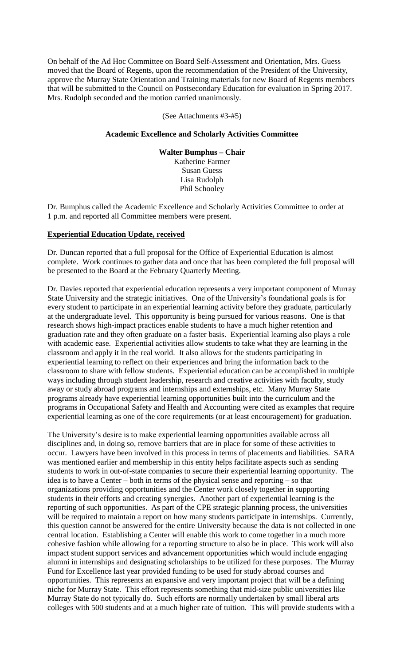On behalf of the Ad Hoc Committee on Board Self-Assessment and Orientation, Mrs. Guess moved that the Board of Regents, upon the recommendation of the President of the University, approve the Murray State Orientation and Training materials for new Board of Regents members that will be submitted to the Council on Postsecondary Education for evaluation in Spring 2017. Mrs. Rudolph seconded and the motion carried unanimously.

#### (See Attachments #3-#5)

#### **Academic Excellence and Scholarly Activities Committee**

**Walter Bumphus – Chair** Katherine Farmer Susan Guess Lisa Rudolph Phil Schooley

Dr. Bumphus called the Academic Excellence and Scholarly Activities Committee to order at 1 p.m. and reported all Committee members were present.

# **Experiential Education Update, received**

Dr. Duncan reported that a full proposal for the Office of Experiential Education is almost complete. Work continues to gather data and once that has been completed the full proposal will be presented to the Board at the February Quarterly Meeting.

Dr. Davies reported that experiential education represents a very important component of Murray State University and the strategic initiatives. One of the University's foundational goals is for every student to participate in an experiential learning activity before they graduate, particularly at the undergraduate level. This opportunity is being pursued for various reasons. One is that research shows high-impact practices enable students to have a much higher retention and graduation rate and they often graduate on a faster basis. Experiential learning also plays a role with academic ease. Experiential activities allow students to take what they are learning in the classroom and apply it in the real world. It also allows for the students participating in experiential learning to reflect on their experiences and bring the information back to the classroom to share with fellow students. Experiential education can be accomplished in multiple ways including through student leadership, research and creative activities with faculty, study away or study abroad programs and internships and externships, etc. Many Murray State programs already have experiential learning opportunities built into the curriculum and the programs in Occupational Safety and Health and Accounting were cited as examples that require experiential learning as one of the core requirements (or at least encouragement) for graduation.

The University's desire is to make experiential learning opportunities available across all disciplines and, in doing so, remove barriers that are in place for some of these activities to occur. Lawyers have been involved in this process in terms of placements and liabilities. SARA was mentioned earlier and membership in this entity helps facilitate aspects such as sending students to work in out-of-state companies to secure their experiential learning opportunity. The idea is to have a Center – both in terms of the physical sense and reporting – so that organizations providing opportunities and the Center work closely together in supporting students in their efforts and creating synergies. Another part of experiential learning is the reporting of such opportunities. As part of the CPE strategic planning process, the universities will be required to maintain a report on how many students participate in internships. Currently, this question cannot be answered for the entire University because the data is not collected in one central location. Establishing a Center will enable this work to come together in a much more cohesive fashion while allowing for a reporting structure to also be in place. This work will also impact student support services and advancement opportunities which would include engaging alumni in internships and designating scholarships to be utilized for these purposes. The Murray Fund for Excellence last year provided funding to be used for study abroad courses and opportunities. This represents an expansive and very important project that will be a defining niche for Murray State. This effort represents something that mid-size public universities like Murray State do not typically do. Such efforts are normally undertaken by small liberal arts colleges with 500 students and at a much higher rate of tuition. This will provide students with a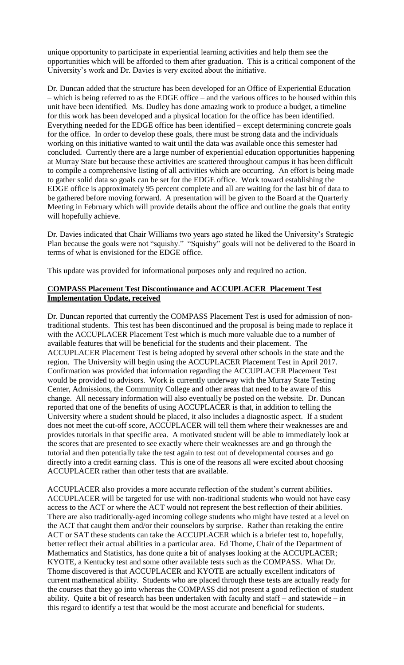unique opportunity to participate in experiential learning activities and help them see the opportunities which will be afforded to them after graduation. This is a critical component of the University's work and Dr. Davies is very excited about the initiative.

Dr. Duncan added that the structure has been developed for an Office of Experiential Education – which is being referred to as the EDGE office – and the various offices to be housed within this unit have been identified. Ms. Dudley has done amazing work to produce a budget, a timeline for this work has been developed and a physical location for the office has been identified. Everything needed for the EDGE office has been identified – except determining concrete goals for the office. In order to develop these goals, there must be strong data and the individuals working on this initiative wanted to wait until the data was available once this semester had concluded. Currently there are a large number of experiential education opportunities happening at Murray State but because these activities are scattered throughout campus it has been difficult to compile a comprehensive listing of all activities which are occurring. An effort is being made to gather solid data so goals can be set for the EDGE office. Work toward establishing the EDGE office is approximately 95 percent complete and all are waiting for the last bit of data to be gathered before moving forward. A presentation will be given to the Board at the Quarterly Meeting in February which will provide details about the office and outline the goals that entity will hopefully achieve.

Dr. Davies indicated that Chair Williams two years ago stated he liked the University's Strategic Plan because the goals were not "squishy." "Squishy" goals will not be delivered to the Board in terms of what is envisioned for the EDGE office.

This update was provided for informational purposes only and required no action.

# **COMPASS Placement Test Discontinuance and ACCUPLACER Placement Test Implementation Update, received**

Dr. Duncan reported that currently the COMPASS Placement Test is used for admission of nontraditional students. This test has been discontinued and the proposal is being made to replace it with the ACCUPLACER Placement Test which is much more valuable due to a number of available features that will be beneficial for the students and their placement. The ACCUPLACER Placement Test is being adopted by several other schools in the state and the region. The University will begin using the ACCUPLACER Placement Test in April 2017. Confirmation was provided that information regarding the ACCUPLACER Placement Test would be provided to advisors. Work is currently underway with the Murray State Testing Center, Admissions, the Community College and other areas that need to be aware of this change. All necessary information will also eventually be posted on the website. Dr. Duncan reported that one of the benefits of using ACCUPLACER is that, in addition to telling the University where a student should be placed, it also includes a diagnostic aspect. If a student does not meet the cut-off score, ACCUPLACER will tell them where their weaknesses are and provides tutorials in that specific area. A motivated student will be able to immediately look at the scores that are presented to see exactly where their weaknesses are and go through the tutorial and then potentially take the test again to test out of developmental courses and go directly into a credit earning class. This is one of the reasons all were excited about choosing ACCUPLACER rather than other tests that are available.

ACCUPLACER also provides a more accurate reflection of the student's current abilities. ACCUPLACER will be targeted for use with non-traditional students who would not have easy access to the ACT or where the ACT would not represent the best reflection of their abilities. There are also traditionally-aged incoming college students who might have tested at a level on the ACT that caught them and/or their counselors by surprise. Rather than retaking the entire ACT or SAT these students can take the ACCUPLACER which is a briefer test to, hopefully, better reflect their actual abilities in a particular area. Ed Thome, Chair of the Department of Mathematics and Statistics, has done quite a bit of analyses looking at the ACCUPLACER; KYOTE, a Kentucky test and some other available tests such as the COMPASS. What Dr. Thome discovered is that ACCUPLACER and KYOTE are actually excellent indicators of current mathematical ability. Students who are placed through these tests are actually ready for the courses that they go into whereas the COMPASS did not present a good reflection of student ability. Quite a bit of research has been undertaken with faculty and staff – and statewide – in this regard to identify a test that would be the most accurate and beneficial for students.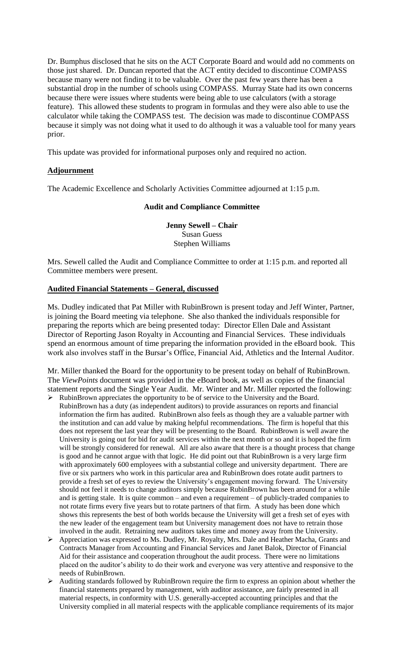Dr. Bumphus disclosed that he sits on the ACT Corporate Board and would add no comments on those just shared. Dr. Duncan reported that the ACT entity decided to discontinue COMPASS because many were not finding it to be valuable. Over the past few years there has been a substantial drop in the number of schools using COMPASS. Murray State had its own concerns because there were issues where students were being able to use calculators (with a storage feature). This allowed these students to program in formulas and they were also able to use the calculator while taking the COMPASS test. The decision was made to discontinue COMPASS because it simply was not doing what it used to do although it was a valuable tool for many years prior.

This update was provided for informational purposes only and required no action.

#### **Adjournment**

The Academic Excellence and Scholarly Activities Committee adjourned at 1:15 p.m.

#### **Audit and Compliance Committee**

**Jenny Sewell – Chair** Susan Guess Stephen Williams

Mrs. Sewell called the Audit and Compliance Committee to order at 1:15 p.m. and reported all Committee members were present.

#### **Audited Financial Statements – General, discussed**

Ms. Dudley indicated that Pat Miller with RubinBrown is present today and Jeff Winter, Partner, is joining the Board meeting via telephone. She also thanked the individuals responsible for preparing the reports which are being presented today: Director Ellen Dale and Assistant Director of Reporting Jason Royalty in Accounting and Financial Services. These individuals spend an enormous amount of time preparing the information provided in the eBoard book. This work also involves staff in the Bursar's Office, Financial Aid, Athletics and the Internal Auditor.

Mr. Miller thanked the Board for the opportunity to be present today on behalf of RubinBrown. The *ViewPoints* document was provided in the eBoard book, as well as copies of the financial statement reports and the Single Year Audit. Mr. Winter and Mr. Miller reported the following: ➢ RubinBrown appreciates the opportunity to be of service to the University and the Board.

- RubinBrown has a duty (as independent auditors) to provide assurances on reports and financial information the firm has audited. RubinBrown also feels as though they are a valuable partner with the institution and can add value by making helpful recommendations. The firm is hopeful that this does not represent the last year they will be presenting to the Board. RubinBrown is well aware the University is going out for bid for audit services within the next month or so and it is hoped the firm will be strongly considered for renewal. All are also aware that there is a thought process that change is good and he cannot argue with that logic. He did point out that RubinBrown is a very large firm with approximately 600 employees with a substantial college and university department. There are five or six partners who work in this particular area and RubinBrown does rotate audit partners to provide a fresh set of eyes to review the University's engagement moving forward. The University should not feel it needs to change auditors simply because RubinBrown has been around for a while and is getting stale. It is quite common – and even a requirement – of publicly-traded companies to not rotate firms every five years but to rotate partners of that firm. A study has been done which shows this represents the best of both worlds because the University will get a fresh set of eyes with the new leader of the engagement team but University management does not have to retrain those involved in the audit. Retraining new auditors takes time and money away from the University.
- ➢ Appreciation was expressed to Ms. Dudley, Mr. Royalty, Mrs. Dale and Heather Macha, Grants and Contracts Manager from Accounting and Financial Services and Janet Balok, Director of Financial Aid for their assistance and cooperation throughout the audit process. There were no limitations placed on the auditor's ability to do their work and everyone was very attentive and responsive to the needs of RubinBrown.
- ➢ Auditing standards followed by RubinBrown require the firm to express an opinion about whether the financial statements prepared by management, with auditor assistance, are fairly presented in all material respects, in conformity with U.S. generally-accepted accounting principles and that the University complied in all material respects with the applicable compliance requirements of its major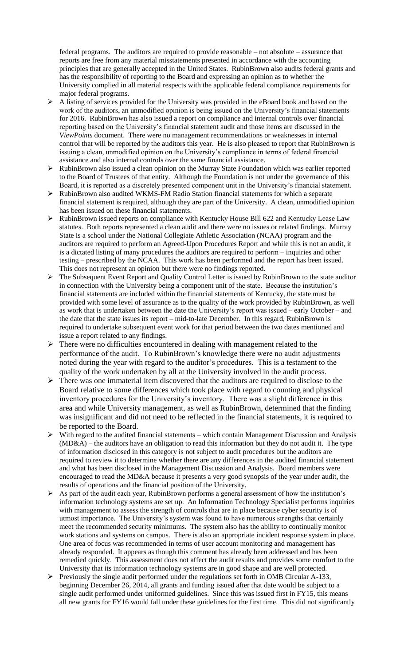federal programs. The auditors are required to provide reasonable – not absolute – assurance that reports are free from any material misstatements presented in accordance with the accounting principles that are generally accepted in the United States. RubinBrown also audits federal grants and has the responsibility of reporting to the Board and expressing an opinion as to whether the University complied in all material respects with the applicable federal compliance requirements for major federal programs.

- $\triangleright$  A listing of services provided for the University was provided in the eBoard book and based on the work of the auditors, an unmodified opinion is being issued on the University's financial statements for 2016. RubinBrown has also issued a report on compliance and internal controls over financial reporting based on the University's financial statement audit and those items are discussed in the *ViewPoints* document. There were no management recommendations or weaknesses in internal control that will be reported by the auditors this year. He is also pleased to report that RubinBrown is issuing a clean, unmodified opinion on the University's compliance in terms of federal financial assistance and also internal controls over the same financial assistance.
- ➢ RubinBrown also issued a clean opinion on the Murray State Foundation which was earlier reported to the Board of Trustees of that entity. Although the Foundation is not under the governance of this Board, it is reported as a discretely presented component unit in the University's financial statement.
- ➢ RubinBrown also audited WKMS-FM Radio Station financial statements for which a separate financial statement is required, although they are part of the University. A clean, unmodified opinion has been issued on these financial statements.
- ➢ RubinBrown issued reports on compliance with Kentucky House Bill 622 and Kentucky Lease Law statutes. Both reports represented a clean audit and there were no issues or related findings. Murray State is a school under the National Collegiate Athletic Association (NCAA) program and the auditors are required to perform an Agreed-Upon Procedures Report and while this is not an audit, it is a dictated listing of many procedures the auditors are required to perform – inquiries and other testing – prescribed by the NCAA. This work has been performed and the report has been issued. This does not represent an opinion but there were no findings reported.
- $\triangleright$  The Subsequent Event Report and Quality Control Letter is issued by RubinBrown to the state auditor in connection with the University being a component unit of the state. Because the institution's financial statements are included within the financial statements of Kentucky, the state must be provided with some level of assurance as to the quality of the work provided by RubinBrown, as well as work that is undertaken between the date the University's report was issued – early October – and the date that the state issues its report – mid-to-late December. In this regard, RubinBrown is required to undertake subsequent event work for that period between the two dates mentioned and issue a report related to any findings.
- ➢ There were no difficulties encountered in dealing with management related to the performance of the audit. To RubinBrown's knowledge there were no audit adjustments noted during the year with regard to the auditor's procedures. This is a testament to the quality of the work undertaken by all at the University involved in the audit process.
- ➢ There was one immaterial item discovered that the auditors are required to disclose to the Board relative to some differences which took place with regard to counting and physical inventory procedures for the University's inventory. There was a slight difference in this area and while University management, as well as RubinBrown, determined that the finding was insignificant and did not need to be reflected in the financial statements, it is required to be reported to the Board.
- $\triangleright$  With regard to the audited financial statements which contain Management Discussion and Analysis (MD&A) – the auditors have an obligation to read this information but they do not audit it. The type of information disclosed in this category is not subject to audit procedures but the auditors are required to review it to determine whether there are any differences in the audited financial statement and what has been disclosed in the Management Discussion and Analysis. Board members were encouraged to read the MD&A because it presents a very good synopsis of the year under audit, the results of operations and the financial position of the University.
- ➢ As part of the audit each year, RubinBrown performs a general assessment of how the institution's information technology systems are set up. An Information Technology Specialist performs inquiries with management to assess the strength of controls that are in place because cyber security is of utmost importance. The University's system was found to have numerous strengths that certainly meet the recommended security minimums. The system also has the ability to continually monitor work stations and systems on campus. There is also an appropriate incident response system in place. One area of focus was recommended in terms of user account monitoring and management has already responded. It appears as though this comment has already been addressed and has been remedied quickly. This assessment does not affect the audit results and provides some comfort to the University that its information technology systems are in good shape and are well protected.
- ➢ Previously the single audit performed under the regulations set forth in OMB Circular A-133, beginning December 26, 2014, all grants and funding issued after that date would be subject to a single audit performed under uniformed guidelines. Since this was issued first in FY15, this means all new grants for FY16 would fall under these guidelines for the first time. This did not significantly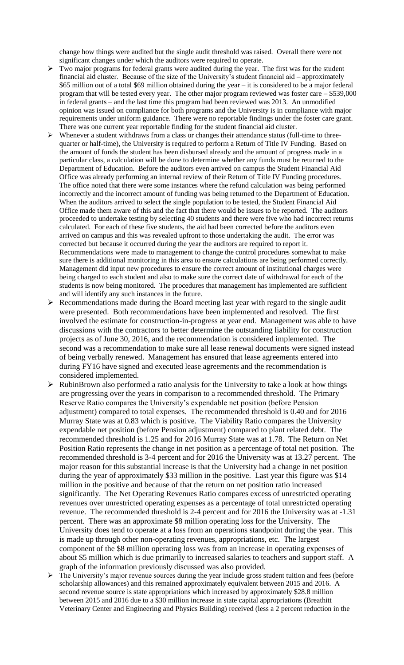change how things were audited but the single audit threshold was raised. Overall there were not significant changes under which the auditors were required to operate.

- ➢ Two major programs for federal grants were audited during the year. The first was for the student financial aid cluster. Because of the size of the University's student financial aid – approximately \$65 million out of a total \$69 million obtained during the year – it is considered to be a major federal program that will be tested every year. The other major program reviewed was foster care – \$539,000 in federal grants – and the last time this program had been reviewed was 2013. An unmodified opinion was issued on compliance for both programs and the University is in compliance with major requirements under uniform guidance. There were no reportable findings under the foster care grant. There was one current year reportable finding for the student financial aid cluster.
- ➢ Whenever a student withdraws from a class or changes their attendance status (full-time to threequarter or half-time), the University is required to perform a Return of Title IV Funding. Based on the amount of funds the student has been disbursed already and the amount of progress made in a particular class, a calculation will be done to determine whether any funds must be returned to the Department of Education. Before the auditors even arrived on campus the Student Financial Aid Office was already performing an internal review of their Return of Title IV Funding procedures. The office noted that there were some instances where the refund calculation was being performed incorrectly and the incorrect amount of funding was being returned to the Department of Education. When the auditors arrived to select the single population to be tested, the Student Financial Aid Office made them aware of this and the fact that there would be issues to be reported. The auditors proceeded to undertake testing by selecting 40 students and there were five who had incorrect returns calculated. For each of these five students, the aid had been corrected before the auditors even arrived on campus and this was revealed upfront to those undertaking the audit. The error was corrected but because it occurred during the year the auditors are required to report it. Recommendations were made to management to change the control procedures somewhat to make sure there is additional monitoring in this area to ensure calculations are being performed correctly. Management did input new procedures to ensure the correct amount of institutional charges were being charged to each student and also to make sure the correct date of withdrawal for each of the students is now being monitored. The procedures that management has implemented are sufficient and will identify any such instances in the future.
- ➢ Recommendations made during the Board meeting last year with regard to the single audit were presented. Both recommendations have been implemented and resolved. The first involved the estimate for construction-in-progress at year end. Management was able to have discussions with the contractors to better determine the outstanding liability for construction projects as of June 30, 2016, and the recommendation is considered implemented. The second was a recommendation to make sure all lease renewal documents were signed instead of being verbally renewed. Management has ensured that lease agreements entered into during FY16 have signed and executed lease agreements and the recommendation is considered implemented.
- ➢ RubinBrown also performed a ratio analysis for the University to take a look at how things are progressing over the years in comparison to a recommended threshold. The Primary Reserve Ratio compares the University's expendable net position (before Pension adjustment) compared to total expenses. The recommended threshold is 0.40 and for 2016 Murray State was at 0.83 which is positive. The Viability Ratio compares the University expendable net position (before Pension adjustment) compared to plant related debt. The recommended threshold is 1.25 and for 2016 Murray State was at 1.78. The Return on Net Position Ratio represents the change in net position as a percentage of total net position. The recommended threshold is 3-4 percent and for 2016 the University was at 13.27 percent. The major reason for this substantial increase is that the University had a change in net position during the year of approximately \$33 million in the positive. Last year this figure was \$14 million in the positive and because of that the return on net position ratio increased significantly. The Net Operating Revenues Ratio compares excess of unrestricted operating revenues over unrestricted operating expenses as a percentage of total unrestricted operating revenue. The recommended threshold is 2-4 percent and for 2016 the University was at -1.31 percent. There was an approximate \$8 million operating loss for the University. The University does tend to operate at a loss from an operations standpoint during the year. This is made up through other non-operating revenues, appropriations, etc. The largest component of the \$8 million operating loss was from an increase in operating expenses of about \$5 million which is due primarily to increased salaries to teachers and support staff. A graph of the information previously discussed was also provided.
- ➢ The University's major revenue sources during the year include gross student tuition and fees (before scholarship allowances) and this remained approximately equivalent between 2015 and 2016. A second revenue source is state appropriations which increased by approximately \$28.8 million between 2015 and 2016 due to a \$30 million increase in state capital appropriations (Breathitt Veterinary Center and Engineering and Physics Building) received (less a 2 percent reduction in the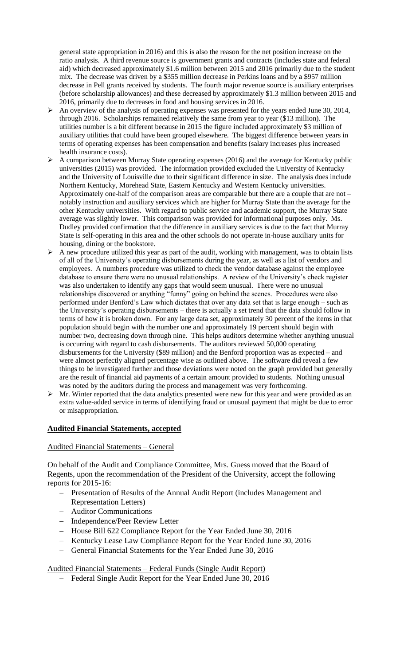general state appropriation in 2016) and this is also the reason for the net position increase on the ratio analysis. A third revenue source is government grants and contracts (includes state and federal aid) which decreased approximately \$1.6 million between 2015 and 2016 primarily due to the student mix. The decrease was driven by a \$355 million decrease in Perkins loans and by a \$957 million decrease in Pell grants received by students. The fourth major revenue source is auxiliary enterprises (before scholarship allowances) and these decreased by approximately \$1.3 million between 2015 and 2016, primarily due to decreases in food and housing services in 2016.

- ➢ An overview of the analysis of operating expenses was presented for the years ended June 30, 2014, through 2016. Scholarships remained relatively the same from year to year (\$13 million). The utilities number is a bit different because in 2015 the figure included approximately \$3 million of auxiliary utilities that could have been grouped elsewhere. The biggest difference between years in terms of operating expenses has been compensation and benefits (salary increases plus increased health insurance costs).
- ➢ A comparison between Murray State operating expenses (2016) and the average for Kentucky public universities (2015) was provided. The information provided excluded the University of Kentucky and the University of Louisville due to their significant difference in size. The analysis does include Northern Kentucky, Morehead State, Eastern Kentucky and Western Kentucky universities. Approximately one-half of the comparison areas are comparable but there are a couple that are not – notably instruction and auxiliary services which are higher for Murray State than the average for the other Kentucky universities. With regard to public service and academic support, the Murray State average was slightly lower. This comparison was provided for informational purposes only. Ms. Dudley provided confirmation that the difference in auxiliary services is due to the fact that Murray State is self-operating in this area and the other schools do not operate in-house auxiliary units for housing, dining or the bookstore.
- $\triangleright$  A new procedure utilized this year as part of the audit, working with management, was to obtain lists of all of the University's operating disbursements during the year, as well as a list of vendors and employees. A numbers procedure was utilized to check the vendor database against the employee database to ensure there were no unusual relationships. A review of the University's check register was also undertaken to identify any gaps that would seem unusual. There were no unusual relationships discovered or anything "funny" going on behind the scenes. Procedures were also performed under Benford's Law which dictates that over any data set that is large enough – such as the University's operating disbursements – there is actually a set trend that the data should follow in terms of how it is broken down. For any large data set, approximately 30 percent of the items in that population should begin with the number one and approximately 19 percent should begin with number two, decreasing down through nine. This helps auditors determine whether anything unusual is occurring with regard to cash disbursements. The auditors reviewed 50,000 operating disbursements for the University (\$89 million) and the Benford proportion was as expected – and were almost perfectly aligned percentage wise as outlined above. The software did reveal a few things to be investigated further and those deviations were noted on the graph provided but generally are the result of financial aid payments of a certain amount provided to students. Nothing unusual was noted by the auditors during the process and management was very forthcoming.
- ➢ Mr. Winter reported that the data analytics presented were new for this year and were provided as an extra value-added service in terms of identifying fraud or unusual payment that might be due to error or misappropriation.

# **Audited Financial Statements, accepted**

#### Audited Financial Statements – General

On behalf of the Audit and Compliance Committee, Mrs. Guess moved that the Board of Regents, upon the recommendation of the President of the University, accept the following reports for 2015-16:

- − Presentation of Results of the Annual Audit Report (includes Management and Representation Letters)
- − Auditor Communications
- − Independence/Peer Review Letter
- − House Bill 622 Compliance Report for the Year Ended June 30, 2016
- − Kentucky Lease Law Compliance Report for the Year Ended June 30, 2016
- − General Financial Statements for the Year Ended June 30, 2016

Audited Financial Statements – Federal Funds (Single Audit Report)

− Federal Single Audit Report for the Year Ended June 30, 2016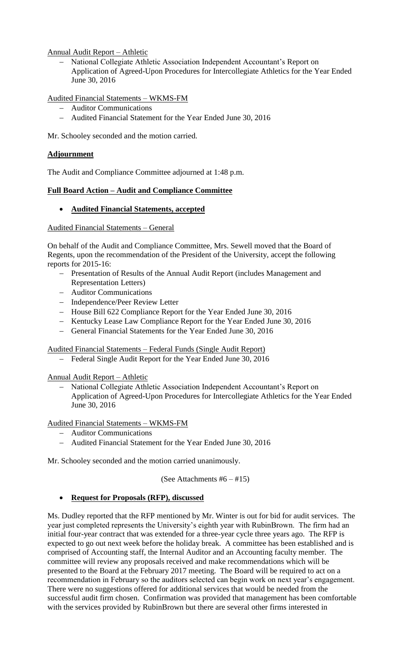Annual Audit Report – Athletic

− National Collegiate Athletic Association Independent Accountant's Report on Application of Agreed-Upon Procedures for Intercollegiate Athletics for the Year Ended June 30, 2016

Audited Financial Statements – WKMS-FM

- − Auditor Communications
- − Audited Financial Statement for the Year Ended June 30, 2016

Mr. Schooley seconded and the motion carried.

# **Adjournment**

The Audit and Compliance Committee adjourned at 1:48 p.m.

# **Full Board Action – Audit and Compliance Committee**

# • **Audited Financial Statements, accepted**

# Audited Financial Statements – General

On behalf of the Audit and Compliance Committee, Mrs. Sewell moved that the Board of Regents, upon the recommendation of the President of the University, accept the following reports for 2015-16:

- − Presentation of Results of the Annual Audit Report (includes Management and Representation Letters)
- − Auditor Communications
- − Independence/Peer Review Letter
- − House Bill 622 Compliance Report for the Year Ended June 30, 2016
- − Kentucky Lease Law Compliance Report for the Year Ended June 30, 2016
- − General Financial Statements for the Year Ended June 30, 2016

#### Audited Financial Statements – Federal Funds (Single Audit Report)

Federal Single Audit Report for the Year Ended June 30, 2016

#### Annual Audit Report – Athletic

− National Collegiate Athletic Association Independent Accountant's Report on Application of Agreed-Upon Procedures for Intercollegiate Athletics for the Year Ended June 30, 2016

#### Audited Financial Statements – WKMS-FM

- − Auditor Communications
- − Audited Financial Statement for the Year Ended June 30, 2016

Mr. Schooley seconded and the motion carried unanimously.

(See Attachments  $#6 - #15$ )

# • **Request for Proposals (RFP), discussed**

Ms. Dudley reported that the RFP mentioned by Mr. Winter is out for bid for audit services. The year just completed represents the University's eighth year with RubinBrown. The firm had an initial four-year contract that was extended for a three-year cycle three years ago. The RFP is expected to go out next week before the holiday break. A committee has been established and is comprised of Accounting staff, the Internal Auditor and an Accounting faculty member. The committee will review any proposals received and make recommendations which will be presented to the Board at the February 2017 meeting. The Board will be required to act on a recommendation in February so the auditors selected can begin work on next year's engagement. There were no suggestions offered for additional services that would be needed from the successful audit firm chosen. Confirmation was provided that management has been comfortable with the services provided by RubinBrown but there are several other firms interested in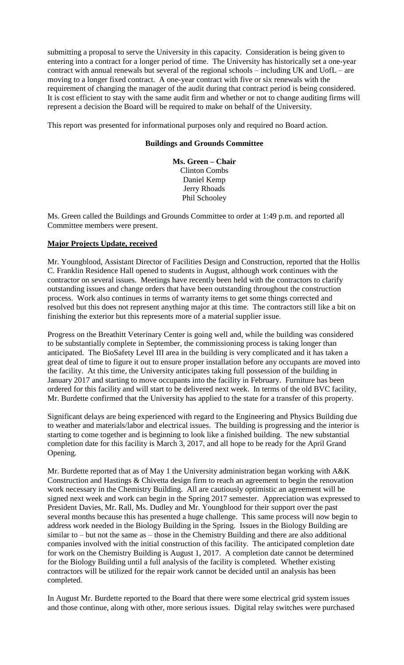submitting a proposal to serve the University in this capacity. Consideration is being given to entering into a contract for a longer period of time. The University has historically set a one-year contract with annual renewals but several of the regional schools – including UK and UofL – are moving to a longer fixed contract. A one-year contract with five or six renewals with the requirement of changing the manager of the audit during that contract period is being considered. It is cost efficient to stay with the same audit firm and whether or not to change auditing firms will represent a decision the Board will be required to make on behalf of the University.

This report was presented for informational purposes only and required no Board action.

# **Buildings and Grounds Committee**

**Ms. Green – Chair** Clinton Combs Daniel Kemp Jerry Rhoads Phil Schooley

Ms. Green called the Buildings and Grounds Committee to order at 1:49 p.m. and reported all Committee members were present.

#### **Major Projects Update, received**

Mr. Youngblood, Assistant Director of Facilities Design and Construction, reported that the Hollis C. Franklin Residence Hall opened to students in August, although work continues with the contractor on several issues. Meetings have recently been held with the contractors to clarify outstanding issues and change orders that have been outstanding throughout the construction process. Work also continues in terms of warranty items to get some things corrected and resolved but this does not represent anything major at this time. The contractors still like a bit on finishing the exterior but this represents more of a material supplier issue.

Progress on the Breathitt Veterinary Center is going well and, while the building was considered to be substantially complete in September, the commissioning process is taking longer than anticipated. The BioSafety Level III area in the building is very complicated and it has taken a great deal of time to figure it out to ensure proper installation before any occupants are moved into the facility. At this time, the University anticipates taking full possession of the building in January 2017 and starting to move occupants into the facility in February. Furniture has been ordered for this facility and will start to be delivered next week. In terms of the old BVC facility, Mr. Burdette confirmed that the University has applied to the state for a transfer of this property.

Significant delays are being experienced with regard to the Engineering and Physics Building due to weather and materials/labor and electrical issues. The building is progressing and the interior is starting to come together and is beginning to look like a finished building. The new substantial completion date for this facility is March 3, 2017, and all hope to be ready for the April Grand Opening.

Mr. Burdette reported that as of May 1 the University administration began working with A&K Construction and Hastings & Chivetta design firm to reach an agreement to begin the renovation work necessary in the Chemistry Building. All are cautiously optimistic an agreement will be signed next week and work can begin in the Spring 2017 semester. Appreciation was expressed to President Davies, Mr. Rall, Ms. Dudley and Mr. Youngblood for their support over the past several months because this has presented a huge challenge. This same process will now begin to address work needed in the Biology Building in the Spring. Issues in the Biology Building are similar to – but not the same as – those in the Chemistry Building and there are also additional companies involved with the initial construction of this facility. The anticipated completion date for work on the Chemistry Building is August 1, 2017. A completion date cannot be determined for the Biology Building until a full analysis of the facility is completed. Whether existing contractors will be utilized for the repair work cannot be decided until an analysis has been completed.

In August Mr. Burdette reported to the Board that there were some electrical grid system issues and those continue, along with other, more serious issues. Digital relay switches were purchased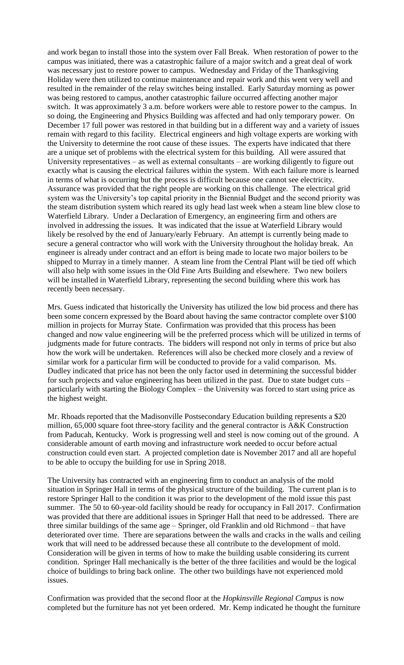and work began to install those into the system over Fall Break. When restoration of power to the campus was initiated, there was a catastrophic failure of a major switch and a great deal of work was necessary just to restore power to campus. Wednesday and Friday of the Thanksgiving Holiday were then utilized to continue maintenance and repair work and this went very well and resulted in the remainder of the relay switches being installed. Early Saturday morning as power was being restored to campus, another catastrophic failure occurred affecting another major switch. It was approximately 3 a.m. before workers were able to restore power to the campus. In so doing, the Engineering and Physics Building was affected and had only temporary power. On December 17 full power was restored in that building but in a different way and a variety of issues remain with regard to this facility. Electrical engineers and high voltage experts are working with the University to determine the root cause of these issues. The experts have indicated that there are a unique set of problems with the electrical system for this building. All were assured that University representatives – as well as external consultants – are working diligently to figure out exactly what is causing the electrical failures within the system. With each failure more is learned in terms of what is occurring but the process is difficult because one cannot see electricity. Assurance was provided that the right people are working on this challenge. The electrical grid system was the University's top capital priority in the Biennial Budget and the second priority was the steam distribution system which reared its ugly head last week when a steam line blew close to Waterfield Library. Under a Declaration of Emergency, an engineering firm and others are involved in addressing the issues. It was indicated that the issue at Waterfield Library would likely be resolved by the end of January/early February. An attempt is currently being made to secure a general contractor who will work with the University throughout the holiday break. An engineer is already under contract and an effort is being made to locate two major boilers to be shipped to Murray in a timely manner. A steam line from the Central Plant will be tied off which will also help with some issues in the Old Fine Arts Building and elsewhere. Two new boilers will be installed in Waterfield Library, representing the second building where this work has recently been necessary.

Mrs. Guess indicated that historically the University has utilized the low bid process and there has been some concern expressed by the Board about having the same contractor complete over \$100 million in projects for Murray State. Confirmation was provided that this process has been changed and now value engineering will be the preferred process which will be utilized in terms of judgments made for future contracts. The bidders will respond not only in terms of price but also how the work will be undertaken. References will also be checked more closely and a review of similar work for a particular firm will be conducted to provide for a valid comparison. Ms. Dudley indicated that price has not been the only factor used in determining the successful bidder for such projects and value engineering has been utilized in the past. Due to state budget cuts – particularly with starting the Biology Complex – the University was forced to start using price as the highest weight.

Mr. Rhoads reported that the Madisonville Postsecondary Education building represents a \$20 million, 65,000 square foot three-story facility and the general contractor is A&K Construction from Paducah, Kentucky. Work is progressing well and steel is now coming out of the ground. A considerable amount of earth moving and infrastructure work needed to occur before actual construction could even start. A projected completion date is November 2017 and all are hopeful to be able to occupy the building for use in Spring 2018.

The University has contracted with an engineering firm to conduct an analysis of the mold situation in Springer Hall in terms of the physical structure of the building. The current plan is to restore Springer Hall to the condition it was prior to the development of the mold issue this past summer. The 50 to 60-year-old facility should be ready for occupancy in Fall 2017. Confirmation was provided that there are additional issues in Springer Hall that need to be addressed. There are three similar buildings of the same age – Springer, old Franklin and old Richmond – that have deteriorated over time. There are separations between the walls and cracks in the walls and ceiling work that will need to be addressed because these all contribute to the development of mold. Consideration will be given in terms of how to make the building usable considering its current condition. Springer Hall mechanically is the better of the three facilities and would be the logical choice of buildings to bring back online. The other two buildings have not experienced mold issues.

Confirmation was provided that the second floor at the *Hopkinsville Regional Campus* is now completed but the furniture has not yet been ordered. Mr. Kemp indicated he thought the furniture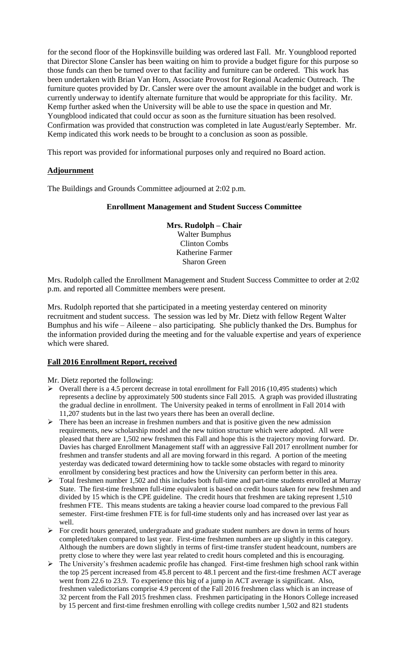for the second floor of the Hopkinsville building was ordered last Fall. Mr. Youngblood reported that Director Slone Cansler has been waiting on him to provide a budget figure for this purpose so those funds can then be turned over to that facility and furniture can be ordered. This work has been undertaken with Brian Van Horn, Associate Provost for Regional Academic Outreach. The furniture quotes provided by Dr. Cansler were over the amount available in the budget and work is currently underway to identify alternate furniture that would be appropriate for this facility. Mr. Kemp further asked when the University will be able to use the space in question and Mr. Youngblood indicated that could occur as soon as the furniture situation has been resolved. Confirmation was provided that construction was completed in late August/early September. Mr. Kemp indicated this work needs to be brought to a conclusion as soon as possible.

This report was provided for informational purposes only and required no Board action.

#### **Adjournment**

The Buildings and Grounds Committee adjourned at 2:02 p.m.

#### **Enrollment Management and Student Success Committee**

**Mrs. Rudolph – Chair** Walter Bumphus Clinton Combs Katherine Farmer Sharon Green

Mrs. Rudolph called the Enrollment Management and Student Success Committee to order at 2:02 p.m. and reported all Committee members were present.

Mrs. Rudolph reported that she participated in a meeting yesterday centered on minority recruitment and student success. The session was led by Mr. Dietz with fellow Regent Walter Bumphus and his wife – Aileene – also participating. She publicly thanked the Drs. Bumphus for the information provided during the meeting and for the valuable expertise and years of experience which were shared.

#### **Fall 2016 Enrollment Report, received**

Mr. Dietz reported the following:

- $\triangleright$  Overall there is a 4.5 percent decrease in total enrollment for Fall 2016 (10,495 students) which represents a decline by approximately 500 students since Fall 2015. A graph was provided illustrating the gradual decline in enrollment. The University peaked in terms of enrollment in Fall 2014 with 11,207 students but in the last two years there has been an overall decline.
- ➢ There has been an increase in freshmen numbers and that is positive given the new admission requirements, new scholarship model and the new tuition structure which were adopted. All were pleased that there are 1,502 new freshmen this Fall and hope this is the trajectory moving forward. Dr. Davies has charged Enrollment Management staff with an aggressive Fall 2017 enrollment number for freshmen and transfer students and all are moving forward in this regard. A portion of the meeting yesterday was dedicated toward determining how to tackle some obstacles with regard to minority enrollment by considering best practices and how the University can perform better in this area.
- ➢ Total freshmen number 1,502 and this includes both full-time and part-time students enrolled at Murray State. The first-time freshmen full-time equivalent is based on credit hours taken for new freshmen and divided by 15 which is the CPE guideline. The credit hours that freshmen are taking represent 1,510 freshmen FTE. This means students are taking a heavier course load compared to the previous Fall semester. First-time freshmen FTE is for full-time students only and has increased over last year as well.
- ➢ For credit hours generated, undergraduate and graduate student numbers are down in terms of hours completed/taken compared to last year. First-time freshmen numbers are up slightly in this category. Although the numbers are down slightly in terms of first-time transfer student headcount, numbers are pretty close to where they were last year related to credit hours completed and this is encouraging.
- ➢ The University's freshmen academic profile has changed. First-time freshmen high school rank within the top 25 percent increased from 45.8 percent to 48.1 percent and the first-time freshmen ACT average went from 22.6 to 23.9. To experience this big of a jump in ACT average is significant. Also, freshmen valedictorians comprise 4.9 percent of the Fall 2016 freshmen class which is an increase of 32 percent from the Fall 2015 freshmen class. Freshmen participating in the Honors College increased by 15 percent and first-time freshmen enrolling with college credits number 1,502 and 821 students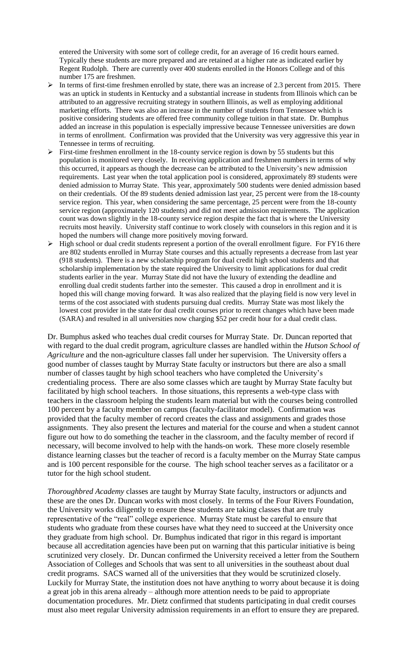entered the University with some sort of college credit, for an average of 16 credit hours earned. Typically these students are more prepared and are retained at a higher rate as indicated earlier by Regent Rudolph. There are currently over 400 students enrolled in the Honors College and of this number 175 are freshmen.

- In terms of first-time freshmen enrolled by state, there was an increase of 2.3 percent from 2015. There was an uptick in students in Kentucky and a substantial increase in students from Illinois which can be attributed to an aggressive recruiting strategy in southern Illinois, as well as employing additional marketing efforts. There was also an increase in the number of students from Tennessee which is positive considering students are offered free community college tuition in that state. Dr. Bumphus added an increase in this population is especially impressive because Tennessee universities are down in terms of enrollment. Confirmation was provided that the University was very aggressive this year in Tennessee in terms of recruiting.
- $\triangleright$  First-time freshmen enrollment in the 18-county service region is down by 55 students but this population is monitored very closely. In receiving application and freshmen numbers in terms of why this occurred, it appears as though the decrease can be attributed to the University's new admission requirements. Last year when the total application pool is considered, approximately 89 students were denied admission to Murray State. This year, approximately 500 students were denied admission based on their credentials. Of the 89 students denied admission last year, 25 percent were from the 18-county service region. This year, when considering the same percentage, 25 percent were from the 18-county service region (approximately 120 students) and did not meet admission requirements. The application count was down slightly in the 18-county service region despite the fact that is where the University recruits most heavily. University staff continue to work closely with counselors in this region and it is hoped the numbers will change more positively moving forward.
- $\triangleright$  High school or dual credit students represent a portion of the overall enrollment figure. For FY16 there are 802 students enrolled in Murray State courses and this actually represents a decrease from last year (918 students). There is a new scholarship program for dual credit high school students and that scholarship implementation by the state required the University to limit applications for dual credit students earlier in the year. Murray State did not have the luxury of extending the deadline and enrolling dual credit students farther into the semester. This caused a drop in enrollment and it is hoped this will change moving forward. It was also realized that the playing field is now very level in terms of the cost associated with students pursuing dual credits. Murray State was most likely the lowest cost provider in the state for dual credit courses prior to recent changes which have been made (SARA) and resulted in all universities now charging \$52 per credit hour for a dual credit class.

Dr. Bumphus asked who teaches dual credit courses for Murray State. Dr. Duncan reported that with regard to the dual credit program, agriculture classes are handled within the *Hutson School of Agriculture* and the non-agriculture classes fall under her supervision. The University offers a good number of classes taught by Murray State faculty or instructors but there are also a small number of classes taught by high school teachers who have completed the University's credentialing process. There are also some classes which are taught by Murray State faculty but facilitated by high school teachers. In those situations, this represents a web-type class with teachers in the classroom helping the students learn material but with the courses being controlled 100 percent by a faculty member on campus (faculty-facilitator model). Confirmation was provided that the faculty member of record creates the class and assignments and grades those assignments. They also present the lectures and material for the course and when a student cannot figure out how to do something the teacher in the classroom, and the faculty member of record if necessary, will become involved to help with the hands-on work. These more closely resemble distance learning classes but the teacher of record is a faculty member on the Murray State campus and is 100 percent responsible for the course. The high school teacher serves as a facilitator or a tutor for the high school student.

*Thoroughbred Academy* classes are taught by Murray State faculty, instructors or adjuncts and these are the ones Dr. Duncan works with most closely. In terms of the Four Rivers Foundation, the University works diligently to ensure these students are taking classes that are truly representative of the "real" college experience. Murray State must be careful to ensure that students who graduate from these courses have what they need to succeed at the University once they graduate from high school. Dr. Bumphus indicated that rigor in this regard is important because all accreditation agencies have been put on warning that this particular initiative is being scrutinized very closely. Dr. Duncan confirmed the University received a letter from the Southern Association of Colleges and Schools that was sent to all universities in the southeast about dual credit programs. SACS warned all of the universities that they would be scrutinized closely. Luckily for Murray State, the institution does not have anything to worry about because it is doing a great job in this arena already – although more attention needs to be paid to appropriate documentation procedures. Mr. Dietz confirmed that students participating in dual credit courses must also meet regular University admission requirements in an effort to ensure they are prepared.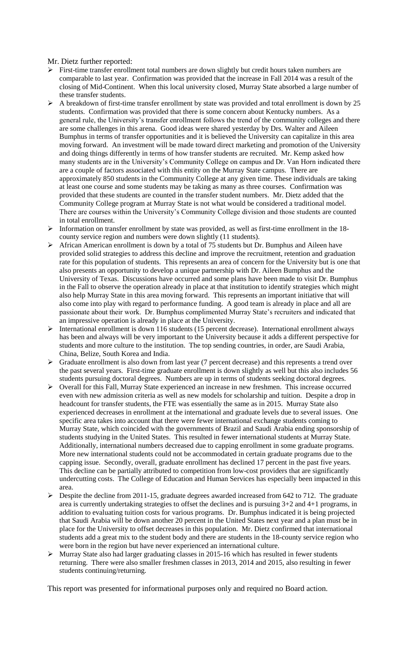Mr. Dietz further reported:

- ➢ First-time transfer enrollment total numbers are down slightly but credit hours taken numbers are comparable to last year. Confirmation was provided that the increase in Fall 2014 was a result of the closing of Mid-Continent. When this local university closed, Murray State absorbed a large number of these transfer students.
- $\triangleright$  A breakdown of first-time transfer enrollment by state was provided and total enrollment is down by 25 students. Confirmation was provided that there is some concern about Kentucky numbers. As a general rule, the University's transfer enrollment follows the trend of the community colleges and there are some challenges in this arena. Good ideas were shared yesterday by Drs. Walter and Aileen Bumphus in terms of transfer opportunities and it is believed the University can capitalize in this area moving forward. An investment will be made toward direct marketing and promotion of the University and doing things differently in terms of how transfer students are recruited. Mr. Kemp asked how many students are in the University's Community College on campus and Dr. Van Horn indicated there are a couple of factors associated with this entity on the Murray State campus. There are approximately 850 students in the Community College at any given time. These individuals are taking at least one course and some students may be taking as many as three courses. Confirmation was provided that these students are counted in the transfer student numbers. Mr. Dietz added that the Community College program at Murray State is not what would be considered a traditional model. There are courses within the University's Community College division and those students are counted in total enrollment.
- ➢ Information on transfer enrollment by state was provided, as well as first-time enrollment in the 18 county service region and numbers were down slightly (11 students).
- ➢ African American enrollment is down by a total of 75 students but Dr. Bumphus and Aileen have provided solid strategies to address this decline and improve the recruitment, retention and graduation rate for this population of students. This represents an area of concern for the University but is one that also presents an opportunity to develop a unique partnership with Dr. Aileen Bumphus and the University of Texas. Discussions have occurred and some plans have been made to visit Dr. Bumphus in the Fall to observe the operation already in place at that institution to identify strategies which might also help Murray State in this area moving forward. This represents an important initiative that will also come into play with regard to performance funding. A good team is already in place and all are passionate about their work. Dr. Bumphus complimented Murray State's recruiters and indicated that an impressive operation is already in place at the University.
- ➢ International enrollment is down 116 students (15 percent decrease). International enrollment always has been and always will be very important to the University because it adds a different perspective for students and more culture to the institution. The top sending countries, in order, are Saudi Arabia, China, Belize, South Korea and India.
- ➢ Graduate enrollment is also down from last year (7 percent decrease) and this represents a trend over the past several years. First-time graduate enrollment is down slightly as well but this also includes 56 students pursuing doctoral degrees. Numbers are up in terms of students seeking doctoral degrees.
- ➢ Overall for this Fall, Murray State experienced an increase in new freshmen. This increase occurred even with new admission criteria as well as new models for scholarship and tuition. Despite a drop in headcount for transfer students, the FTE was essentially the same as in 2015. Murray State also experienced decreases in enrollment at the international and graduate levels due to several issues. One specific area takes into account that there were fewer international exchange students coming to Murray State, which coincided with the governments of Brazil and Saudi Arabia ending sponsorship of students studying in the United States. This resulted in fewer international students at Murray State. Additionally, international numbers decreased due to capping enrollment in some graduate programs. More new international students could not be accommodated in certain graduate programs due to the capping issue. Secondly, overall, graduate enrollment has declined 17 percent in the past five years. This decline can be partially attributed to competition from low-cost providers that are significantly undercutting costs. The College of Education and Human Services has especially been impacted in this area.
- ➢ Despite the decline from 2011-15, graduate degrees awarded increased from 642 to 712. The graduate area is currently undertaking strategies to offset the declines and is pursuing 3+2 and 4+1 programs, in addition to evaluating tuition costs for various programs. Dr. Bumphus indicated it is being projected that Saudi Arabia will be down another 20 percent in the United States next year and a plan must be in place for the University to offset decreases in this population. Mr. Dietz confirmed that international students add a great mix to the student body and there are students in the 18-county service region who were born in the region but have never experienced an international culture.
- $\triangleright$  Murray State also had larger graduating classes in 2015-16 which has resulted in fewer students returning. There were also smaller freshmen classes in 2013, 2014 and 2015, also resulting in fewer students continuing/returning.

This report was presented for informational purposes only and required no Board action.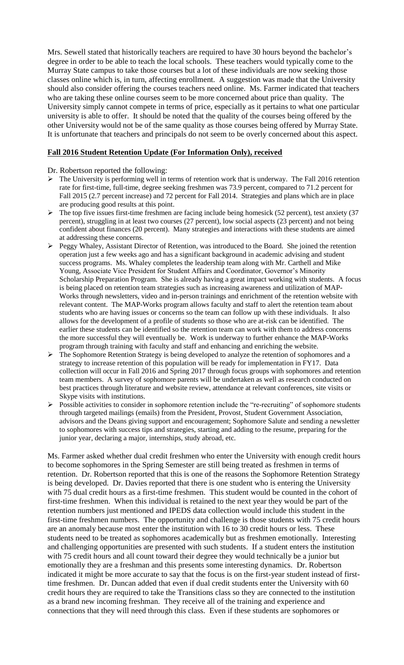Mrs. Sewell stated that historically teachers are required to have 30 hours beyond the bachelor's degree in order to be able to teach the local schools. These teachers would typically come to the Murray State campus to take those courses but a lot of these individuals are now seeking those classes online which is, in turn, affecting enrollment. A suggestion was made that the University should also consider offering the courses teachers need online. Ms. Farmer indicated that teachers who are taking these online courses seem to be more concerned about price than quality. The University simply cannot compete in terms of price, especially as it pertains to what one particular university is able to offer. It should be noted that the quality of the courses being offered by the other University would not be of the same quality as those courses being offered by Murray State. It is unfortunate that teachers and principals do not seem to be overly concerned about this aspect.

#### **Fall 2016 Student Retention Update (For Information Only), received**

#### Dr. Robertson reported the following:

- $\triangleright$  The University is performing well in terms of retention work that is underway. The Fall 2016 retention rate for first-time, full-time, degree seeking freshmen was 73.9 percent, compared to 71.2 percent for Fall 2015 (2.7 percent increase) and 72 percent for Fall 2014. Strategies and plans which are in place are producing good results at this point.
- $\triangleright$  The top five issues first-time freshmen are facing include being homesick (52 percent), test anxiety (37 percent), struggling in at least two courses (27 percent), low social aspects (23 percent) and not being confident about finances (20 percent). Many strategies and interactions with these students are aimed at addressing these concerns.
- ➢ Peggy Whaley, Assistant Director of Retention, was introduced to the Board. She joined the retention operation just a few weeks ago and has a significant background in academic advising and student success programs. Ms. Whaley completes the leadership team along with Mr. Carthell and Mike Young, Associate Vice President for Student Affairs and Coordinator, Governor's Minority Scholarship Preparation Program. She is already having a great impact working with students. A focus is being placed on retention team strategies such as increasing awareness and utilization of MAP-Works through newsletters, video and in-person trainings and enrichment of the retention website with relevant content. The MAP-Works program allows faculty and staff to alert the retention team about students who are having issues or concerns so the team can follow up with these individuals. It also allows for the development of a profile of students so those who are at-risk can be identified. The earlier these students can be identified so the retention team can work with them to address concerns the more successful they will eventually be. Work is underway to further enhance the MAP-Works program through training with faculty and staff and enhancing and enriching the website.
- ➢ The Sophomore Retention Strategy is being developed to analyze the retention of sophomores and a strategy to increase retention of this population will be ready for implementation in FY17. Data collection will occur in Fall 2016 and Spring 2017 through focus groups with sophomores and retention team members. A survey of sophomore parents will be undertaken as well as research conducted on best practices through literature and website review, attendance at relevant conferences, site visits or Skype visits with institutions.
- ➢ Possible activities to consider in sophomore retention include the "re-recruiting" of sophomore students through targeted mailings (emails) from the President, Provost, Student Government Association, advisors and the Deans giving support and encouragement; Sophomore Salute and sending a newsletter to sophomores with success tips and strategies, starting and adding to the resume, preparing for the junior year, declaring a major, internships, study abroad, etc.

Ms. Farmer asked whether dual credit freshmen who enter the University with enough credit hours to become sophomores in the Spring Semester are still being treated as freshmen in terms of retention. Dr. Robertson reported that this is one of the reasons the Sophomore Retention Strategy is being developed. Dr. Davies reported that there is one student who is entering the University with 75 dual credit hours as a first-time freshmen. This student would be counted in the cohort of first-time freshmen. When this individual is retained to the next year they would be part of the retention numbers just mentioned and IPEDS data collection would include this student in the first-time freshmen numbers. The opportunity and challenge is those students with 75 credit hours are an anomaly because most enter the institution with 16 to 30 credit hours or less. These students need to be treated as sophomores academically but as freshmen emotionally. Interesting and challenging opportunities are presented with such students. If a student enters the institution with 75 credit hours and all count toward their degree they would technically be a junior but emotionally they are a freshman and this presents some interesting dynamics. Dr. Robertson indicated it might be more accurate to say that the focus is on the first-year student instead of firsttime freshmen. Dr. Duncan added that even if dual credit students enter the University with 60 credit hours they are required to take the Transitions class so they are connected to the institution as a brand new incoming freshman. They receive all of the training and experience and connections that they will need through this class. Even if these students are sophomores or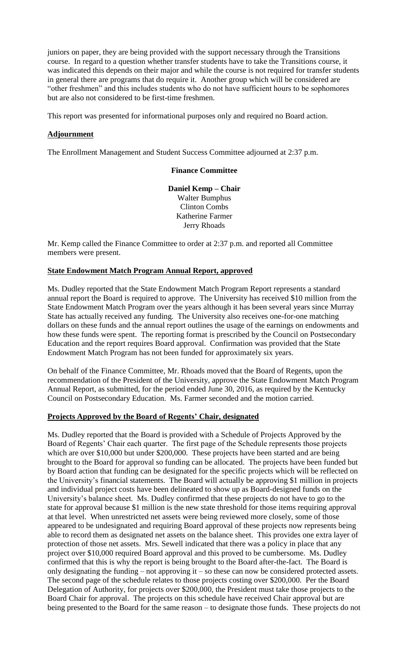juniors on paper, they are being provided with the support necessary through the Transitions course. In regard to a question whether transfer students have to take the Transitions course, it was indicated this depends on their major and while the course is not required for transfer students in general there are programs that do require it. Another group which will be considered are "other freshmen" and this includes students who do not have sufficient hours to be sophomores but are also not considered to be first-time freshmen.

This report was presented for informational purposes only and required no Board action.

#### **Adjournment**

The Enrollment Management and Student Success Committee adjourned at 2:37 p.m.

#### **Finance Committee**

**Daniel Kemp – Chair** Walter Bumphus Clinton Combs Katherine Farmer Jerry Rhoads

Mr. Kemp called the Finance Committee to order at 2:37 p.m. and reported all Committee members were present.

#### **State Endowment Match Program Annual Report, approved**

Ms. Dudley reported that the State Endowment Match Program Report represents a standard annual report the Board is required to approve. The University has received \$10 million from the State Endowment Match Program over the years although it has been several years since Murray State has actually received any funding. The University also receives one-for-one matching dollars on these funds and the annual report outlines the usage of the earnings on endowments and how these funds were spent. The reporting format is prescribed by the Council on Postsecondary Education and the report requires Board approval. Confirmation was provided that the State Endowment Match Program has not been funded for approximately six years.

On behalf of the Finance Committee, Mr. Rhoads moved that the Board of Regents, upon the recommendation of the President of the University, approve the State Endowment Match Program Annual Report, as submitted, for the period ended June 30, 2016, as required by the Kentucky Council on Postsecondary Education. Ms. Farmer seconded and the motion carried.

#### **Projects Approved by the Board of Regents' Chair, designated**

Ms. Dudley reported that the Board is provided with a Schedule of Projects Approved by the Board of Regents' Chair each quarter. The first page of the Schedule represents those projects which are over \$10,000 but under \$200,000. These projects have been started and are being brought to the Board for approval so funding can be allocated. The projects have been funded but by Board action that funding can be designated for the specific projects which will be reflected on the University's financial statements. The Board will actually be approving \$1 million in projects and individual project costs have been delineated to show up as Board-designed funds on the University's balance sheet. Ms. Dudley confirmed that these projects do not have to go to the state for approval because \$1 million is the new state threshold for those items requiring approval at that level. When unrestricted net assets were being reviewed more closely, some of those appeared to be undesignated and requiring Board approval of these projects now represents being able to record them as designated net assets on the balance sheet. This provides one extra layer of protection of those net assets. Mrs. Sewell indicated that there was a policy in place that any project over \$10,000 required Board approval and this proved to be cumbersome. Ms. Dudley confirmed that this is why the report is being brought to the Board after-the-fact. The Board is only designating the funding – not approving it – so these can now be considered protected assets. The second page of the schedule relates to those projects costing over \$200,000. Per the Board Delegation of Authority, for projects over \$200,000, the President must take those projects to the Board Chair for approval. The projects on this schedule have received Chair approval but are being presented to the Board for the same reason – to designate those funds. These projects do not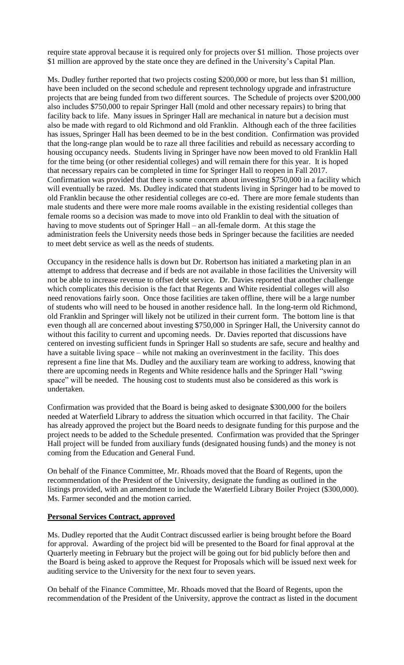require state approval because it is required only for projects over \$1 million. Those projects over \$1 million are approved by the state once they are defined in the University's Capital Plan.

Ms. Dudley further reported that two projects costing \$200,000 or more, but less than \$1 million, have been included on the second schedule and represent technology upgrade and infrastructure projects that are being funded from two different sources. The Schedule of projects over \$200,000 also includes \$750,000 to repair Springer Hall (mold and other necessary repairs) to bring that facility back to life. Many issues in Springer Hall are mechanical in nature but a decision must also be made with regard to old Richmond and old Franklin. Although each of the three facilities has issues, Springer Hall has been deemed to be in the best condition. Confirmation was provided that the long-range plan would be to raze all three facilities and rebuild as necessary according to housing occupancy needs. Students living in Springer have now been moved to old Franklin Hall for the time being (or other residential colleges) and will remain there for this year. It is hoped that necessary repairs can be completed in time for Springer Hall to reopen in Fall 2017. Confirmation was provided that there is some concern about investing \$750,000 in a facility which will eventually be razed. Ms. Dudley indicated that students living in Springer had to be moved to old Franklin because the other residential colleges are co-ed. There are more female students than male students and there were more male rooms available in the existing residential colleges than female rooms so a decision was made to move into old Franklin to deal with the situation of having to move students out of Springer Hall – an all-female dorm. At this stage the administration feels the University needs those beds in Springer because the facilities are needed to meet debt service as well as the needs of students.

Occupancy in the residence halls is down but Dr. Robertson has initiated a marketing plan in an attempt to address that decrease and if beds are not available in those facilities the University will not be able to increase revenue to offset debt service. Dr. Davies reported that another challenge which complicates this decision is the fact that Regents and White residential colleges will also need renovations fairly soon. Once those facilities are taken offline, there will be a large number of students who will need to be housed in another residence hall. In the long-term old Richmond, old Franklin and Springer will likely not be utilized in their current form. The bottom line is that even though all are concerned about investing \$750,000 in Springer Hall, the University cannot do without this facility to current and upcoming needs. Dr. Davies reported that discussions have centered on investing sufficient funds in Springer Hall so students are safe, secure and healthy and have a suitable living space – while not making an overinvestment in the facility. This does represent a fine line that Ms. Dudley and the auxiliary team are working to address, knowing that there are upcoming needs in Regents and White residence halls and the Springer Hall "swing space" will be needed. The housing cost to students must also be considered as this work is undertaken.

Confirmation was provided that the Board is being asked to designate \$300,000 for the boilers needed at Waterfield Library to address the situation which occurred in that facility. The Chair has already approved the project but the Board needs to designate funding for this purpose and the project needs to be added to the Schedule presented. Confirmation was provided that the Springer Hall project will be funded from auxiliary funds (designated housing funds) and the money is not coming from the Education and General Fund.

On behalf of the Finance Committee, Mr. Rhoads moved that the Board of Regents, upon the recommendation of the President of the University, designate the funding as outlined in the listings provided, with an amendment to include the Waterfield Library Boiler Project (\$300,000). Ms. Farmer seconded and the motion carried.

#### **Personal Services Contract, approved**

Ms. Dudley reported that the Audit Contract discussed earlier is being brought before the Board for approval. Awarding of the project bid will be presented to the Board for final approval at the Quarterly meeting in February but the project will be going out for bid publicly before then and the Board is being asked to approve the Request for Proposals which will be issued next week for auditing service to the University for the next four to seven years.

On behalf of the Finance Committee, Mr. Rhoads moved that the Board of Regents, upon the recommendation of the President of the University, approve the contract as listed in the document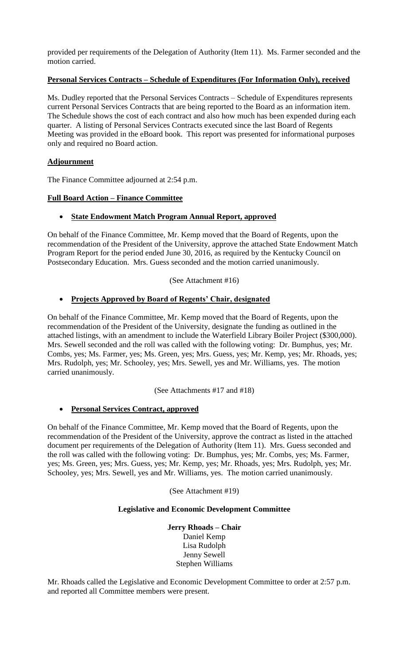provided per requirements of the Delegation of Authority (Item 11). Ms. Farmer seconded and the motion carried.

# **Personal Services Contracts – Schedule of Expenditures (For Information Only), received**

Ms. Dudley reported that the Personal Services Contracts – Schedule of Expenditures represents current Personal Services Contracts that are being reported to the Board as an information item. The Schedule shows the cost of each contract and also how much has been expended during each quarter. A listing of Personal Services Contracts executed since the last Board of Regents Meeting was provided in the eBoard book. This report was presented for informational purposes only and required no Board action.

# **Adjournment**

The Finance Committee adjourned at 2:54 p.m.

# **Full Board Action – Finance Committee**

# • **State Endowment Match Program Annual Report, approved**

On behalf of the Finance Committee, Mr. Kemp moved that the Board of Regents, upon the recommendation of the President of the University, approve the attached State Endowment Match Program Report for the period ended June 30, 2016, as required by the Kentucky Council on Postsecondary Education. Mrs. Guess seconded and the motion carried unanimously.

(See Attachment #16)

# • **Projects Approved by Board of Regents' Chair, designated**

On behalf of the Finance Committee, Mr. Kemp moved that the Board of Regents, upon the recommendation of the President of the University, designate the funding as outlined in the attached listings, with an amendment to include the Waterfield Library Boiler Project (\$300,000). Mrs. Sewell seconded and the roll was called with the following voting: Dr. Bumphus, yes; Mr. Combs, yes; Ms. Farmer, yes; Ms. Green, yes; Mrs. Guess, yes; Mr. Kemp, yes; Mr. Rhoads, yes; Mrs. Rudolph, yes; Mr. Schooley, yes; Mrs. Sewell, yes and Mr. Williams, yes. The motion carried unanimously.

(See Attachments #17 and #18)

# • **Personal Services Contract, approved**

On behalf of the Finance Committee, Mr. Kemp moved that the Board of Regents, upon the recommendation of the President of the University, approve the contract as listed in the attached document per requirements of the Delegation of Authority (Item 11). Mrs. Guess seconded and the roll was called with the following voting: Dr. Bumphus, yes; Mr. Combs, yes; Ms. Farmer, yes; Ms. Green, yes; Mrs. Guess, yes; Mr. Kemp, yes; Mr. Rhoads, yes; Mrs. Rudolph, yes; Mr. Schooley, yes; Mrs. Sewell, yes and Mr. Williams, yes. The motion carried unanimously.

(See Attachment #19)

#### **Legislative and Economic Development Committee**

**Jerry Rhoads – Chair** Daniel Kemp Lisa Rudolph Jenny Sewell Stephen Williams

Mr. Rhoads called the Legislative and Economic Development Committee to order at 2:57 p.m. and reported all Committee members were present.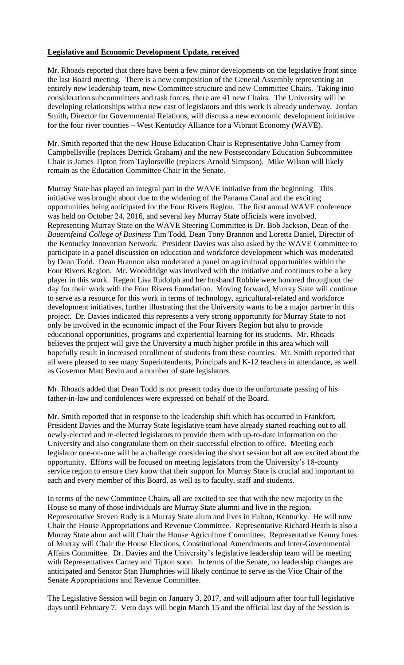# **Legislative and Economic Development Update, received**

Mr. Rhoads reported that there have been a few minor developments on the legislative front since the last Board meeting. There is a new composition of the General Assembly representing an entirely new leadership team, new Committee structure and new Committee Chairs. Taking into consideration subcommittees and task forces, there are 41 new Chairs. The University will be developing relationships with a new cast of legislators and this work is already underway. Jordan Smith, Director for Governmental Relations, will discuss a new economic development initiative for the four river counties – West Kentucky Alliance for a Vibrant Economy (WAVE).

Mr. Smith reported that the new House Education Chair is Representative John Carney from Campbellsville (replaces Derrick Graham) and the new Postsecondary Education Subcommittee Chair is James Tipton from Taylorsville (replaces Arnold Simpson). Mike Wilson will likely remain as the Education Committee Chair in the Senate.

Murray State has played an integral part in the WAVE initiative from the beginning. This initiative was brought about due to the widening of the Panama Canal and the exciting opportunities being anticipated for the Four Rivers Region. The first annual WAVE conference was held on October 24, 2016, and several key Murray State officials were involved. Representing Murray State on the WAVE Steering Committee is Dr. Bob Jackson, Dean of the *Bauernfeind College of Business* Tim Todd, Dean Tony Brannon and Loretta Daniel, Director of the Kentucky Innovation Network. President Davies was also asked by the WAVE Committee to participate in a panel discussion on education and workforce development which was moderated by Dean Todd. Dean Brannon also moderated a panel on agricultural opportunities within the Four Rivers Region. Mr. Wooldridge was involved with the initiative and continues to be a key player in this work. Regent Lisa Rudolph and her husband Robbie were honored throughout the day for their work with the Four Rivers Foundation. Moving forward, Murray State will continue to serve as a resource for this work in terms of technology, agricultural-related and workforce development initiatives, further illustrating that the University wants to be a major partner in this project. Dr. Davies indicated this represents a very strong opportunity for Murray State to not only be involved in the economic impact of the Four Rivers Region but also to provide educational opportunities, programs and experiential learning for its students. Mr. Rhoads believes the project will give the University a much higher profile in this area which will hopefully result in increased enrollment of students from these counties. Mr. Smith reported that all were pleased to see many Superintendents, Principals and K-12 teachers in attendance, as well as Governor Matt Bevin and a number of state legislators.

Mr. Rhoads added that Dean Todd is not present today due to the unfortunate passing of his father-in-law and condolences were expressed on behalf of the Board.

Mr. Smith reported that in response to the leadership shift which has occurred in Frankfort, President Davies and the Murray State legislative team have already started reaching out to all newly-elected and re-elected legislators to provide them with up-to-date information on the University and also congratulate them on their successful election to office. Meeting each legislator one-on-one will be a challenge considering the short session but all are excited about the opportunity. Efforts will be focused on meeting legislators from the University's 18-county service region to ensure they know that their support for Murray State is crucial and important to each and every member of this Board, as well as to faculty, staff and students.

In terms of the new Committee Chairs, all are excited to see that with the new majority in the House so many of those individuals are Murray State alumni and live in the region. Representative Steven Rudy is a Murray State alum and lives in Fulton, Kentucky. He will now Chair the House Appropriations and Revenue Committee. Representative Richard Heath is also a Murray State alum and will Chair the House Agriculture Committee. Representative Kenny Imes of Murray will Chair the House Elections, Constitutional Amendments and Inter-Governmental Affairs Committee. Dr. Davies and the University's legislative leadership team will be meeting with Representatives Carney and Tipton soon. In terms of the Senate, no leadership changes are anticipated and Senator Stan Humphries will likely continue to serve as the Vice Chair of the Senate Appropriations and Revenue Committee.

The Legislative Session will begin on January 3, 2017, and will adjourn after four full legislative days until February 7. Veto days will begin March 15 and the official last day of the Session is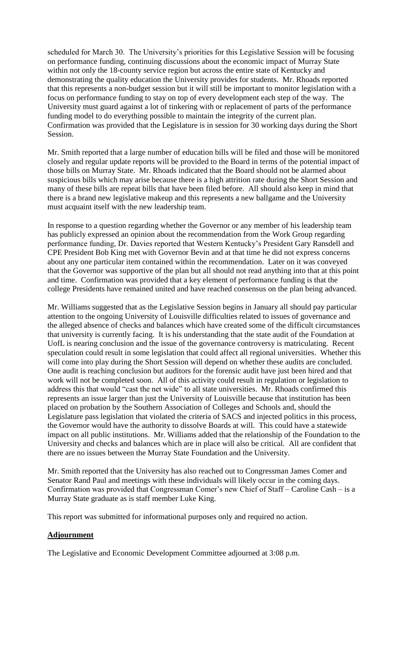scheduled for March 30. The University's priorities for this Legislative Session will be focusing on performance funding, continuing discussions about the economic impact of Murray State within not only the 18-county service region but across the entire state of Kentucky and demonstrating the quality education the University provides for students. Mr. Rhoads reported that this represents a non-budget session but it will still be important to monitor legislation with a focus on performance funding to stay on top of every development each step of the way. The University must guard against a lot of tinkering with or replacement of parts of the performance funding model to do everything possible to maintain the integrity of the current plan. Confirmation was provided that the Legislature is in session for 30 working days during the Short Session.

Mr. Smith reported that a large number of education bills will be filed and those will be monitored closely and regular update reports will be provided to the Board in terms of the potential impact of those bills on Murray State. Mr. Rhoads indicated that the Board should not be alarmed about suspicious bills which may arise because there is a high attrition rate during the Short Session and many of these bills are repeat bills that have been filed before. All should also keep in mind that there is a brand new legislative makeup and this represents a new ballgame and the University must acquaint itself with the new leadership team.

In response to a question regarding whether the Governor or any member of his leadership team has publicly expressed an opinion about the recommendation from the Work Group regarding performance funding, Dr. Davies reported that Western Kentucky's President Gary Ransdell and CPE President Bob King met with Governor Bevin and at that time he did not express concerns about any one particular item contained within the recommendation. Later on it was conveyed that the Governor was supportive of the plan but all should not read anything into that at this point and time. Confirmation was provided that a key element of performance funding is that the college Presidents have remained united and have reached consensus on the plan being advanced.

Mr. Williams suggested that as the Legislative Session begins in January all should pay particular attention to the ongoing University of Louisville difficulties related to issues of governance and the alleged absence of checks and balances which have created some of the difficult circumstances that university is currently facing. It is his understanding that the state audit of the Foundation at UofL is nearing conclusion and the issue of the governance controversy is matriculating. Recent speculation could result in some legislation that could affect all regional universities. Whether this will come into play during the Short Session will depend on whether these audits are concluded. One audit is reaching conclusion but auditors for the forensic audit have just been hired and that work will not be completed soon. All of this activity could result in regulation or legislation to address this that would "cast the net wide" to all state universities. Mr. Rhoads confirmed this represents an issue larger than just the University of Louisville because that institution has been placed on probation by the Southern Association of Colleges and Schools and, should the Legislature pass legislation that violated the criteria of SACS and injected politics in this process, the Governor would have the authority to dissolve Boards at will. This could have a statewide impact on all public institutions. Mr. Williams added that the relationship of the Foundation to the University and checks and balances which are in place will also be critical. All are confident that there are no issues between the Murray State Foundation and the University.

Mr. Smith reported that the University has also reached out to Congressman James Comer and Senator Rand Paul and meetings with these individuals will likely occur in the coming days. Confirmation was provided that Congressman Comer's new Chief of Staff – Caroline Cash – is a Murray State graduate as is staff member Luke King.

This report was submitted for informational purposes only and required no action.

# **Adjournment**

The Legislative and Economic Development Committee adjourned at 3:08 p.m.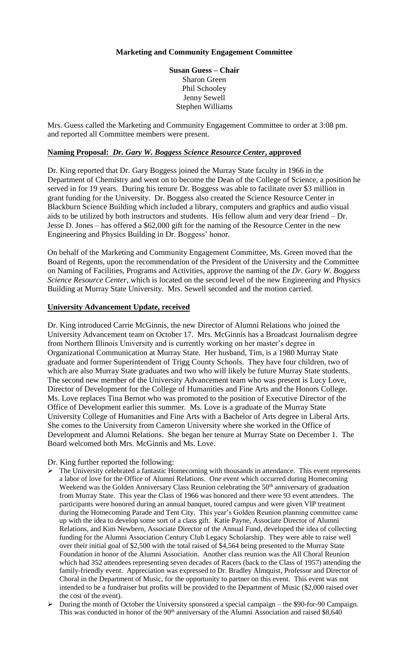# **Marketing and Community Engagement Committee**

**Susan Guess – Chair** Sharon Green Phil Schooley Jenny Sewell Stephen Williams

Mrs. Guess called the Marketing and Community Engagement Committee to order at 3:08 pm. and reported all Committee members were present.

#### **Naming Proposal:** *Dr. Gary W. Boggess Science Resource Center***, approved**

Dr. King reported that Dr. Gary Boggess joined the Murray State faculty in 1966 in the Department of Chemistry and went on to become the Dean of the College of Science, a position he served in for 19 years. During his tenure Dr. Boggess was able to facilitate over \$3 million in grant funding for the University. Dr. Boggess also created the Science Resource Center in Blackburn Science Building which included a library, computers and graphics and audio visual aids to be utilized by both instructors and students. His fellow alum and very dear friend – Dr. Jesse D. Jones – has offered a \$62,000 gift for the naming of the Resource Center in the new Engineering and Physics Building in Dr. Boggess' honor.

On behalf of the Marketing and Community Engagement Committee, Ms. Green moved that the Board of Regents, upon the recommendation of the President of the University and the Committee on Naming of Facilities, Programs and Activities, approve the naming of the *Dr. Gary W. Boggess Science Resource Center*, which is located on the second level of the new Engineering and Physics Building at Murray State University. Mrs. Sewell seconded and the motion carried.

#### **University Advancement Update, received**

Dr. King introduced Carrie McGinnis, the new Director of Alumni Relations who joined the University Advancement team on October 17. Mrs. McGinnis has a Broadcast Journalism degree from Northern Illinois University and is currently working on her master's degree in Organizational Communication at Murray State. Her husband, Tim, is a 1980 Murray State graduate and former Superintendent of Trigg County Schools. They have four children, two of which are also Murray State graduates and two who will likely be future Murray State students. The second new member of the University Advancement team who was present is Lucy Love, Director of Development for the College of Humanities and Fine Arts and the Honors College. Ms. Love replaces Tina Bernot who was promoted to the position of Executive Director of the Office of Development earlier this summer. Ms. Love is a graduate of the Murray State University College of Humanities and Fine Arts with a Bachelor of Arts degree in Liberal Arts. She comes to the University from Cameron University where she worked in the Office of Development and Alumni Relations. She began her tenure at Murray State on December 1. The Board welcomed both Mrs. McGinnis and Ms. Love.

Dr. King further reported the following:

- ➢ The University celebrated a fantastic Homecoming with thousands in attendance. This event represents a labor of love for the Office of Alumni Relations. One event which occurred during Homecoming Weekend was the Golden Anniversary Class Reunion celebrating the 50<sup>th</sup> anniversary of graduation from Murray State. This year the Class of 1966 was honored and there were 93 event attendees. The participants were honored during an annual banquet, toured campus and were given VIP treatment during the Homecoming Parade and Tent City. This year's Golden Reunion planning committee came up with the idea to develop some sort of a class gift. Katie Payne, Associate Director of Alumni Relations, and Kim Newbern, Associate Director of the Annual Fund, developed the idea of collecting funding for the Alumni Association Century Club Legacy Scholarship. They were able to raise well over their initial goal of \$2,500 with the total raised of \$4,564 being presented to the Murray State Foundation in honor of the Alumni Association. Another class reunion was the All Choral Reunion which had 352 attendees representing seven decades of Racers (back to the Class of 1957) attending the family-friendly event. Appreciation was expressed to Dr. Bradley Almquist, Professor and Director of Choral in the Department of Music, for the opportunity to partner on this event. This event was not intended to be a fundraiser but profits will be provided to the Department of Music (\$2,000 raised over the cost of the event).
- ➢ During the month of October the University sponsored a special campaign the \$90-for-90 Campaign. This was conducted in honor of the  $90<sup>th</sup>$  anniversary of the Alumni Association and raised \$8,640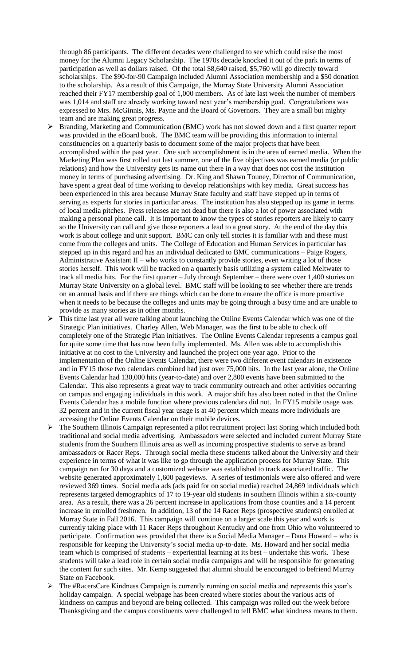through 86 participants. The different decades were challenged to see which could raise the most money for the Alumni Legacy Scholarship. The 1970s decade knocked it out of the park in terms of participation as well as dollars raised. Of the total \$8,640 raised, \$5,760 will go directly toward scholarships. The \$90-for-90 Campaign included Alumni Association membership and a \$50 donation to the scholarship. As a result of this Campaign, the Murray State University Alumni Association reached their FY17 membership goal of 1,000 members. As of late last week the number of members was 1,014 and staff are already working toward next year's membership goal. Congratulations was expressed to Mrs. McGinnis, Ms. Payne and the Board of Governors. They are a small but mighty team and are making great progress.

- ➢ Branding, Marketing and Communication (BMC) work has not slowed down and a first quarter report was provided in the eBoard book. The BMC team will be providing this information to internal constituencies on a quarterly basis to document some of the major projects that have been accomplished within the past year. One such accomplishment is in the area of earned media. When the Marketing Plan was first rolled out last summer, one of the five objectives was earned media (or public relations) and how the University gets its name out there in a way that does not cost the institution money in terms of purchasing advertising. Dr. King and Shawn Touney, Director of Communication, have spent a great deal of time working to develop relationships with key media. Great success has been experienced in this area because Murray State faculty and staff have stepped up in terms of serving as experts for stories in particular areas. The institution has also stepped up its game in terms of local media pitches. Press releases are not dead but there is also a lot of power associated with making a personal phone call. It is important to know the types of stories reporters are likely to carry so the University can call and give those reporters a lead to a great story. At the end of the day this work is about college and unit support. BMC can only tell stories it is familiar with and these must come from the colleges and units. The College of Education and Human Services in particular has stepped up in this regard and has an individual dedicated to BMC communications – Paige Rogers, Administrative Assistant II – who works to constantly provide stories, even writing a lot of those stories herself. This work will be tracked on a quarterly basis utilizing a system called Meltwater to track all media hits. For the first quarter – July through September – there were over 1,400 stories on Murray State University on a global level. BMC staff will be looking to see whether there are trends on an annual basis and if there are things which can be done to ensure the office is more proactive when it needs to be because the colleges and units may be going through a busy time and are unable to provide as many stories as in other months.
- ➢ This time last year all were talking about launching the Online Events Calendar which was one of the Strategic Plan initiatives. Charley Allen, Web Manager, was the first to be able to check off completely one of the Strategic Plan initiatives. The Online Events Calendar represents a campus goal for quite some time that has now been fully implemented. Ms. Allen was able to accomplish this initiative at no cost to the University and launched the project one year ago. Prior to the implementation of the Online Events Calendar, there were two different event calendars in existence and in FY15 those two calendars combined had just over 75,000 hits. In the last year alone, the Online Events Calendar had 130,000 hits (year-to-date) and over 2,800 events have been submitted to the Calendar. This also represents a great way to track community outreach and other activities occurring on campus and engaging individuals in this work. A major shift has also been noted in that the Online Events Calendar has a mobile function where previous calendars did not. In FY15 mobile usage was 32 percent and in the current fiscal year usage is at 40 percent which means more individuals are accessing the Online Events Calendar on their mobile devices.
- ➢ The Southern Illinois Campaign represented a pilot recruitment project last Spring which included both traditional and social media advertising. Ambassadors were selected and included current Murray State students from the Southern Illinois area as well as incoming prospective students to serve as brand ambassadors or Racer Reps. Through social media these students talked about the University and their experience in terms of what it was like to go through the application process for Murray State. This campaign ran for 30 days and a customized website was established to track associated traffic. The website generated approximately 1,600 pageviews. A series of testimonials were also offered and were reviewed 369 times. Social media ads (ads paid for on social media) reached 24,869 individuals which represents targeted demographics of 17 to 19-year old students in southern Illinois within a six-county area. As a result, there was a 26 percent increase in applications from those counties and a 14 percent increase in enrolled freshmen. In addition, 13 of the 14 Racer Reps (prospective students) enrolled at Murray State in Fall 2016. This campaign will continue on a larger scale this year and work is currently taking place with 11 Racer Reps throughout Kentucky and one from Ohio who volunteered to participate. Confirmation was provided that there is a Social Media Manager – Dana Howard – who is responsible for keeping the University's social media up-to-date. Ms. Howard and her social media team which is comprised of students – experiential learning at its best – undertake this work. These students will take a lead role in certain social media campaigns and will be responsible for generating the content for such sites. Mr. Kemp suggested that alumni should be encouraged to befriend Murray State on Facebook.
- ➢ The #RacersCare Kindness Campaign is currently running on social media and represents this year's holiday campaign. A special webpage has been created where stories about the various acts of kindness on campus and beyond are being collected. This campaign was rolled out the week before Thanksgiving and the campus constituents were challenged to tell BMC what kindness means to them.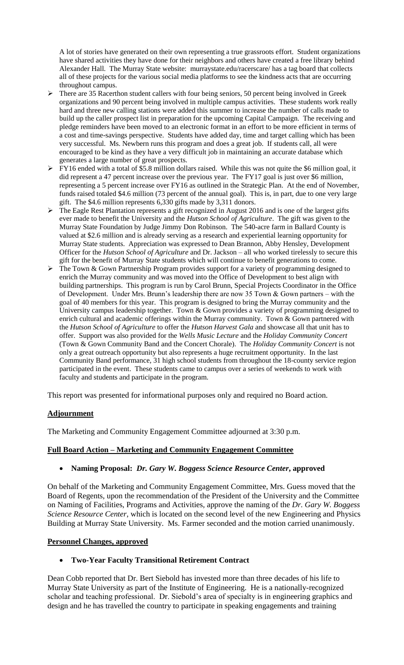A lot of stories have generated on their own representing a true grassroots effort. Student organizations have shared activities they have done for their neighbors and others have created a free library behind Alexander Hall. The Murray State website: murraystate.edu/racerscare/ has a tag board that collects all of these projects for the various social media platforms to see the kindness acts that are occurring throughout campus.

- ➢ There are 35 Racerthon student callers with four being seniors, 50 percent being involved in Greek organizations and 90 percent being involved in multiple campus activities. These students work really hard and three new calling stations were added this summer to increase the number of calls made to build up the caller prospect list in preparation for the upcoming Capital Campaign. The receiving and pledge reminders have been moved to an electronic format in an effort to be more efficient in terms of a cost and time-savings perspective. Students have added day, time and target calling which has been very successful. Ms. Newbern runs this program and does a great job. If students call, all were encouraged to be kind as they have a very difficult job in maintaining an accurate database which generates a large number of great prospects.
- ➢ FY16 ended with a total of \$5.8 million dollars raised. While this was not quite the \$6 million goal, it did represent a 47 percent increase over the previous year. The FY17 goal is just over \$6 million, representing a 5 percent increase over FY16 as outlined in the Strategic Plan. At the end of November, funds raised totaled \$4.6 million (73 percent of the annual goal). This is, in part, due to one very large gift. The \$4.6 million represents 6,330 gifts made by 3,311 donors.
- ➢ The Eagle Rest Plantation represents a gift recognized in August 2016 and is one of the largest gifts ever made to benefit the University and the *Hutson School of Agriculture*. The gift was given to the Murray State Foundation by Judge Jimmy Don Robinson. The 540-acre farm in Ballard County is valued at \$2.6 million and is already serving as a research and experiential learning opportunity for Murray State students. Appreciation was expressed to Dean Brannon, Abby Hensley, Development Officer for the *Hutson School of Agriculture* and Dr. Jackson – all who worked tirelessly to secure this gift for the benefit of Murray State students which will continue to benefit generations to come.
- ➢ The Town & Gown Partnership Program provides support for a variety of programming designed to enrich the Murray community and was moved into the Office of Development to best align with building partnerships. This program is run by Carol Brunn, Special Projects Coordinator in the Office of Development. Under Mrs. Brunn's leadership there are now 35 Town & Gown partners – with the goal of 40 members for this year. This program is designed to bring the Murray community and the University campus leadership together. Town & Gown provides a variety of programming designed to enrich cultural and academic offerings within the Murray community. Town & Gown partnered with the *Hutson School of Agriculture* to offer the *Hutson Harvest Gala* and showcase all that unit has to offer. Support was also provided for the *Wells Music Lecture* and the *Holiday Community Concert* (Town & Gown Community Band and the Concert Chorale). The *Holiday Community Concert* is not only a great outreach opportunity but also represents a huge recruitment opportunity. In the last Community Band performance, 31 high school students from throughout the 18-county service region participated in the event. These students came to campus over a series of weekends to work with faculty and students and participate in the program.

This report was presented for informational purposes only and required no Board action.

#### **Adjournment**

The Marketing and Community Engagement Committee adjourned at 3:30 p.m.

#### **Full Board Action – Marketing and Community Engagement Committee**

#### • **Naming Proposal:** *Dr. Gary W. Boggess Science Resource Center***, approved**

On behalf of the Marketing and Community Engagement Committee, Mrs. Guess moved that the Board of Regents, upon the recommendation of the President of the University and the Committee on Naming of Facilities, Programs and Activities, approve the naming of the *Dr. Gary W. Boggess Science Resource Center*, which is located on the second level of the new Engineering and Physics Building at Murray State University. Ms. Farmer seconded and the motion carried unanimously.

#### **Personnel Changes, approved**

#### • **Two-Year Faculty Transitional Retirement Contract**

Dean Cobb reported that Dr. Bert Siebold has invested more than three decades of his life to Murray State University as part of the Institute of Engineering. He is a nationally-recognized scholar and teaching professional. Dr. Siebold's area of specialty is in engineering graphics and design and he has travelled the country to participate in speaking engagements and training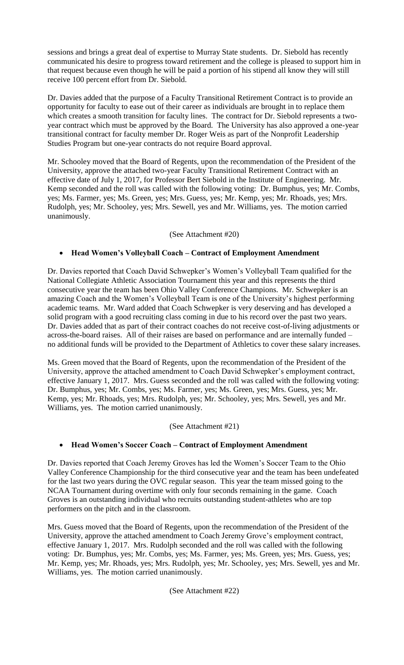sessions and brings a great deal of expertise to Murray State students. Dr. Siebold has recently communicated his desire to progress toward retirement and the college is pleased to support him in that request because even though he will be paid a portion of his stipend all know they will still receive 100 percent effort from Dr. Siebold.

Dr. Davies added that the purpose of a Faculty Transitional Retirement Contract is to provide an opportunity for faculty to ease out of their career as individuals are brought in to replace them which creates a smooth transition for faculty lines. The contract for Dr. Siebold represents a twoyear contract which must be approved by the Board. The University has also approved a one-year transitional contract for faculty member Dr. Roger Weis as part of the Nonprofit Leadership Studies Program but one-year contracts do not require Board approval.

Mr. Schooley moved that the Board of Regents, upon the recommendation of the President of the University, approve the attached two-year Faculty Transitional Retirement Contract with an effective date of July 1, 2017, for Professor Bert Siebold in the Institute of Engineering. Mr. Kemp seconded and the roll was called with the following voting: Dr. Bumphus, yes; Mr. Combs, yes; Ms. Farmer, yes; Ms. Green, yes; Mrs. Guess, yes; Mr. Kemp, yes; Mr. Rhoads, yes; Mrs. Rudolph, yes; Mr. Schooley, yes; Mrs. Sewell, yes and Mr. Williams, yes. The motion carried unanimously.

# (See Attachment #20)

# • **Head Women's Volleyball Coach – Contract of Employment Amendment**

Dr. Davies reported that Coach David Schwepker's Women's Volleyball Team qualified for the National Collegiate Athletic Association Tournament this year and this represents the third consecutive year the team has been Ohio Valley Conference Champions. Mr. Schwepker is an amazing Coach and the Women's Volleyball Team is one of the University's highest performing academic teams. Mr. Ward added that Coach Schwepker is very deserving and has developed a solid program with a good recruiting class coming in due to his record over the past two years. Dr. Davies added that as part of their contract coaches do not receive cost-of-living adjustments or across-the-board raises. All of their raises are based on performance and are internally funded – no additional funds will be provided to the Department of Athletics to cover these salary increases.

Ms. Green moved that the Board of Regents, upon the recommendation of the President of the University, approve the attached amendment to Coach David Schwepker's employment contract, effective January 1, 2017. Mrs. Guess seconded and the roll was called with the following voting: Dr. Bumphus, yes; Mr. Combs, yes; Ms. Farmer, yes; Ms. Green, yes; Mrs. Guess, yes; Mr. Kemp, yes; Mr. Rhoads, yes; Mrs. Rudolph, yes; Mr. Schooley, yes; Mrs. Sewell, yes and Mr. Williams, yes. The motion carried unanimously.

#### (See Attachment #21)

#### • **Head Women's Soccer Coach – Contract of Employment Amendment**

Dr. Davies reported that Coach Jeremy Groves has led the Women's Soccer Team to the Ohio Valley Conference Championship for the third consecutive year and the team has been undefeated for the last two years during the OVC regular season. This year the team missed going to the NCAA Tournament during overtime with only four seconds remaining in the game. Coach Groves is an outstanding individual who recruits outstanding student-athletes who are top performers on the pitch and in the classroom.

Mrs. Guess moved that the Board of Regents, upon the recommendation of the President of the University, approve the attached amendment to Coach Jeremy Grove's employment contract, effective January 1, 2017. Mrs. Rudolph seconded and the roll was called with the following voting: Dr. Bumphus, yes; Mr. Combs, yes; Ms. Farmer, yes; Ms. Green, yes; Mrs. Guess, yes; Mr. Kemp, yes; Mr. Rhoads, yes; Mrs. Rudolph, yes; Mr. Schooley, yes; Mrs. Sewell, yes and Mr. Williams, yes. The motion carried unanimously.

#### (See Attachment #22)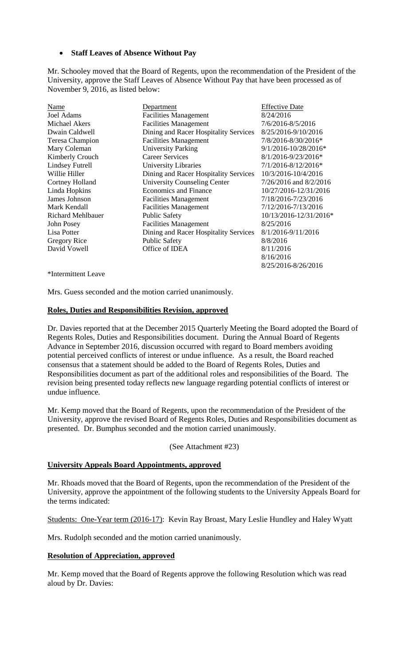# • **Staff Leaves of Absence Without Pay**

Mr. Schooley moved that the Board of Regents, upon the recommendation of the President of the University, approve the Staff Leaves of Absence Without Pay that have been processed as of November 9, 2016, as listed below:

| Name                     | Department                            | <b>Effective Date</b>   |
|--------------------------|---------------------------------------|-------------------------|
| Joel Adams               | <b>Facilities Management</b>          | 8/24/2016               |
| Michael Akers            | <b>Facilities Management</b>          | 7/6/2016-8/5/2016       |
| Dwain Caldwell           | Dining and Racer Hospitality Services | 8/25/2016-9/10/2016     |
| Teresa Champion          | <b>Facilities Management</b>          | 7/8/2016-8/30/2016*     |
| Mary Coleman             | <b>University Parking</b>             | 9/1/2016-10/28/2016*    |
| Kimberly Crouch          | <b>Career Services</b>                | 8/1/2016-9/23/2016*     |
| <b>Lindsey Futrell</b>   | <b>University Libraries</b>           | $7/1/2016 - 8/12/2016*$ |
| Willie Hiller            | Dining and Racer Hospitality Services | 10/3/2016-10/4/2016     |
| <b>Cortney Holland</b>   | <b>University Counseling Center</b>   | 7/26/2016 and 8/2/2016  |
| Linda Hopkins            | <b>Economics and Finance</b>          | 10/27/2016-12/31/2016   |
| James Johnson            | <b>Facilities Management</b>          | 7/18/2016-7/23/2016     |
| Mark Kendall             | <b>Facilities Management</b>          | 7/12/2016-7/13/2016     |
| <b>Richard Mehlbauer</b> | <b>Public Safety</b>                  | 10/13/2016-12/31/2016*  |
| John Posey               | <b>Facilities Management</b>          | 8/25/2016               |
| Lisa Potter              | Dining and Racer Hospitality Services | 8/1/2016-9/11/2016      |
| Gregory Rice             | <b>Public Safety</b>                  | 8/8/2016                |
| David Vowell             | Office of IDEA                        | 8/11/2016               |
|                          |                                       | 8/16/2016               |

\*Intermittent Leave

Mrs. Guess seconded and the motion carried unanimously.

#### **Roles, Duties and Responsibilities Revision, approved**

Dr. Davies reported that at the December 2015 Quarterly Meeting the Board adopted the Board of Regents Roles, Duties and Responsibilities document. During the Annual Board of Regents Advance in September 2016, discussion occurred with regard to Board members avoiding potential perceived conflicts of interest or undue influence. As a result, the Board reached consensus that a statement should be added to the Board of Regents Roles, Duties and Responsibilities document as part of the additional roles and responsibilities of the Board. The revision being presented today reflects new language regarding potential conflicts of interest or undue influence.

8/25/2016-8/26/2016

Mr. Kemp moved that the Board of Regents, upon the recommendation of the President of the University, approve the revised Board of Regents Roles, Duties and Responsibilities document as presented. Dr. Bumphus seconded and the motion carried unanimously.

#### (See Attachment #23)

#### **University Appeals Board Appointments, approved**

Mr. Rhoads moved that the Board of Regents, upon the recommendation of the President of the University, approve the appointment of the following students to the University Appeals Board for the terms indicated:

Students: One-Year term (2016-17): Kevin Ray Broast, Mary Leslie Hundley and Haley Wyatt

Mrs. Rudolph seconded and the motion carried unanimously.

#### **Resolution of Appreciation, approved**

Mr. Kemp moved that the Board of Regents approve the following Resolution which was read aloud by Dr. Davies: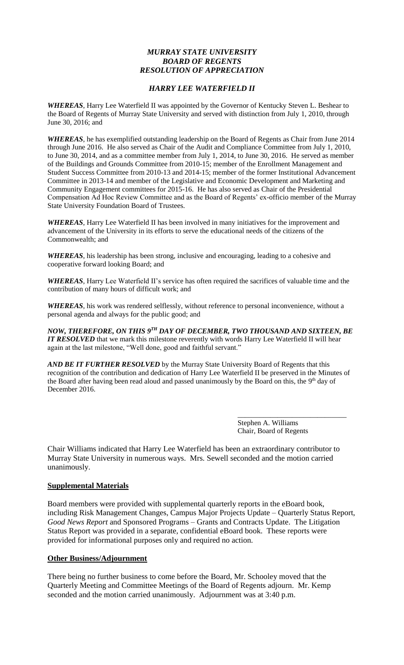# *MURRAY STATE UNIVERSITY BOARD OF REGENTS RESOLUTION OF APPRECIATION*

# *HARRY LEE WATERFIELD II*

*WHEREAS*, Harry Lee Waterfield II was appointed by the Governor of Kentucky Steven L. Beshear to the Board of Regents of Murray State University and served with distinction from July 1, 2010, through June 30, 2016; and

*WHEREAS*, he has exemplified outstanding leadership on the Board of Regents as Chair from June 2014 through June 2016. He also served as Chair of the Audit and Compliance Committee from July 1, 2010, to June 30, 2014, and as a committee member from July 1, 2014, to June 30, 2016. He served as member of the Buildings and Grounds Committee from 2010-15; member of the Enrollment Management and Student Success Committee from 2010-13 and 2014-15; member of the former Institutional Advancement Committee in 2013-14 and member of the Legislative and Economic Development and Marketing and Community Engagement committees for 2015-16. He has also served as Chair of the Presidential Compensation Ad Hoc Review Committee and as the Board of Regents' ex-officio member of the Murray State University Foundation Board of Trustees.

*WHEREAS*, Harry Lee Waterfield II has been involved in many initiatives for the improvement and advancement of the University in its efforts to serve the educational needs of the citizens of the Commonwealth; and

*WHEREAS*, his leadership has been strong, inclusive and encouraging, leading to a cohesive and cooperative forward looking Board; and

*WHEREAS*, Harry Lee Waterfield II's service has often required the sacrifices of valuable time and the contribution of many hours of difficult work; and

*WHEREAS*, his work was rendered selflessly, without reference to personal inconvenience, without a personal agenda and always for the public good; and

*NOW, THEREFORE, ON THIS 9 TH DAY OF DECEMBER, TWO THOUSAND AND SIXTEEN, BE IT RESOLVED* that we mark this milestone reverently with words Harry Lee Waterfield II will hear again at the last milestone, "Well done, good and faithful servant."

*AND BE IT FURTHER RESOLVED* by the Murray State University Board of Regents that this recognition of the contribution and dedication of Harry Lee Waterfield II be preserved in the Minutes of the Board after having been read aloud and passed unanimously by the Board on this, the 9<sup>th</sup> day of December 2016.

> Stephen A. Williams Chair, Board of Regents

\_\_\_\_\_\_\_\_\_\_\_\_\_\_\_\_\_\_\_\_\_\_\_\_\_\_\_\_\_\_

Chair Williams indicated that Harry Lee Waterfield has been an extraordinary contributor to Murray State University in numerous ways. Mrs. Sewell seconded and the motion carried unanimously.

#### **Supplemental Materials**

Board members were provided with supplemental quarterly reports in the eBoard book, including Risk Management Changes, Campus Major Projects Update – Quarterly Status Report, *Good News Report* and Sponsored Programs – Grants and Contracts Update. The Litigation Status Report was provided in a separate, confidential eBoard book. These reports were provided for informational purposes only and required no action.

#### **Other Business/Adjournment**

There being no further business to come before the Board, Mr. Schooley moved that the Quarterly Meeting and Committee Meetings of the Board of Regents adjourn. Mr. Kemp seconded and the motion carried unanimously. Adjournment was at 3:40 p.m.